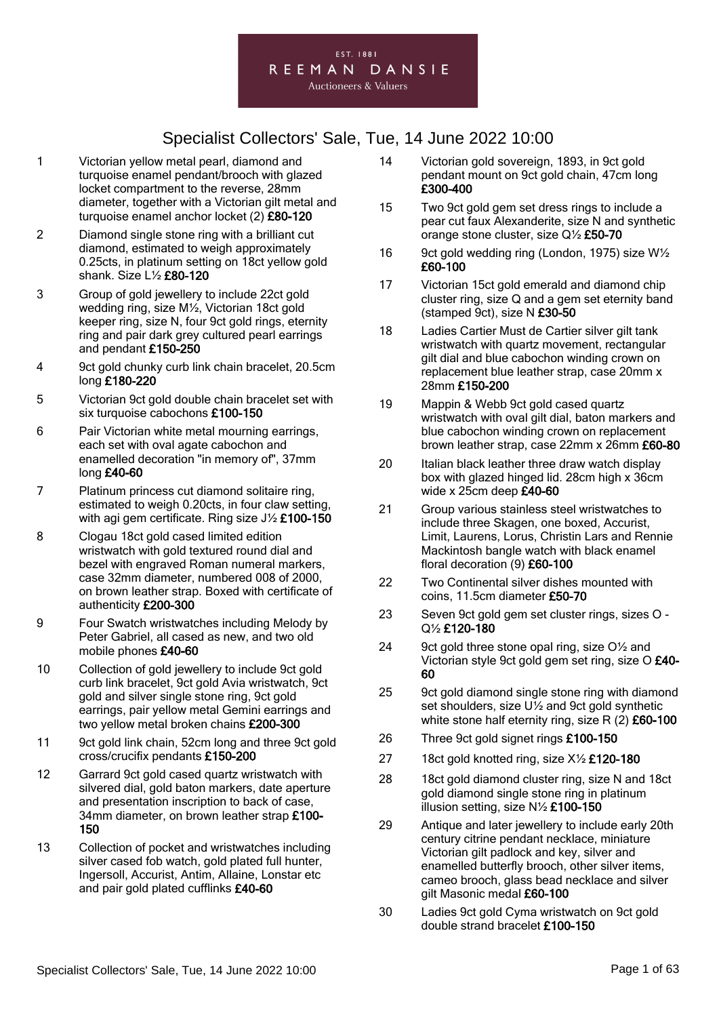

- 1 Victorian yellow metal pearl, diamond and turquoise enamel pendant/brooch with glazed locket compartment to the reverse, 28mm diameter, together with a Victorian gilt metal and turquoise enamel anchor locket (2) £80-120
- 2 Diamond single stone ring with a brilliant cut diamond, estimated to weigh approximately 0.25cts, in platinum setting on 18ct yellow gold shank. Size L½ £80-120
- 3 Group of gold jewellery to include 22ct gold wedding ring, size M½, Victorian 18ct gold keeper ring, size N, four 9ct gold rings, eternity ring and pair dark grey cultured pearl earrings and pendant £150-250
- 4 9ct gold chunky curb link chain bracelet, 20.5cm long £180-220
- 5 Victorian 9ct gold double chain bracelet set with six turquoise cabochons £100-150
- 6 Pair Victorian white metal mourning earrings, each set with oval agate cabochon and enamelled decoration "in memory of", 37mm long £40-60
- 7 Platinum princess cut diamond solitaire ring, estimated to weigh 0.20cts, in four claw setting, with agi gem certificate. Ring size J<sup>1</sup>/<sub>2</sub> £100-150
- 8 Clogau 18ct gold cased limited edition wristwatch with gold textured round dial and bezel with engraved Roman numeral markers, case 32mm diameter, numbered 008 of 2000, on brown leather strap. Boxed with certificate of authenticity £200-300
- 9 Four Swatch wristwatches including Melody by Peter Gabriel, all cased as new, and two old mobile phones £40-60
- 10 Collection of gold jewellery to include 9ct gold curb link bracelet, 9ct gold Avia wristwatch, 9ct gold and silver single stone ring, 9ct gold earrings, pair yellow metal Gemini earrings and two yellow metal broken chains £200-300
- 11 9ct gold link chain, 52cm long and three 9ct gold cross/crucifix pendants £150-200
- 12 Garrard 9ct gold cased quartz wristwatch with silvered dial, gold baton markers, date aperture and presentation inscription to back of case, 34mm diameter, on brown leather strap £100-150
- 13 Collection of pocket and wristwatches including silver cased fob watch, gold plated full hunter, Ingersoll, Accurist, Antim, Allaine, Lonstar etc and pair gold plated cufflinks £40-60
- 14 Victorian gold sovereign, 1893, in 9ct gold pendant mount on 9ct gold chain, 47cm long £300-400
- 15 Two 9ct gold gem set dress rings to include a pear cut faux Alexanderite, size N and synthetic orange stone cluster, size Q½ £50-70
- 16 9ct gold wedding ring (London, 1975) size W<sup>1</sup>/<sub>2</sub> £60-100
- 17 Victorian 15ct gold emerald and diamond chip cluster ring, size Q and a gem set eternity band (stamped 9ct), size N £30-50
- 18 Ladies Cartier Must de Cartier silver gilt tank wristwatch with quartz movement, rectangular gilt dial and blue cabochon winding crown on replacement blue leather strap, case 20mm x 28mm £150-200
- 19 Mappin & Webb 9ct gold cased quartz wristwatch with oval gilt dial, baton markers and blue cabochon winding crown on replacement brown leather strap, case 22mm x 26mm £60-80
- 20 Italian black leather three draw watch display box with glazed hinged lid. 28cm high x 36cm wide x 25cm deep £40-60
- 21 Group various stainless steel wristwatches to include three Skagen, one boxed, Accurist, Limit, Laurens, Lorus, Christin Lars and Rennie Mackintosh bangle watch with black enamel floral decoration (9) £60-100
- 22 Two Continental silver dishes mounted with coins, 11.5cm diameter £50-70
- 23 Seven 9ct gold gem set cluster rings, sizes O Q½ £120-180
- 24 9ct gold three stone opal ring, size O<sup>1/2</sup> and Victorian style 9ct gold gem set ring, size O £40- 60
- 25 9ct gold diamond single stone ring with diamond set shoulders, size U½ and 9ct gold synthetic white stone half eternity ring, size R  $(2)$  £60-100
- 26 Three 9ct gold signet rings £100-150
- 27 18ct gold knotted ring, size X1/2 £120-180
- 28 18ct gold diamond cluster ring, size N and 18ct gold diamond single stone ring in platinum illusion setting, size  $N\frac{1}{2}$  £100-150
- 29 Antique and later jewellery to include early 20th century citrine pendant necklace, miniature Victorian gilt padlock and key, silver and enamelled butterfly brooch, other silver items, cameo brooch, glass bead necklace and silver gilt Masonic medal £60-100
- 30 Ladies 9ct gold Cyma wristwatch on 9ct gold double strand bracelet £100-150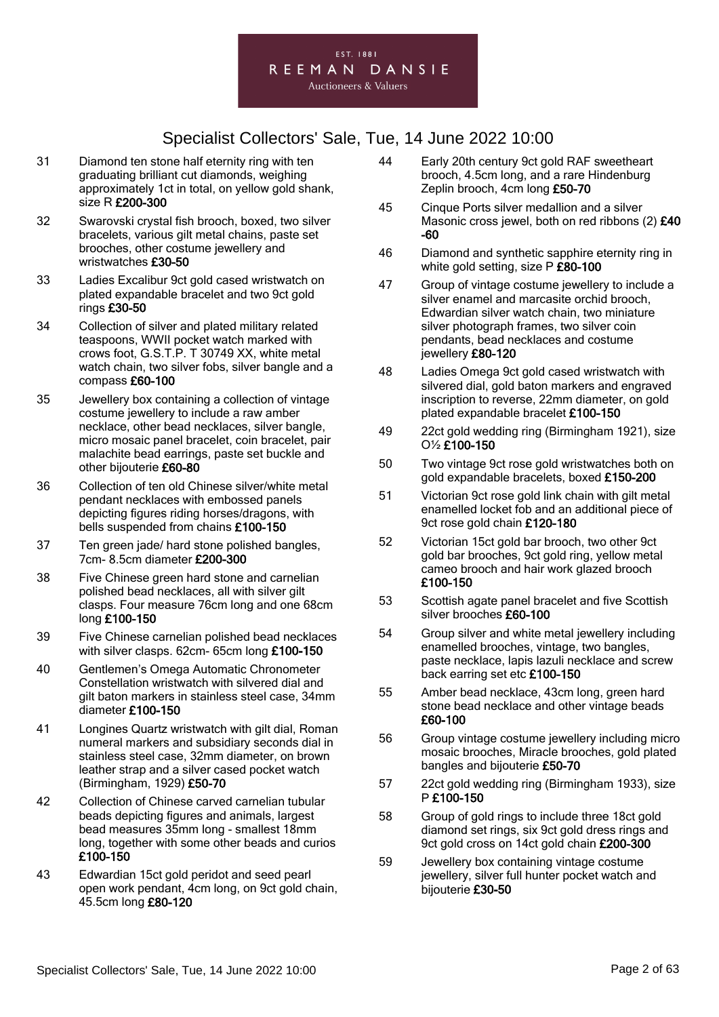

- 31 Diamond ten stone half eternity ring with ten graduating brilliant cut diamonds, weighing approximately 1ct in total, on yellow gold shank, size R £200-300
- 32 Swarovski crystal fish brooch, boxed, two silver bracelets, various gilt metal chains, paste set brooches, other costume jewellery and wristwatches £30-50
- 33 Ladies Excalibur 9ct gold cased wristwatch on plated expandable bracelet and two 9ct gold rings £30-50
- 34 Collection of silver and plated military related teaspoons, WWII pocket watch marked with crows foot, G.S.T.P. T 30749 XX, white metal watch chain, two silver fobs, silver bangle and a compass £60-100
- 35 Jewellery box containing a collection of vintage costume jewellery to include a raw amber necklace, other bead necklaces, silver bangle, micro mosaic panel bracelet, coin bracelet, pair malachite bead earrings, paste set buckle and other bijouterie £60-80
- 36 Collection of ten old Chinese silver/white metal pendant necklaces with embossed panels depicting figures riding horses/dragons, with bells suspended from chains £100-150
- 37 Ten green jade/ hard stone polished bangles, 7cm- 8.5cm diameter £200-300
- 38 Five Chinese green hard stone and carnelian polished bead necklaces, all with silver gilt clasps. Four measure 76cm long and one 68cm long £100-150
- 39 Five Chinese carnelian polished bead necklaces with silver clasps. 62cm- 65cm long £100-150
- 40 Gentlemen's Omega Automatic Chronometer Constellation wristwatch with silvered dial and gilt baton markers in stainless steel case, 34mm diameter £100-150
- 41 Longines Quartz wristwatch with gilt dial, Roman numeral markers and subsidiary seconds dial in stainless steel case, 32mm diameter, on brown leather strap and a silver cased pocket watch (Birmingham, 1929) £50-70
- 42 Collection of Chinese carved carnelian tubular beads depicting figures and animals, largest bead measures 35mm long - smallest 18mm long, together with some other beads and curios £100-150
- 43 Edwardian 15ct gold peridot and seed pearl open work pendant, 4cm long, on 9ct gold chain, 45.5cm long £80-120
- 44 Early 20th century 9ct gold RAF sweetheart brooch, 4.5cm long, and a rare Hindenburg Zeplin brooch, 4cm long £50-70
- 45 Cinque Ports silver medallion and a silver Masonic cross jewel, both on red ribbons (2) £40 -60
- 46 Diamond and synthetic sapphire eternity ring in white gold setting, size P £80-100
- 47 Group of vintage costume jewellery to include a silver enamel and marcasite orchid brooch, Edwardian silver watch chain, two miniature silver photograph frames, two silver coin pendants, bead necklaces and costume jewellery £80-120
- 48 Ladies Omega 9ct gold cased wristwatch with silvered dial, gold baton markers and engraved inscription to reverse, 22mm diameter, on gold plated expandable bracelet £100-150
- 49 22ct gold wedding ring (Birmingham 1921), size O½ £100-150
- 50 Two vintage 9ct rose gold wristwatches both on gold expandable bracelets, boxed £150-200
- 51 Victorian 9ct rose gold link chain with gilt metal enamelled locket fob and an additional piece of 9ct rose gold chain £120-180
- 52 Victorian 15ct gold bar brooch, two other 9ct gold bar brooches, 9ct gold ring, yellow metal cameo brooch and hair work glazed brooch £100-150
- 53 Scottish agate panel bracelet and five Scottish silver brooches £60-100
- 54 Group silver and white metal jewellery including enamelled brooches, vintage, two bangles, paste necklace, lapis lazuli necklace and screw back earring set etc £100-150
- 55 Amber bead necklace, 43cm long, green hard stone bead necklace and other vintage beads £60-100
- 56 Group vintage costume jewellery including micro mosaic brooches, Miracle brooches, gold plated bangles and bijouterie £50-70
- 57 22ct gold wedding ring (Birmingham 1933), size P £100-150
- 58 Group of gold rings to include three 18ct gold diamond set rings, six 9ct gold dress rings and 9ct gold cross on 14ct gold chain £200-300
- 59 Jewellery box containing vintage costume jewellery, silver full hunter pocket watch and bijouterie £30-50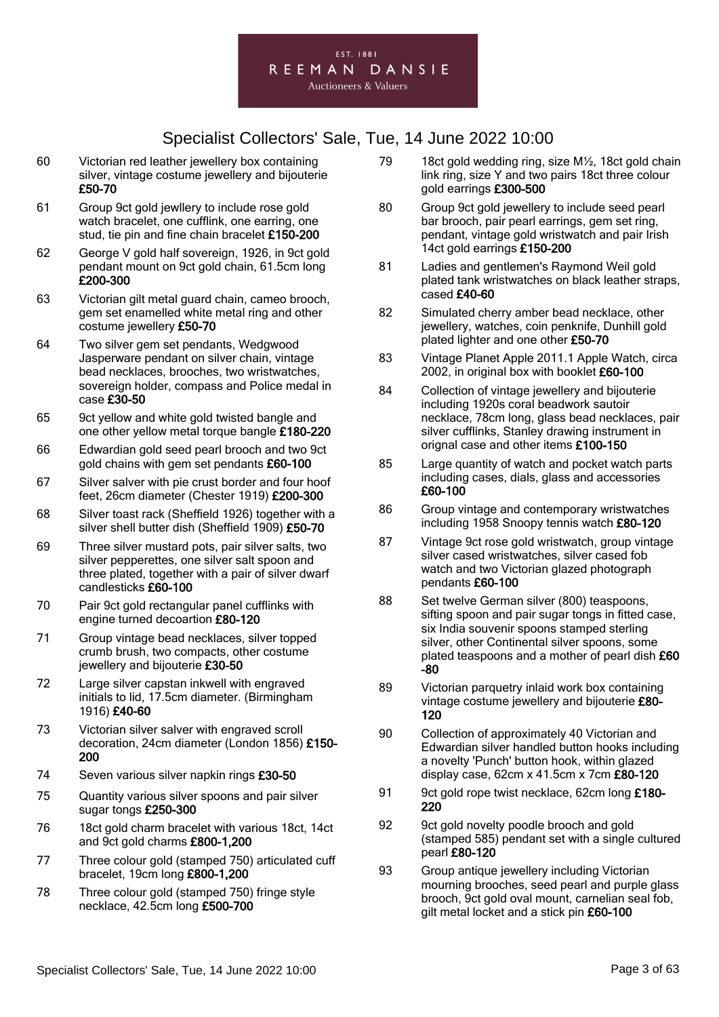

- 60 Victorian red leather jewellery box containing silver, vintage costume jewellery and bijouterie £50-70
- 61 Group 9ct gold jewllery to include rose gold watch bracelet, one cufflink, one earring, one stud, tie pin and fine chain bracelet £150-200
- 62 George V gold half sovereign, 1926, in 9ct gold pendant mount on 9ct gold chain, 61.5cm long £200-300
- 63 Victorian gilt metal guard chain, cameo brooch, gem set enamelled white metal ring and other costume jewellery £50-70
- 64 Two silver gem set pendants, Wedgwood Jasperware pendant on silver chain, vintage bead necklaces, brooches, two wristwatches, sovereign holder, compass and Police medal in case £30-50
- 65 9ct yellow and white gold twisted bangle and one other yellow metal torque bangle £180-220
- 66 Edwardian gold seed pearl brooch and two 9ct gold chains with gem set pendants £60-100
- 67 Silver salver with pie crust border and four hoof feet, 26cm diameter (Chester 1919) £200-300
- 68 Silver toast rack (Sheffield 1926) together with a silver shell butter dish (Sheffield 1909) £50-70
- 69 Three silver mustard pots, pair silver salts, two silver pepperettes, one silver salt spoon and three plated, together with a pair of silver dwarf candlesticks £60-100
- 70 Pair 9ct gold rectangular panel cufflinks with engine turned decoartion £80-120
- 71 Group vintage bead necklaces, silver topped crumb brush, two compacts, other costume jewellery and bijouterie £30-50
- 72 Large silver capstan inkwell with engraved initials to lid, 17.5cm diameter. (Birmingham 1916) £40-60
- 73 Victorian silver salver with engraved scroll decoration, 24cm diameter (London 1856) £150- 200
- 74 Seven various silver napkin rings £30-50
- 75 Quantity various silver spoons and pair silver sugar tongs £250-300
- 76 18ct gold charm bracelet with various 18ct, 14ct and 9ct gold charms £800-1,200
- 77 Three colour gold (stamped 750) articulated cuff bracelet, 19cm long £800-1,200
- 78 Three colour gold (stamped 750) fringe style necklace, 42.5cm long £500-700
- 79 18ct gold wedding ring, size M½, 18ct gold chain link ring, size Y and two pairs 18ct three colour gold earrings £300-500
- 80 Group 9ct gold jewellery to include seed pearl bar brooch, pair pearl earrings, gem set ring, pendant, vintage gold wristwatch and pair Irish 14ct gold earrings £150-200
- 81 Ladies and gentlemen's Raymond Weil gold plated tank wristwatches on black leather straps, cased £40-60
- 82 Simulated cherry amber bead necklace, other jewellery, watches, coin penknife, Dunhill gold plated lighter and one other £50-70
- 83 Vintage Planet Apple 2011.1 Apple Watch, circa 2002, in original box with booklet £60-100
- 84 Collection of vintage jewellery and bijouterie including 1920s coral beadwork sautoir necklace, 78cm long, glass bead necklaces, pair silver cufflinks, Stanley drawing instrument in orignal case and other items £100-150
- 85 Large quantity of watch and pocket watch parts including cases, dials, glass and accessories £60-100
- 86 Group vintage and contemporary wristwatches including 1958 Snoopy tennis watch £80-120
- 87 Vintage 9ct rose gold wristwatch, group vintage silver cased wristwatches, silver cased fob watch and two Victorian glazed photograph pendants £60-100
- 88 Set twelve German silver (800) teaspoons, sifting spoon and pair sugar tongs in fitted case, six India souvenir spoons stamped sterling silver, other Continental silver spoons, some plated teaspoons and a mother of pearl dish £60 -80
- 89 Victorian parquetry inlaid work box containing vintage costume jewellery and bijouterie £80- 120
- 90 Collection of approximately 40 Victorian and Edwardian silver handled button hooks including a novelty 'Punch' button hook, within glazed display case, 62cm x 41.5cm x 7cm £80-120
- 91 9ct gold rope twist necklace, 62cm long £180-220
- 92 9ct gold novelty poodle brooch and gold (stamped 585) pendant set with a single cultured pearl £80-120
- 93 Group antique jewellery including Victorian mourning brooches, seed pearl and purple glass brooch, 9ct gold oval mount, carnelian seal fob, gilt metal locket and a stick pin £60-100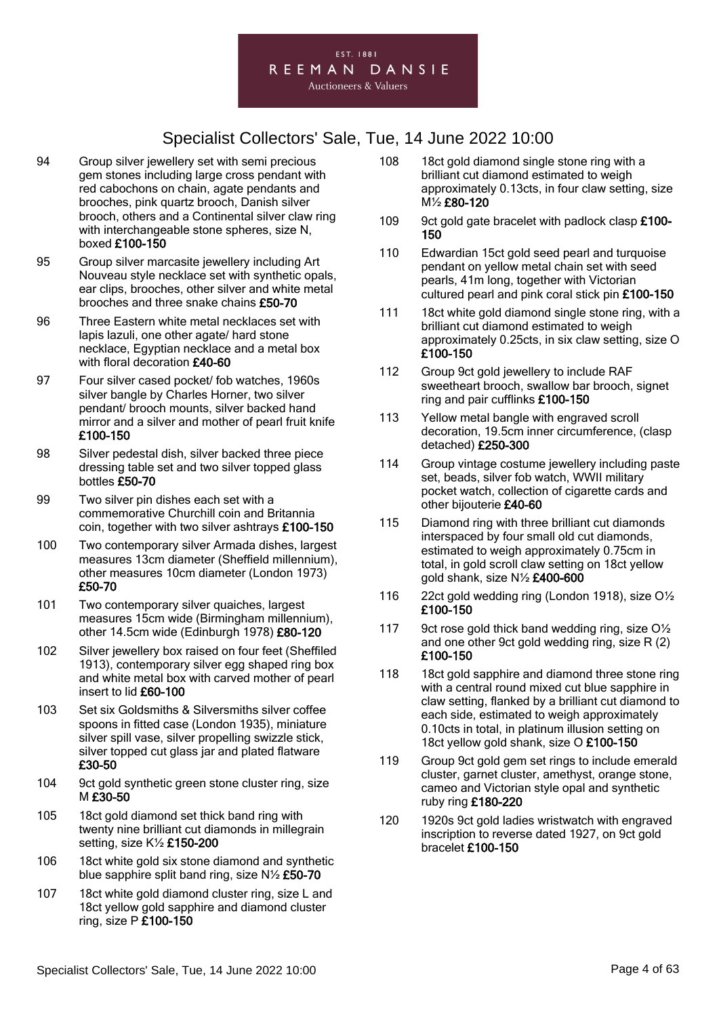

- 94 Group silver jewellery set with semi precious gem stones including large cross pendant with red cabochons on chain, agate pendants and brooches, pink quartz brooch, Danish silver brooch, others and a Continental silver claw ring with interchangeable stone spheres, size N, boxed £100-150
- 95 Group silver marcasite jewellery including Art Nouveau style necklace set with synthetic opals, ear clips, brooches, other silver and white metal brooches and three snake chains £50-70
- 96 Three Eastern white metal necklaces set with lapis lazuli, one other agate/ hard stone necklace, Egyptian necklace and a metal box with floral decoration £40-60
- 97 Four silver cased pocket/ fob watches, 1960s silver bangle by Charles Horner, two silver pendant/ brooch mounts, silver backed hand mirror and a silver and mother of pearl fruit knife £100-150
- 98 Silver pedestal dish, silver backed three piece dressing table set and two silver topped glass bottles £50-70
- 99 Two silver pin dishes each set with a commemorative Churchill coin and Britannia coin, together with two silver ashtrays £100-150
- 100 Two contemporary silver Armada dishes, largest measures 13cm diameter (Sheffield millennium), other measures 10cm diameter (London 1973) £50-70
- 101 Two contemporary silver quaiches, largest measures 15cm wide (Birmingham millennium), other 14.5cm wide (Edinburgh 1978) £80-120
- 102 Silver jewellery box raised on four feet (Sheffiled 1913), contemporary silver egg shaped ring box and white metal box with carved mother of pearl insert to lid £60-100
- 103 Set six Goldsmiths & Silversmiths silver coffee spoons in fitted case (London 1935), miniature silver spill vase, silver propelling swizzle stick, silver topped cut glass jar and plated flatware £30-50
- 104 9ct gold synthetic green stone cluster ring, size M £30-50
- 105 18ct gold diamond set thick band ring with twenty nine brilliant cut diamonds in millegrain setting, size K½ £150-200
- 106 18ct white gold six stone diamond and synthetic blue sapphire split band ring, size N½ £50-70
- 107 18ct white gold diamond cluster ring, size L and 18ct yellow gold sapphire and diamond cluster ring, size P £100-150
- 108 18ct gold diamond single stone ring with a brilliant cut diamond estimated to weigh approximately 0.13cts, in four claw setting, size M½ £80-120
- 109 9ct gold gate bracelet with padlock clasp £100-150
- 110 Edwardian 15ct gold seed pearl and turquoise pendant on yellow metal chain set with seed pearls, 41m long, together with Victorian cultured pearl and pink coral stick pin £100-150
- 111 18ct white gold diamond single stone ring, with a brilliant cut diamond estimated to weigh approximately 0.25cts, in six claw setting, size O £100-150
- 112 Group 9ct gold jewellery to include RAF sweetheart brooch, swallow bar brooch, signet ring and pair cufflinks £100-150
- 113 Yellow metal bangle with engraved scroll decoration, 19.5cm inner circumference, (clasp detached) £250-300
- 114 Group vintage costume jewellery including paste set, beads, silver fob watch, WWII military pocket watch, collection of cigarette cards and other bijouterie £40-60
- 115 Diamond ring with three brilliant cut diamonds interspaced by four small old cut diamonds, estimated to weigh approximately 0.75cm in total, in gold scroll claw setting on 18ct yellow gold shank, size N½ £400-600
- 116 22ct gold wedding ring (London 1918), size O½ £100-150
- 117 9ct rose gold thick band wedding ring, size O<sup>1/2</sup> and one other 9ct gold wedding ring, size R (2) £100-150
- 118 18ct gold sapphire and diamond three stone ring with a central round mixed cut blue sapphire in claw setting, flanked by a brilliant cut diamond to each side, estimated to weigh approximately 0.10cts in total, in platinum illusion setting on 18ct yellow gold shank, size O £100-150
- 119 Group 9ct gold gem set rings to include emerald cluster, garnet cluster, amethyst, orange stone, cameo and Victorian style opal and synthetic ruby ring £180-220
- 120 1920s 9ct gold ladies wristwatch with engraved inscription to reverse dated 1927, on 9ct gold bracelet £100-150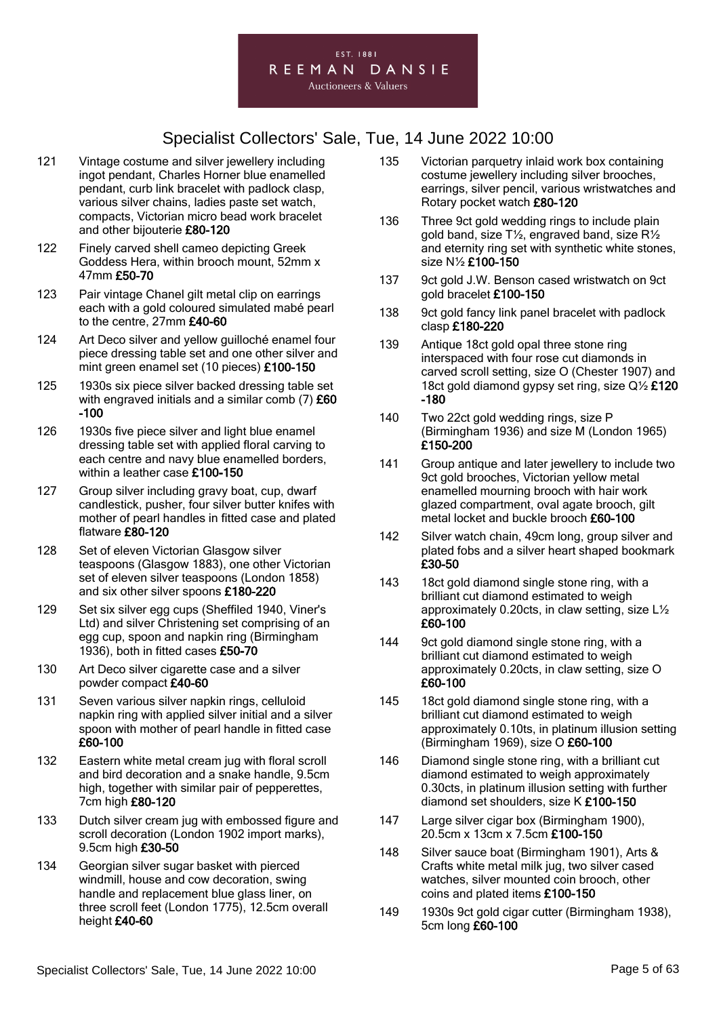

- 121 Vintage costume and silver jewellery including ingot pendant, Charles Horner blue enamelled pendant, curb link bracelet with padlock clasp, various silver chains, ladies paste set watch, compacts, Victorian micro bead work bracelet and other bijouterie £80-120
- 122 Finely carved shell cameo depicting Greek Goddess Hera, within brooch mount, 52mm x 47mm £50-70
- 123 Pair vintage Chanel gilt metal clip on earrings each with a gold coloured simulated mabé pearl to the centre, 27mm £40-60
- 124 Art Deco silver and yellow guilloché enamel four piece dressing table set and one other silver and mint green enamel set (10 pieces) £100-150
- 125 1930s six piece silver backed dressing table set with engraved initials and a similar comb (7) £60 -100
- 126 1930s five piece silver and light blue enamel dressing table set with applied floral carving to each centre and navy blue enamelled borders, within a leather case £100-150
- 127 Group silver including gravy boat, cup, dwarf candlestick, pusher, four silver butter knifes with mother of pearl handles in fitted case and plated flatware £80-120
- 128 Set of eleven Victorian Glasgow silver teaspoons (Glasgow 1883), one other Victorian set of eleven silver teaspoons (London 1858) and six other silver spoons £180-220
- 129 Set six silver egg cups (Sheffiled 1940, Viner's Ltd) and silver Christening set comprising of an egg cup, spoon and napkin ring (Birmingham 1936), both in fitted cases £50-70
- 130 Art Deco silver cigarette case and a silver powder compact £40-60
- 131 Seven various silver napkin rings, celluloid napkin ring with applied silver initial and a silver spoon with mother of pearl handle in fitted case £60-100
- 132 Eastern white metal cream jug with floral scroll and bird decoration and a snake handle, 9.5cm high, together with similar pair of pepperettes, 7cm high £80-120
- 133 Dutch silver cream jug with embossed figure and scroll decoration (London 1902 import marks), 9.5cm high £30-50
- 134 Georgian silver sugar basket with pierced windmill, house and cow decoration, swing handle and replacement blue glass liner, on three scroll feet (London 1775), 12.5cm overall height £40-60
- 135 Victorian parquetry inlaid work box containing costume jewellery including silver brooches, earrings, silver pencil, various wristwatches and Rotary pocket watch £80-120
- 136 Three 9ct gold wedding rings to include plain gold band, size T½, engraved band, size R½ and eternity ring set with synthetic white stones, size N½ £100-150
- 137 9ct gold J.W. Benson cased wristwatch on 9ct gold bracelet £100-150
- 138 9ct gold fancy link panel bracelet with padlock clasp £180-220
- 139 Antique 18ct gold opal three stone ring interspaced with four rose cut diamonds in carved scroll setting, size O (Chester 1907) and 18ct gold diamond gypsy set ring, size Q½ £120 -180
- 140 Two 22ct gold wedding rings, size P (Birmingham 1936) and size M (London 1965) £150-200
- 141 Group antique and later jewellery to include two 9ct gold brooches, Victorian yellow metal enamelled mourning brooch with hair work glazed compartment, oval agate brooch, gilt metal locket and buckle brooch £60-100
- 142 Silver watch chain, 49cm long, group silver and plated fobs and a silver heart shaped bookmark £30-50
- 143 18ct gold diamond single stone ring, with a brilliant cut diamond estimated to weigh approximately 0.20cts, in claw setting, size L½ £60-100
- 144 9ct gold diamond single stone ring, with a brilliant cut diamond estimated to weigh approximately 0.20cts, in claw setting, size O £60-100
- 145 18ct gold diamond single stone ring, with a brilliant cut diamond estimated to weigh approximately 0.10ts, in platinum illusion setting (Birmingham 1969), size O £60-100
- 146 Diamond single stone ring, with a brilliant cut diamond estimated to weigh approximately 0.30cts, in platinum illusion setting with further diamond set shoulders, size K £100-150
- 147 Large silver cigar box (Birmingham 1900). 20.5cm x 13cm x 7.5cm £100-150
- 148 Silver sauce boat (Birmingham 1901), Arts & Crafts white metal milk jug, two silver cased watches, silver mounted coin brooch, other coins and plated items £100-150
- 149 1930s 9ct gold cigar cutter (Birmingham 1938), 5cm long £60-100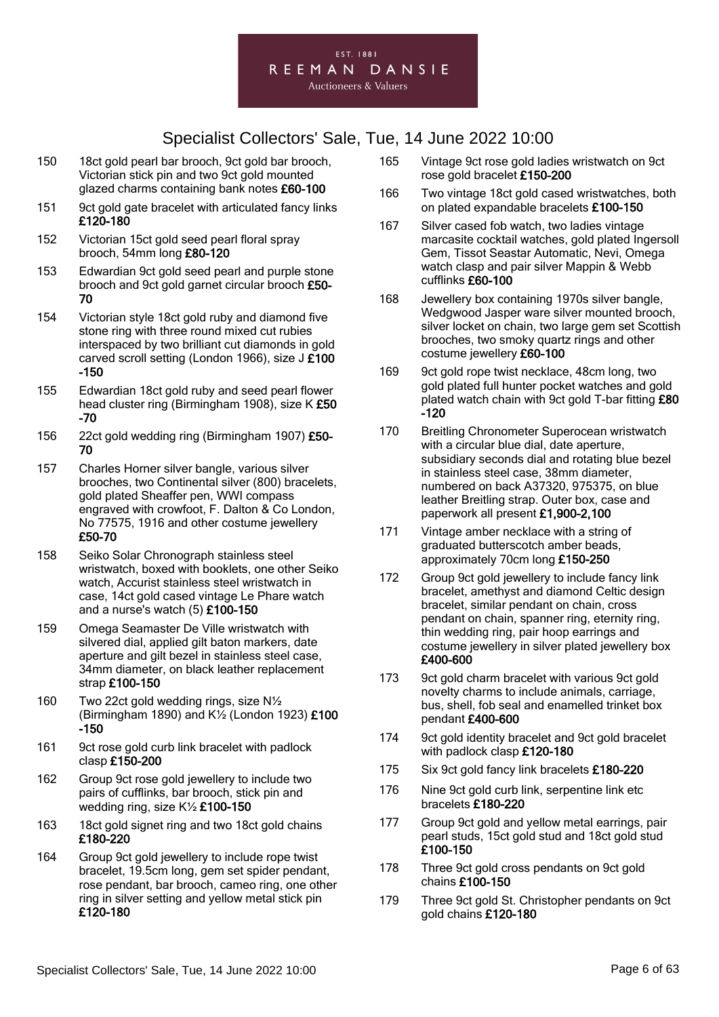#### EST. 1881 REEMAN DANSIE **Auctioneers & Valuers**

- 150 18ct gold pearl bar brooch, 9ct gold bar brooch, Victorian stick pin and two 9ct gold mounted glazed charms containing bank notes £60-100
- 151 9ct gold gate bracelet with articulated fancy links £120-180
- 152 Victorian 15ct gold seed pearl floral spray brooch, 54mm long £80-120
- 153 Edwardian 9ct gold seed pearl and purple stone brooch and 9ct gold garnet circular brooch £50- 70
- 154 Victorian style 18ct gold ruby and diamond five stone ring with three round mixed cut rubies interspaced by two brilliant cut diamonds in gold carved scroll setting (London 1966), size J £100 -150
- 155 Edwardian 18ct gold ruby and seed pearl flower head cluster ring (Birmingham 1908), size K £50 -70
- 156 22ct gold wedding ring (Birmingham 1907) £50- 70
- 157 Charles Horner silver bangle, various silver brooches, two Continental silver (800) bracelets, gold plated Sheaffer pen, WWI compass engraved with crowfoot, F. Dalton & Co London, No 77575, 1916 and other costume jewellery £50-70
- 158 Seiko Solar Chronograph stainless steel wristwatch, boxed with booklets, one other Seiko watch, Accurist stainless steel wristwatch in case, 14ct gold cased vintage Le Phare watch and a nurse's watch (5) £100-150
- 159 Omega Seamaster De Ville wristwatch with silvered dial, applied gilt baton markers, date aperture and gilt bezel in stainless steel case, 34mm diameter, on black leather replacement strap £100-150
- 160 Two 22ct gold wedding rings, size N½ (Birmingham 1890) and K½ (London 1923) £100 -150
- 161 9ct rose gold curb link bracelet with padlock clasp £150-200
- 162 Group 9ct rose gold jewellery to include two pairs of cufflinks, bar brooch, stick pin and wedding ring, size K½ £100-150
- 163 18ct gold signet ring and two 18ct gold chains £180-220
- 164 Group 9ct gold jewellery to include rope twist bracelet, 19.5cm long, gem set spider pendant, rose pendant, bar brooch, cameo ring, one other ring in silver setting and yellow metal stick pin £120-180
- 165 Vintage 9ct rose gold ladies wristwatch on 9ct rose gold bracelet £150-200
- 166 Two vintage 18ct gold cased wristwatches, both on plated expandable bracelets £100-150
- 167 Silver cased fob watch, two ladies vintage marcasite cocktail watches, gold plated Ingersoll Gem, Tissot Seastar Automatic, Nevi, Omega watch clasp and pair silver Mappin & Webb cufflinks £60-100
- 168 Jewellery box containing 1970s silver bangle, Wedgwood Jasper ware silver mounted brooch, silver locket on chain, two large gem set Scottish brooches, two smoky quartz rings and other costume jewellery £60-100
- 169 9ct gold rope twist necklace, 48cm long, two gold plated full hunter pocket watches and gold plated watch chain with 9ct gold T-bar fitting £80 -120
- 170 Breitling Chronometer Superocean wristwatch with a circular blue dial, date aperture, subsidiary seconds dial and rotating blue bezel in stainless steel case, 38mm diameter, numbered on back A37320, 975375, on blue leather Breitling strap. Outer box, case and paperwork all present £1,900-2,100
- 171 Vintage amber necklace with a string of graduated butterscotch amber beads, approximately 70cm long £150-250
- 172 Group 9ct gold jewellery to include fancy link bracelet, amethyst and diamond Celtic design bracelet, similar pendant on chain, cross pendant on chain, spanner ring, eternity ring, thin wedding ring, pair hoop earrings and costume jewellery in silver plated jewellery box £400-600
- 173 9ct gold charm bracelet with various 9ct gold novelty charms to include animals, carriage, bus, shell, fob seal and enamelled trinket box pendant £400-600
- 174 9ct gold identity bracelet and 9ct gold bracelet with padlock clasp £120-180
- 175 Six 9ct gold fancy link bracelets £180-220
- 176 Nine 9ct gold curb link, serpentine link etc bracelets £180-220
- 177 Group 9ct gold and yellow metal earrings, pair pearl studs, 15ct gold stud and 18ct gold stud £100-150
- 178 Three 9ct gold cross pendants on 9ct gold chains £100-150
- 179 Three 9ct gold St. Christopher pendants on 9ct gold chains £120-180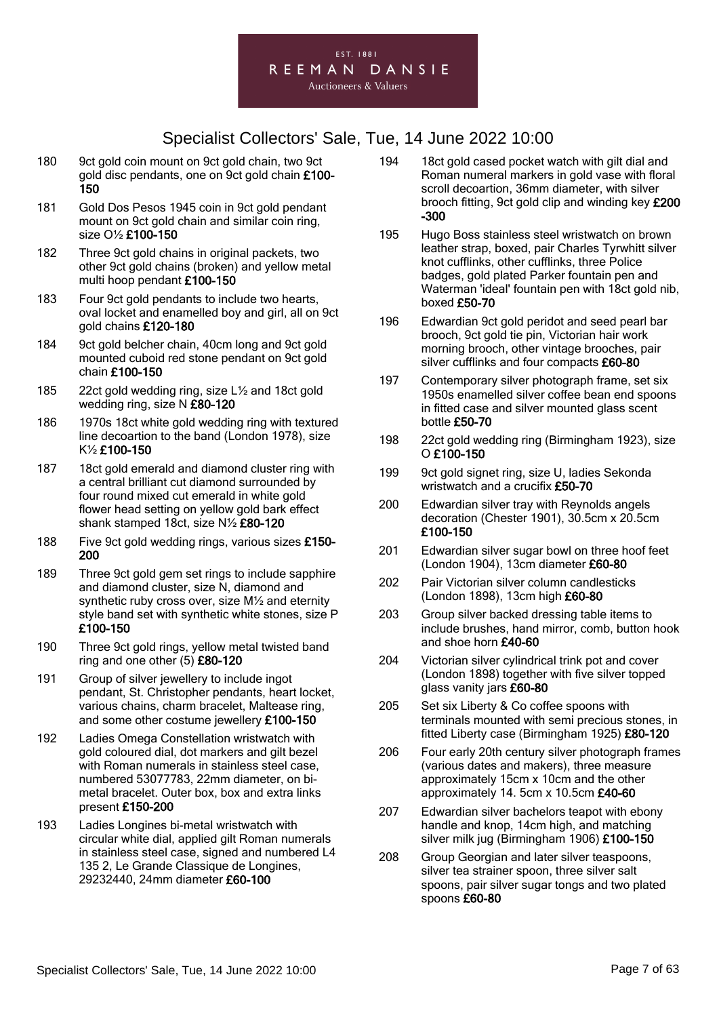

- 180 9ct gold coin mount on 9ct gold chain, two 9ct gold disc pendants, one on 9ct gold chain £100- 150
- 181 Gold Dos Pesos 1945 coin in 9ct gold pendant mount on 9ct gold chain and similar coin ring, size O½ £100-150
- 182 Three 9ct gold chains in original packets, two other 9ct gold chains (broken) and yellow metal multi hoop pendant £100-150
- 183 Four 9ct gold pendants to include two hearts, oval locket and enamelled boy and girl, all on 9ct gold chains £120-180
- 184 9ct gold belcher chain, 40cm long and 9ct gold mounted cuboid red stone pendant on 9ct gold chain £100-150
- 185 22ct gold wedding ring, size L½ and 18ct gold wedding ring, size N £80-120
- 186 1970s 18ct white gold wedding ring with textured line decoartion to the band (London 1978), size K½ £100-150
- 187 18ct gold emerald and diamond cluster ring with a central brilliant cut diamond surrounded by four round mixed cut emerald in white gold flower head setting on yellow gold bark effect shank stamped 18ct, size N½ £80-120
- 188 Five 9ct gold wedding rings, various sizes £150- 200
- 189 Three 9ct gold gem set rings to include sapphire and diamond cluster, size N, diamond and synthetic ruby cross over, size M½ and eternity style band set with synthetic white stones, size P £100-150
- 190 Three 9ct gold rings, yellow metal twisted band ring and one other (5) £80-120
- 191 Group of silver jewellery to include ingot pendant, St. Christopher pendants, heart locket, various chains, charm bracelet, Maltease ring, and some other costume jewellery £100-150
- 192 Ladies Omega Constellation wristwatch with gold coloured dial, dot markers and gilt bezel with Roman numerals in stainless steel case, numbered 53077783, 22mm diameter, on bimetal bracelet. Outer box, box and extra links present £150-200
- 193 Ladies Longines bi-metal wristwatch with circular white dial, applied gilt Roman numerals in stainless steel case, signed and numbered L4 135 2, Le Grande Classique de Longines, 29232440, 24mm diameter £60-100
- 194 18ct gold cased pocket watch with gilt dial and Roman numeral markers in gold vase with floral scroll decoartion, 36mm diameter, with silver brooch fitting, 9ct gold clip and winding key £200 -300
- 195 Hugo Boss stainless steel wristwatch on brown leather strap, boxed, pair Charles Tyrwhitt silver knot cufflinks, other cufflinks, three Police badges, gold plated Parker fountain pen and Waterman 'ideal' fountain pen with 18ct gold nib, boxed £50-70
- 196 Edwardian 9ct gold peridot and seed pearl bar brooch, 9ct gold tie pin, Victorian hair work morning brooch, other vintage brooches, pair silver cufflinks and four compacts £60-80
- 197 Contemporary silver photograph frame, set six 1950s enamelled silver coffee bean end spoons in fitted case and silver mounted glass scent bottle £50-70
- 198 22ct gold wedding ring (Birmingham 1923), size O £100-150
- 199 9ct gold signet ring, size U, ladies Sekonda wristwatch and a crucifix £50-70
- 200 Edwardian silver tray with Reynolds angels decoration (Chester 1901), 30.5cm x 20.5cm £100-150
- 201 Edwardian silver sugar bowl on three hoof feet (London 1904), 13cm diameter £60-80
- 202 Pair Victorian silver column candlesticks (London 1898), 13cm high £60-80
- 203 Group silver backed dressing table items to include brushes, hand mirror, comb, button hook and shoe horn £40-60
- 204 Victorian silver cylindrical trink pot and cover (London 1898) together with five silver topped glass vanity jars £60-80
- 205 Set six Liberty & Co coffee spoons with terminals mounted with semi precious stones, in fitted Liberty case (Birmingham 1925) £80-120
- 206 Four early 20th century silver photograph frames (various dates and makers), three measure approximately 15cm x 10cm and the other approximately 14. 5cm x 10.5cm £40-60
- 207 Edwardian silver bachelors teapot with ebony handle and knop, 14cm high, and matching silver milk jug (Birmingham 1906) £100-150
- 208 Group Georgian and later silver teaspoons, silver tea strainer spoon, three silver salt spoons, pair silver sugar tongs and two plated spoons £60-80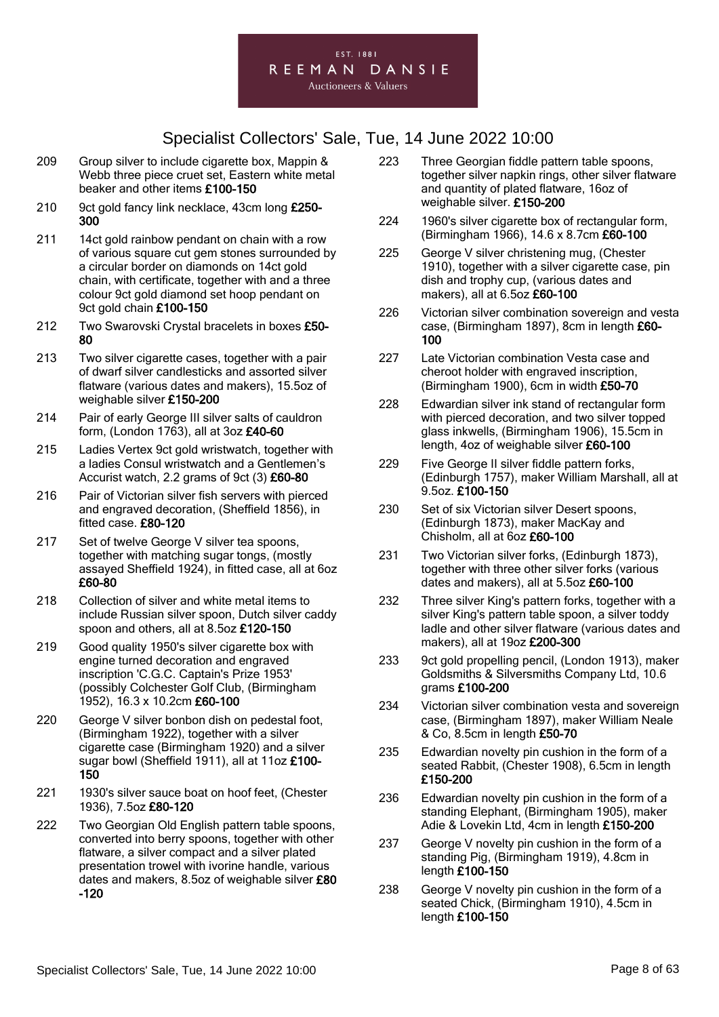#### EST. 1881 REEMAN DANSIE

**Auctioneers & Valuers** 

- 209 Group silver to include cigarette box, Mappin & Webb three piece cruet set, Eastern white metal beaker and other items £100-150
- 210 9ct gold fancy link necklace, 43cm long £250-300
- 211 14ct gold rainbow pendant on chain with a row of various square cut gem stones surrounded by a circular border on diamonds on 14ct gold chain, with certificate, together with and a three colour 9ct gold diamond set hoop pendant on 9ct gold chain £100-150
- 212 Two Swarovski Crystal bracelets in boxes £50-80
- 213 Two silver cigarette cases, together with a pair of dwarf silver candlesticks and assorted silver flatware (various dates and makers), 15.5oz of weighable silver £150-200
- 214 Pair of early George III silver salts of cauldron form, (London 1763), all at 3oz £40-60
- 215 Ladies Vertex 9ct gold wristwatch, together with a ladies Consul wristwatch and a Gentlemen's Accurist watch, 2.2 grams of 9ct (3) £60-80
- 216 Pair of Victorian silver fish servers with pierced and engraved decoration, (Sheffield 1856), in fitted case. £80-120
- 217 Set of twelve George V silver tea spoons, together with matching sugar tongs, (mostly assayed Sheffield 1924), in fitted case, all at 6oz £60-80
- 218 Collection of silver and white metal items to include Russian silver spoon, Dutch silver caddy spoon and others, all at 8.5oz £120-150
- 219 Good quality 1950's silver cigarette box with engine turned decoration and engraved inscription 'C.G.C. Captain's Prize 1953' (possibly Colchester Golf Club, (Birmingham 1952), 16.3 x 10.2cm £60-100
- 220 George V silver bonbon dish on pedestal foot, (Birmingham 1922), together with a silver cigarette case (Birmingham 1920) and a silver sugar bowl (Sheffield 1911), all at 11oz £100- 150
- 221 1930's silver sauce boat on hoof feet, (Chester 1936), 7.5oz £80-120
- 222 Two Georgian Old English pattern table spoons, converted into berry spoons, together with other flatware, a silver compact and a silver plated presentation trowel with ivorine handle, various dates and makers, 8.5oz of weighable silver £80 -120
- 223 Three Georgian fiddle pattern table spoons, together silver napkin rings, other silver flatware and quantity of plated flatware, 16oz of weighable silver. £150-200
- 224 1960's silver cigarette box of rectangular form, (Birmingham 1966), 14.6 x 8.7cm £60-100
- 225 George V silver christening mug, (Chester 1910), together with a silver cigarette case, pin dish and trophy cup, (various dates and makers), all at 6.5oz £60-100
- 226 Victorian silver combination sovereign and vesta case, (Birmingham 1897), 8cm in length £60- 100
- 227 Late Victorian combination Vesta case and cheroot holder with engraved inscription, (Birmingham 1900), 6cm in width £50-70
- 228 Edwardian silver ink stand of rectangular form with pierced decoration, and two silver topped glass inkwells, (Birmingham 1906), 15.5cm in length, 4oz of weighable silver £60-100
- 229 Five George II silver fiddle pattern forks, (Edinburgh 1757), maker William Marshall, all at 9.5oz. £100-150
- 230 Set of six Victorian silver Desert spoons, (Edinburgh 1873), maker MacKay and Chisholm, all at 6oz £60-100
- 231 Two Victorian silver forks, (Edinburgh 1873), together with three other silver forks (various dates and makers), all at 5.5oz £60-100
- 232 Three silver King's pattern forks, together with a silver King's pattern table spoon, a silver toddy ladle and other silver flatware (various dates and makers), all at 19oz £200-300
- 233 9ct gold propelling pencil, (London 1913), maker Goldsmiths & Silversmiths Company Ltd, 10.6 grams £100-200
- 234 Victorian silver combination vesta and sovereign case, (Birmingham 1897), maker William Neale & Co, 8.5cm in length £50-70
- 235 Edwardian novelty pin cushion in the form of a seated Rabbit, (Chester 1908), 6.5cm in length £150-200
- 236 Edwardian novelty pin cushion in the form of a standing Elephant, (Birmingham 1905), maker Adie & Lovekin Ltd, 4cm in length £150-200
- 237 George V novelty pin cushion in the form of a standing Pig, (Birmingham 1919), 4.8cm in length £100-150
- 238 George V novelty pin cushion in the form of a seated Chick, (Birmingham 1910), 4.5cm in length £100-150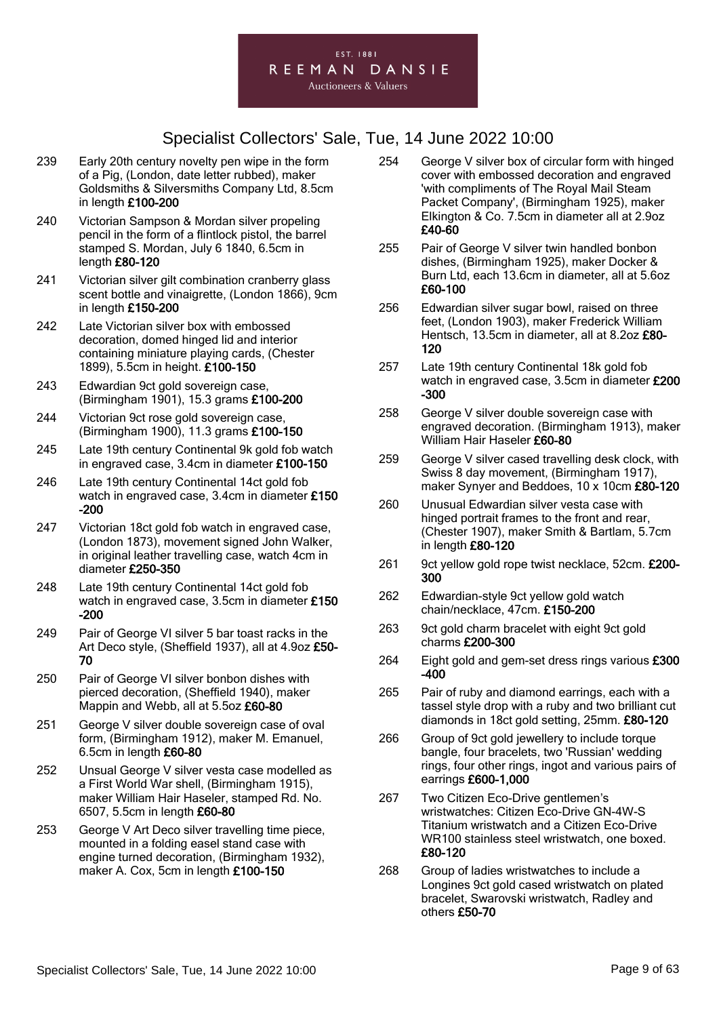

- 239 Early 20th century novelty pen wipe in the form of a Pig, (London, date letter rubbed), maker Goldsmiths & Silversmiths Company Ltd, 8.5cm in length £100-200
- 240 Victorian Sampson & Mordan silver propeling pencil in the form of a flintlock pistol, the barrel stamped S. Mordan, July 6 1840, 6.5cm in length £80-120
- 241 Victorian silver gilt combination cranberry glass scent bottle and vinaigrette, (London 1866), 9cm in length £150-200
- 242 Late Victorian silver box with embossed decoration, domed hinged lid and interior containing miniature playing cards, (Chester 1899), 5.5cm in height. £100-150
- 243 Edwardian 9ct gold sovereign case, (Birmingham 1901), 15.3 grams £100-200
- 244 Victorian 9ct rose gold sovereign case, (Birmingham 1900), 11.3 grams £100-150
- 245 Late 19th century Continental 9k gold fob watch in engraved case, 3.4cm in diameter £100-150
- 246 Late 19th century Continental 14ct gold fob watch in engraved case, 3.4cm in diameter £150 -200
- 247 Victorian 18ct gold fob watch in engraved case, (London 1873), movement signed John Walker, in original leather travelling case, watch 4cm in diameter £250-350
- 248 Late 19th century Continental 14ct gold fob watch in engraved case, 3.5cm in diameter £150 -200
- 249 Pair of George VI silver 5 bar toast racks in the Art Deco style, (Sheffield 1937), all at 4.9oz £50-70
- 250 Pair of George VI silver bonbon dishes with pierced decoration, (Sheffield 1940), maker Mappin and Webb, all at 5.5oz £60-80
- 251 George V silver double sovereign case of oval form, (Birmingham 1912), maker M. Emanuel, 6.5cm in length £60-80
- 252 Unsual George V silver vesta case modelled as a First World War shell, (Birmingham 1915), maker William Hair Haseler, stamped Rd. No. 6507, 5.5cm in length £60-80
- 253 George V Art Deco silver travelling time piece, mounted in a folding easel stand case with engine turned decoration, (Birmingham 1932), maker A. Cox, 5cm in length £100-150
- 254 George V silver box of circular form with hinged cover with embossed decoration and engraved 'with compliments of The Royal Mail Steam Packet Company', (Birmingham 1925), maker Elkington & Co. 7.5cm in diameter all at 2.9oz £40-60
- 255 Pair of George V silver twin handled bonbon dishes, (Birmingham 1925), maker Docker & Burn Ltd, each 13.6cm in diameter, all at 5.6oz £60-100
- 256 Edwardian silver sugar bowl, raised on three feet, (London 1903), maker Frederick William Hentsch, 13.5cm in diameter, all at 8.2oz £80-120
- 257 Late 19th century Continental 18k gold fob watch in engraved case, 3.5cm in diameter £200 -300
- 258 George V silver double sovereign case with engraved decoration. (Birmingham 1913), maker William Hair Haseler £60-80
- 259 George V silver cased travelling desk clock, with Swiss 8 day movement, (Birmingham 1917), maker Synyer and Beddoes, 10 x 10cm £80-120
- 260 Unusual Edwardian silver vesta case with hinged portrait frames to the front and rear, (Chester 1907), maker Smith & Bartlam, 5.7cm in length £80-120
- 261 9ct yellow gold rope twist necklace, 52cm. £200-300
- 262 Edwardian-style 9ct yellow gold watch chain/necklace, 47cm. £150-200
- 263 9ct gold charm bracelet with eight 9ct gold charms £200-300
- 264 Eight gold and gem-set dress rings various £300 -400
- 265 Pair of ruby and diamond earrings, each with a tassel style drop with a ruby and two brilliant cut diamonds in 18ct gold setting, 25mm. £80-120
- 266 Group of 9ct gold jewellery to include torque bangle, four bracelets, two 'Russian' wedding rings, four other rings, ingot and various pairs of earrings £600-1,000
- 267 Two Citizen Eco-Drive gentlemen's wristwatches: Citizen Eco-Drive GN-4W-S Titanium wristwatch and a Citizen Eco-Drive WR100 stainless steel wristwatch, one boxed. £80-120
- 268 Group of ladies wristwatches to include a Longines 9ct gold cased wristwatch on plated bracelet, Swarovski wristwatch, Radley and others £50-70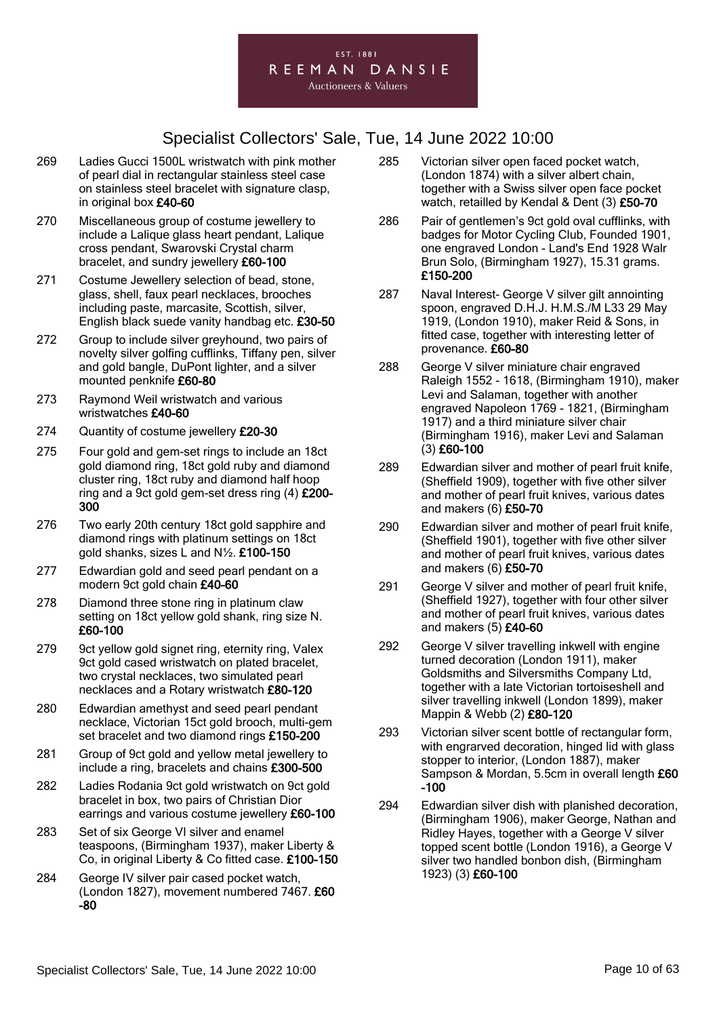

- 269 Ladies Gucci 1500L wristwatch with pink mother of pearl dial in rectangular stainless steel case on stainless steel bracelet with signature clasp, in original box £40-60
- 270 Miscellaneous group of costume jewellery to include a Lalique glass heart pendant, Lalique cross pendant, Swarovski Crystal charm bracelet, and sundry jewellery £60-100
- 271 Costume Jewellery selection of bead, stone, glass, shell, faux pearl necklaces, brooches including paste, marcasite, Scottish, silver, English black suede vanity handbag etc. £30-50
- 272 Group to include silver greyhound, two pairs of novelty silver golfing cufflinks, Tiffany pen, silver and gold bangle, DuPont lighter, and a silver mounted penknife £60-80
- 273 Raymond Weil wristwatch and various wristwatches £40-60
- 274 Quantity of costume jewellery £20-30
- 275 Four gold and gem-set rings to include an 18ct gold diamond ring, 18ct gold ruby and diamond cluster ring, 18ct ruby and diamond half hoop ring and a 9ct gold gem-set dress ring (4) £200- 300
- 276 Two early 20th century 18ct gold sapphire and diamond rings with platinum settings on 18ct gold shanks, sizes L and N½. £100-150
- 277 Edwardian gold and seed pearl pendant on a modern 9ct gold chain £40-60
- 278 Diamond three stone ring in platinum claw setting on 18ct yellow gold shank, ring size N. £60-100
- 279 9ct yellow gold signet ring, eternity ring, Valex 9ct gold cased wristwatch on plated bracelet, two crystal necklaces, two simulated pearl necklaces and a Rotary wristwatch £80-120
- 280 Edwardian amethyst and seed pearl pendant necklace, Victorian 15ct gold brooch, multi-gem set bracelet and two diamond rings £150-200
- 281 Group of 9ct gold and yellow metal jewellery to include a ring, bracelets and chains £300-500
- 282 Ladies Rodania 9ct gold wristwatch on 9ct gold bracelet in box, two pairs of Christian Dior earrings and various costume jewellery £60-100
- 283 Set of six George VI silver and enamel teaspoons, (Birmingham 1937), maker Liberty & Co, in original Liberty & Co fitted case. £100-150
- 284 George IV silver pair cased pocket watch, (London 1827), movement numbered 7467. £60 -80
- 285 Victorian silver open faced pocket watch, (London 1874) with a silver albert chain, together with a Swiss silver open face pocket watch, retailled by Kendal & Dent (3) £50-70
- 286 Pair of gentlemen's 9ct gold oval cufflinks, with badges for Motor Cycling Club, Founded 1901, one engraved London - Land's End 1928 Walr Brun Solo, (Birmingham 1927), 15.31 grams. £150-200
- 287 Naval Interest- George V silver gilt annointing spoon, engraved D.H.J. H.M.S./M L33 29 May 1919, (London 1910), maker Reid & Sons, in fitted case, together with interesting letter of provenance. £60-80
- 288 George V silver miniature chair engraved Raleigh 1552 - 1618, (Birmingham 1910), maker Levi and Salaman, together with another engraved Napoleon 1769 - 1821, (Birmingham 1917) and a third miniature silver chair (Birmingham 1916), maker Levi and Salaman (3) £60-100
- 289 Edwardian silver and mother of pearl fruit knife, (Sheffield 1909), together with five other silver and mother of pearl fruit knives, various dates and makers (6) £50-70
- 290 Edwardian silver and mother of pearl fruit knife, (Sheffield 1901), together with five other silver and mother of pearl fruit knives, various dates and makers (6) £50-70
- 291 George V silver and mother of pearl fruit knife. (Sheffield 1927), together with four other silver and mother of pearl fruit knives, various dates and makers (5) £40-60
- 292 George V silver travelling inkwell with engine turned decoration (London 1911), maker Goldsmiths and Silversmiths Company Ltd, together with a late Victorian tortoiseshell and silver travelling inkwell (London 1899), maker Mappin & Webb (2) £80-120
- 293 Victorian silver scent bottle of rectangular form, with engrarved decoration, hinged lid with glass stopper to interior, (London 1887), maker Sampson & Mordan, 5.5cm in overall length £60 -100
- 294 Edwardian silver dish with planished decoration, (Birmingham 1906), maker George, Nathan and Ridley Hayes, together with a George V silver topped scent bottle (London 1916), a George V silver two handled bonbon dish, (Birmingham 1923) (3) £60-100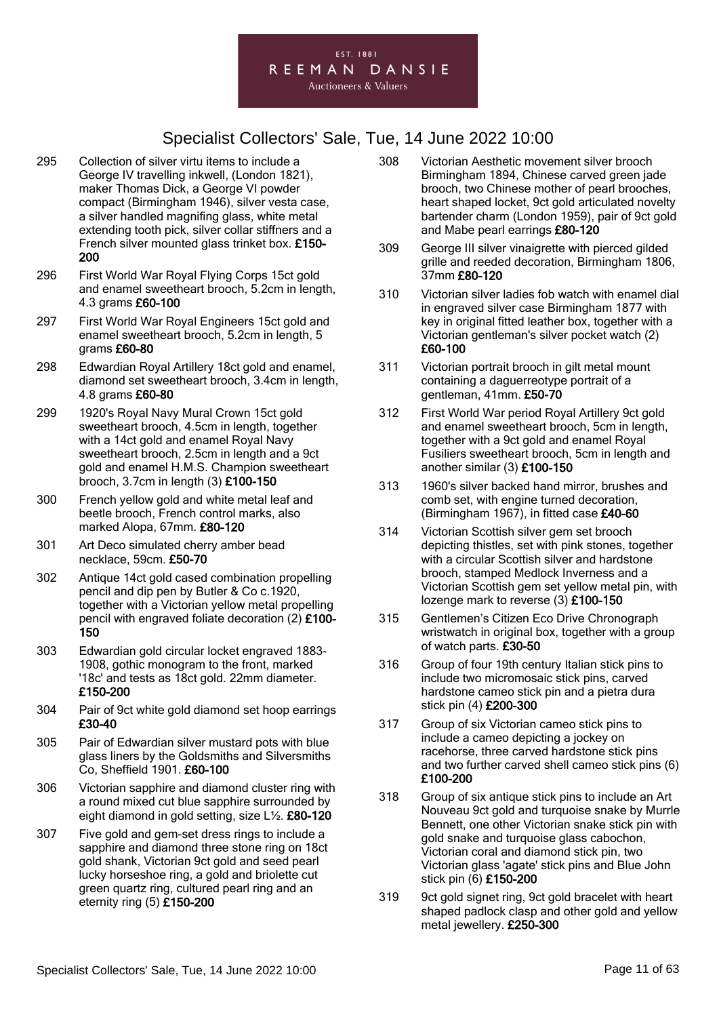

- 295 Collection of silver virtu items to include a George IV travelling inkwell, (London 1821), maker Thomas Dick, a George VI powder compact (Birmingham 1946), silver vesta case, a silver handled magnifing glass, white metal extending tooth pick, silver collar stiffners and a French silver mounted glass trinket box. £150- 200
- 296 First World War Royal Flying Corps 15ct gold and enamel sweetheart brooch, 5.2cm in length, 4.3 grams £60-100
- 297 First World War Royal Engineers 15ct gold and enamel sweetheart brooch, 5.2cm in length, 5 grams £60-80
- 298 Edwardian Royal Artillery 18ct gold and enamel, diamond set sweetheart brooch, 3.4cm in length, 4.8 grams £60-80
- 299 1920's Royal Navy Mural Crown 15ct gold sweetheart brooch, 4.5cm in length, together with a 14ct gold and enamel Royal Navy sweetheart brooch, 2.5cm in length and a 9ct gold and enamel H.M.S. Champion sweetheart brooch, 3.7cm in length (3) £100-150
- 300 French yellow gold and white metal leaf and beetle brooch, French control marks, also marked Alopa, 67mm. £80-120
- 301 Art Deco simulated cherry amber bead necklace, 59cm. £50-70
- 302 Antique 14ct gold cased combination propelling pencil and dip pen by Butler & Co c.1920, together with a Victorian yellow metal propelling pencil with engraved foliate decoration (2) £100- 150
- 303 Edwardian gold circular locket engraved 1883- 1908, gothic monogram to the front, marked '18c' and tests as 18ct gold. 22mm diameter. £150-200
- 304 Pair of 9ct white gold diamond set hoop earrings £30-40
- 305 Pair of Edwardian silver mustard pots with blue glass liners by the Goldsmiths and Silversmiths Co, Sheffield 1901. £60-100
- 306 Victorian sapphire and diamond cluster ring with a round mixed cut blue sapphire surrounded by eight diamond in gold setting, size L½. £80-120
- 307 Five gold and gem-set dress rings to include a sapphire and diamond three stone ring on 18ct gold shank, Victorian 9ct gold and seed pearl lucky horseshoe ring, a gold and briolette cut green quartz ring, cultured pearl ring and an eternity ring (5) £150-200
- 308 Victorian Aesthetic movement silver brooch Birmingham 1894, Chinese carved green jade brooch, two Chinese mother of pearl brooches, heart shaped locket, 9ct gold articulated novelty bartender charm (London 1959), pair of 9ct gold and Mabe pearl earrings £80-120
- 309 George III silver vinaigrette with pierced gilded grille and reeded decoration, Birmingham 1806, 37mm £80-120
- 310 Victorian silver ladies fob watch with enamel dial in engraved silver case Birmingham 1877 with key in original fitted leather box, together with a Victorian gentleman's silver pocket watch (2) £60-100
- 311 Victorian portrait brooch in gilt metal mount containing a daguerreotype portrait of a gentleman, 41mm. £50-70
- 312 First World War period Royal Artillery 9ct gold and enamel sweetheart brooch, 5cm in length, together with a 9ct gold and enamel Royal Fusiliers sweetheart brooch, 5cm in length and another similar (3) £100-150
- 313 1960's silver backed hand mirror, brushes and comb set, with engine turned decoration, (Birmingham 1967), in fitted case £40-60
- 314 Victorian Scottish silver gem set brooch depicting thistles, set with pink stones, together with a circular Scottish silver and hardstone brooch, stamped Medlock Inverness and a Victorian Scottish gem set yellow metal pin, with lozenge mark to reverse (3) £100-150
- 315 Gentlemen's Citizen Eco Drive Chronograph wristwatch in original box, together with a group of watch parts. £30-50
- 316 Group of four 19th century Italian stick pins to include two micromosaic stick pins, carved hardstone cameo stick pin and a pietra dura stick pin (4) £200-300
- 317 Group of six Victorian cameo stick pins to include a cameo depicting a jockey on racehorse, three carved hardstone stick pins and two further carved shell cameo stick pins (6) £100-200
- 318 Group of six antique stick pins to include an Art Nouveau 9ct gold and turquoise snake by Murrle Bennett, one other Victorian snake stick pin with gold snake and turquoise glass cabochon, Victorian coral and diamond stick pin, two Victorian glass 'agate' stick pins and Blue John stick pin (6) £150-200
- 319 9ct gold signet ring, 9ct gold bracelet with heart shaped padlock clasp and other gold and yellow metal jewellery. £250-300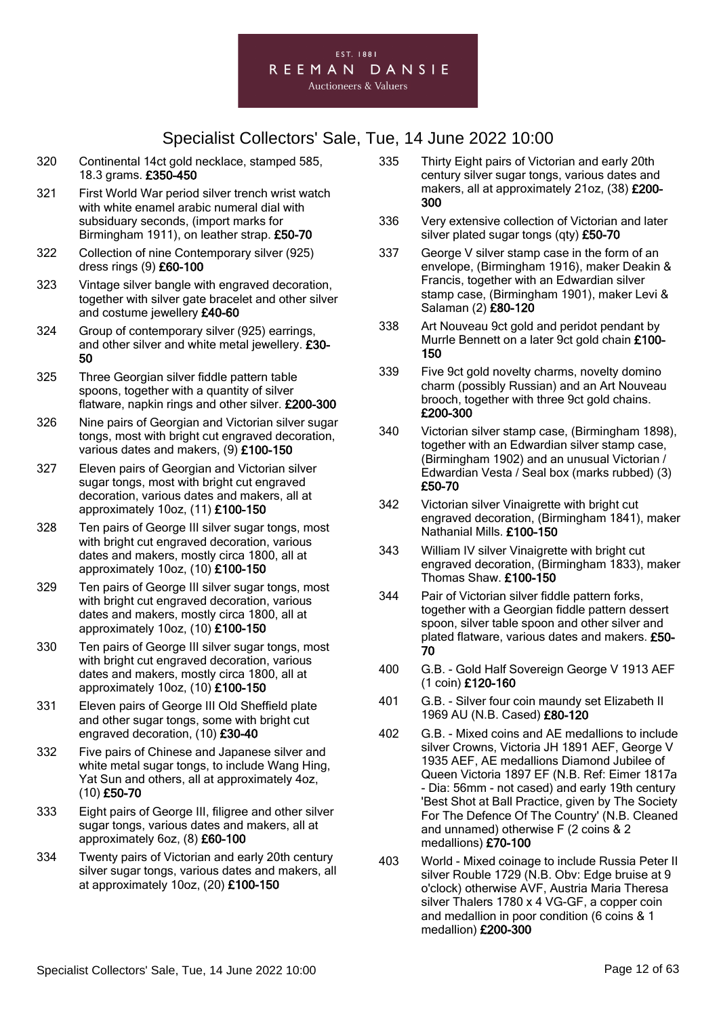

- 320 Continental 14ct gold necklace, stamped 585, 18.3 grams. £350-450
- 321 First World War period silver trench wrist watch with white enamel arabic numeral dial with subsiduary seconds, (import marks for Birmingham 1911), on leather strap. £50-70
- 322 Collection of nine Contemporary silver (925) dress rings (9) £60-100
- 323 Vintage silver bangle with engraved decoration, together with silver gate bracelet and other silver and costume jewellery £40-60
- 324 Group of contemporary silver (925) earrings, and other silver and white metal jewellery. £30- 50
- 325 Three Georgian silver fiddle pattern table spoons, together with a quantity of silver flatware, napkin rings and other silver. £200-300
- 326 Nine pairs of Georgian and Victorian silver sugar tongs, most with bright cut engraved decoration, various dates and makers, (9) £100-150
- 327 Eleven pairs of Georgian and Victorian silver sugar tongs, most with bright cut engraved decoration, various dates and makers, all at approximately 10oz, (11) £100-150
- 328 Ten pairs of George III silver sugar tongs, most with bright cut engraved decoration, various dates and makers, mostly circa 1800, all at approximately 10oz, (10) £100-150
- 329 Ten pairs of George III silver sugar tongs, most with bright cut engraved decoration, various dates and makers, mostly circa 1800, all at approximately 10oz, (10) £100-150
- 330 Ten pairs of George III silver sugar tongs, most with bright cut engraved decoration, various dates and makers, mostly circa 1800, all at approximately 10oz, (10) £100-150
- 331 Eleven pairs of George III Old Sheffield plate and other sugar tongs, some with bright cut engraved decoration, (10) £30-40
- 332 Five pairs of Chinese and Japanese silver and white metal sugar tongs, to include Wang Hing, Yat Sun and others, all at approximately 4oz, (10) £50-70
- 333 Eight pairs of George III, filigree and other silver sugar tongs, various dates and makers, all at approximately 6oz, (8) £60-100
- 334 Twenty pairs of Victorian and early 20th century silver sugar tongs, various dates and makers, all at approximately 10oz, (20) £100-150
- 335 Thirty Eight pairs of Victorian and early 20th century silver sugar tongs, various dates and makers, all at approximately 21oz, (38) £200- 300
- 336 Very extensive collection of Victorian and later silver plated sugar tongs (qty) £50-70
- 337 George V silver stamp case in the form of an envelope, (Birmingham 1916), maker Deakin & Francis, together with an Edwardian silver stamp case, (Birmingham 1901), maker Levi & Salaman (2) £80-120
- 338 Art Nouveau 9ct gold and peridot pendant by Murrle Bennett on a later 9ct gold chain £100- 150
- 339 Five 9ct gold novelty charms, novelty domino charm (possibly Russian) and an Art Nouveau brooch, together with three 9ct gold chains. £200-300
- 340 Victorian silver stamp case, (Birmingham 1898), together with an Edwardian silver stamp case, (Birmingham 1902) and an unusual Victorian / Edwardian Vesta / Seal box (marks rubbed) (3) £50-70
- 342 Victorian silver Vinaigrette with bright cut engraved decoration, (Birmingham 1841), maker Nathanial Mills. £100-150
- 343 William IV silver Vinaigrette with bright cut engraved decoration, (Birmingham 1833), maker Thomas Shaw. £100-150
- 344 Pair of Victorian silver fiddle pattern forks, together with a Georgian fiddle pattern dessert spoon, silver table spoon and other silver and plated flatware, various dates and makers. £50- 70
- 400 G.B. Gold Half Sovereign George V 1913 AEF (1 coin) £120-160
- 401 G.B. Silver four coin maundy set Elizabeth II 1969 AU (N.B. Cased) £80-120
- 402 G.B. Mixed coins and AE medallions to include silver Crowns, Victoria JH 1891 AEF, George V 1935 AEF, AE medallions Diamond Jubilee of Queen Victoria 1897 EF (N.B. Ref: Eimer 1817a - Dia: 56mm - not cased) and early 19th century 'Best Shot at Ball Practice, given by The Society For The Defence Of The Country' (N.B. Cleaned and unnamed) otherwise F (2 coins & 2 medallions) £70-100
- 403 World Mixed coinage to include Russia Peter II silver Rouble 1729 (N.B. Obv: Edge bruise at 9 o'clock) otherwise AVF, Austria Maria Theresa silver Thalers 1780 x 4 VG-GF, a copper coin and medallion in poor condition (6 coins & 1 medallion) £200-300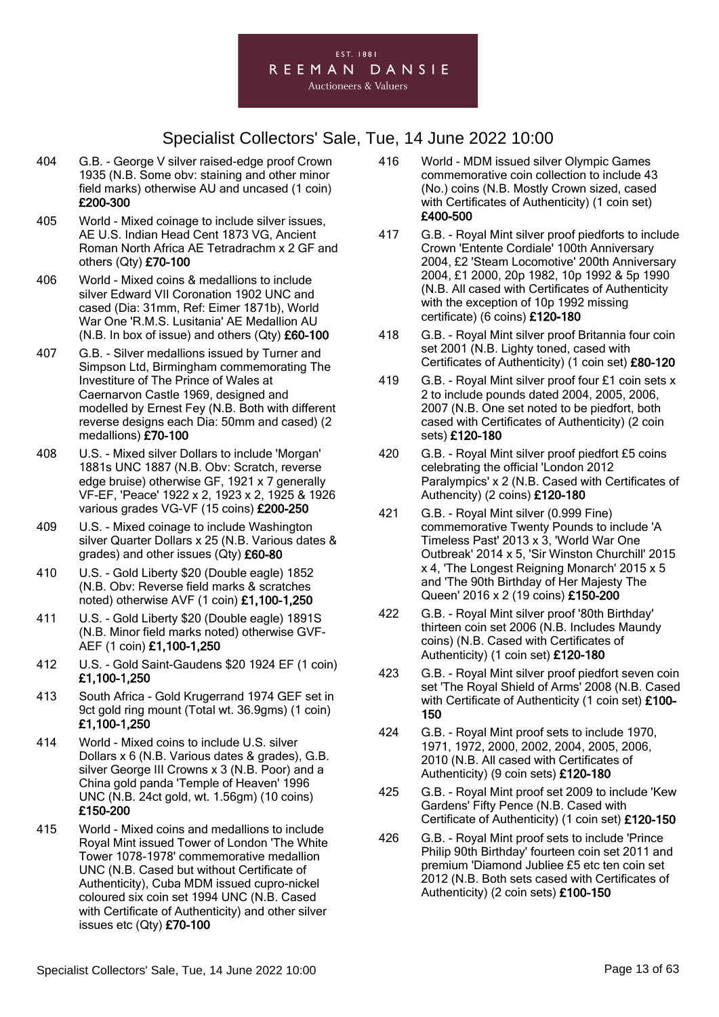

- 404 G.B. George V silver raised-edge proof Crown 1935 (N.B. Some obv: staining and other minor field marks) otherwise AU and uncased (1 coin) £200-300
- 405 World Mixed coinage to include silver issues, AE U.S. Indian Head Cent 1873 VG, Ancient Roman North Africa AE Tetradrachm x 2 GF and others (Qty) £70-100
- 406 World Mixed coins & medallions to include silver Edward VII Coronation 1902 UNC and cased (Dia: 31mm, Ref: Eimer 1871b), World War One 'R.M.S. Lusitania' AE Medallion AU (N.B. In box of issue) and others  $(Qty)$  £60-100
- 407 G.B. Silver medallions issued by Turner and Simpson Ltd, Birmingham commemorating The Investiture of The Prince of Wales at Caernarvon Castle 1969, designed and modelled by Ernest Fey (N.B. Both with different reverse designs each Dia: 50mm and cased) (2 medallions) £70-100
- 408 U.S. Mixed silver Dollars to include 'Morgan' 1881s UNC 1887 (N.B. Obv: Scratch, reverse edge bruise) otherwise GF, 1921 x 7 generally VF-EF, 'Peace' 1922 x 2, 1923 x 2, 1925 & 1926 various grades VG-VF (15 coins) £200-250
- 409 U.S. Mixed coinage to include Washington silver Quarter Dollars x 25 (N.B. Various dates & grades) and other issues (Qty) £60-80
- 410 U.S. Gold Liberty \$20 (Double eagle) 1852 (N.B. Obv: Reverse field marks & scratches noted) otherwise AVF (1 coin) £1,100-1,250
- 411 U.S. Gold Liberty \$20 (Double eagle) 1891S (N.B. Minor field marks noted) otherwise GVF-AEF (1 coin) £1,100-1,250
- 412 U.S. Gold Saint-Gaudens \$20 1924 EF (1 coin) £1,100-1,250
- 413 South Africa Gold Krugerrand 1974 GEF set in 9ct gold ring mount (Total wt. 36.9gms) (1 coin) £1,100-1,250
- 414 World Mixed coins to include U.S. silver Dollars x 6 (N.B. Various dates & grades), G.B. silver George III Crowns x 3 (N.B. Poor) and a China gold panda 'Temple of Heaven' 1996 UNC (N.B. 24ct gold, wt. 1.56gm) (10 coins) £150-200
- 415 World Mixed coins and medallions to include Royal Mint issued Tower of London 'The White Tower 1078-1978' commemorative medallion UNC (N.B. Cased but without Certificate of Authenticity), Cuba MDM issued cupro-nickel coloured six coin set 1994 UNC (N.B. Cased with Certificate of Authenticity) and other silver issues etc (Qty) £70-100
- 416 World MDM issued silver Olympic Games commemorative coin collection to include 43 (No.) coins (N.B. Mostly Crown sized, cased with Certificates of Authenticity) (1 coin set) £400-500
- 417 G.B. Royal Mint silver proof piedforts to include Crown 'Entente Cordiale' 100th Anniversary 2004, £2 'Steam Locomotive' 200th Anniversary 2004, £1 2000, 20p 1982, 10p 1992 & 5p 1990 (N.B. All cased with Certificates of Authenticity with the exception of 10p 1992 missing certificate) (6 coins) £120-180
- 418 G.B. Royal Mint silver proof Britannia four coin set 2001 (N.B. Lighty toned, cased with Certificates of Authenticity) (1 coin set) £80-120
- 419 G.B. Royal Mint silver proof four £1 coin sets x 2 to include pounds dated 2004, 2005, 2006, 2007 (N.B. One set noted to be piedfort, both cased with Certificates of Authenticity) (2 coin sets) £120-180
- 420 G.B. Royal Mint silver proof piedfort £5 coins celebrating the official 'London 2012 Paralympics' x 2 (N.B. Cased with Certificates of Authencity) (2 coins) £120-180
- 421 G.B. Royal Mint silver (0.999 Fine) commemorative Twenty Pounds to include 'A Timeless Past' 2013 x 3, 'World War One Outbreak' 2014 x 5, 'Sir Winston Churchill' 2015 x 4, 'The Longest Reigning Monarch' 2015 x 5 and 'The 90th Birthday of Her Majesty The Queen' 2016 x 2 (19 coins) £150-200
- 422 G.B. Royal Mint silver proof '80th Birthday' thirteen coin set 2006 (N.B. Includes Maundy coins) (N.B. Cased with Certificates of Authenticity) (1 coin set) £120-180
- 423 G.B. Royal Mint silver proof piedfort seven coin set 'The Royal Shield of Arms' 2008 (N.B. Cased with Certificate of Authenticity (1 coin set) £100-150
- 424 G.B. Royal Mint proof sets to include 1970, 1971, 1972, 2000, 2002, 2004, 2005, 2006, 2010 (N.B. All cased with Certificates of Authenticity) (9 coin sets) £120-180
- 425 G.B. Royal Mint proof set 2009 to include 'Kew Gardens' Fifty Pence (N.B. Cased with Certificate of Authenticity) (1 coin set) £120-150
- 426 G.B. Royal Mint proof sets to include 'Prince Philip 90th Birthday' fourteen coin set 2011 and premium 'Diamond Jubliee £5 etc ten coin set 2012 (N.B. Both sets cased with Certificates of Authenticity) (2 coin sets) £100-150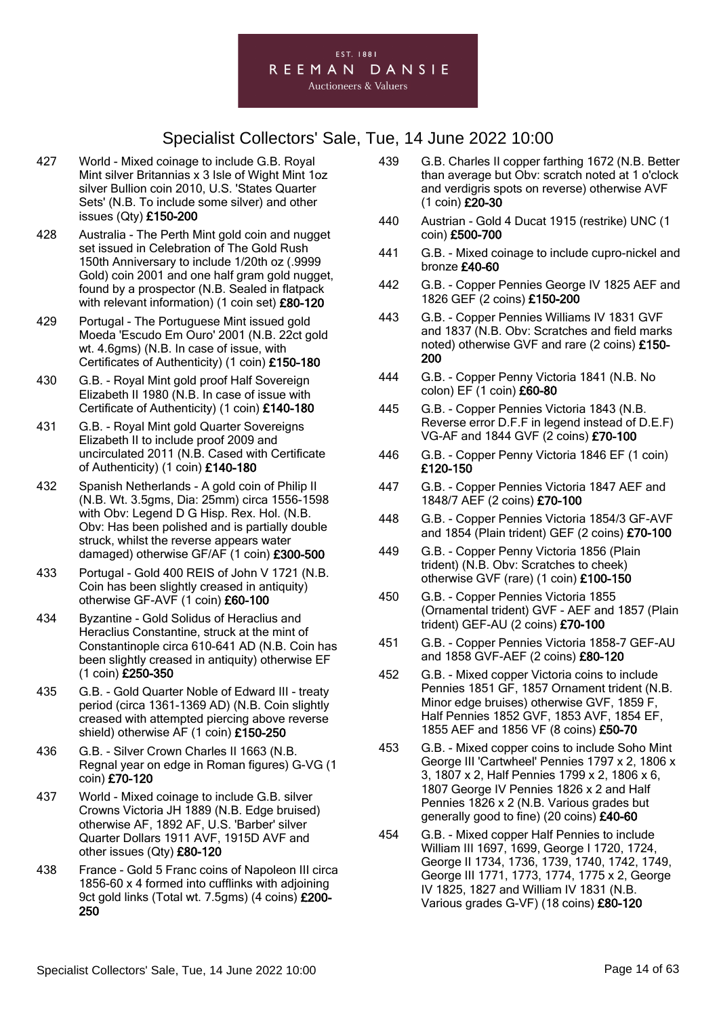

- 427 World Mixed coinage to include G.B. Royal Mint silver Britannias x 3 Isle of Wight Mint 1oz silver Bullion coin 2010, U.S. 'States Quarter Sets' (N.B. To include some silver) and other issues (Qty) £150-200
- 428 Australia The Perth Mint gold coin and nugget set issued in Celebration of The Gold Rush 150th Anniversary to include 1/20th oz (.9999 Gold) coin 2001 and one half gram gold nugget, found by a prospector (N.B. Sealed in flatpack with relevant information) (1 coin set) £80-120
- 429 Portugal The Portuguese Mint issued gold Moeda 'Escudo Em Ouro' 2001 (N.B. 22ct gold wt. 4.6gms) (N.B. In case of issue, with Certificates of Authenticity) (1 coin) £150-180
- 430 G.B. Royal Mint gold proof Half Sovereign Elizabeth II 1980 (N.B. In case of issue with Certificate of Authenticity) (1 coin) £140-180
- 431 G.B. Royal Mint gold Quarter Sovereigns Elizabeth II to include proof 2009 and uncirculated 2011 (N.B. Cased with Certificate of Authenticity) (1 coin) £140-180
- 432 Spanish Netherlands A gold coin of Philip II (N.B. Wt. 3.5gms, Dia: 25mm) circa 1556-1598 with Obv: Legend D G Hisp. Rex. Hol. (N.B. Obv: Has been polished and is partially double struck, whilst the reverse appears water damaged) otherwise GF/AF (1 coin) £300-500
- 433 Portugal Gold 400 REIS of John V 1721 (N.B. Coin has been slightly creased in antiquity) otherwise GF-AVF (1 coin) £60-100
- 434 Byzantine Gold Solidus of Heraclius and Heraclius Constantine, struck at the mint of Constantinople circa 610-641 AD (N.B. Coin has been slightly creased in antiquity) otherwise EF (1 coin) £250-350
- 435 G.B. Gold Quarter Noble of Edward III treaty period (circa 1361-1369 AD) (N.B. Coin slightly creased with attempted piercing above reverse shield) otherwise AF (1 coin) £150-250
- 436 G.B. Silver Crown Charles II 1663 (N.B. Regnal year on edge in Roman figures) G-VG (1 coin) £70-120
- 437 World Mixed coinage to include G.B. silver Crowns Victoria JH 1889 (N.B. Edge bruised) otherwise AF, 1892 AF, U.S. 'Barber' silver Quarter Dollars 1911 AVF, 1915D AVF and other issues (Qty) £80-120
- 438 France Gold 5 Franc coins of Napoleon III circa 1856-60 x 4 formed into cufflinks with adjoining 9ct gold links (Total wt. 7.5gms) (4 coins) £200-250
- 439 G.B. Charles II copper farthing 1672 (N.B. Better than average but Obv: scratch noted at 1 o'clock and verdigris spots on reverse) otherwise AVF (1 coin) £20-30
- 440 Austrian Gold 4 Ducat 1915 (restrike) UNC (1 coin) £500-700
- 441 G.B. Mixed coinage to include cupro-nickel and bronze £40-60
- 442 G.B. Copper Pennies George IV 1825 AEF and 1826 GEF (2 coins) £150-200
- 443 G.B. Copper Pennies Williams IV 1831 GVF and 1837 (N.B. Obv: Scratches and field marks noted) otherwise GVF and rare (2 coins) £150-200
- 444 G.B. Copper Penny Victoria 1841 (N.B. No colon) EF (1 coin) £60-80
- 445 G.B. Copper Pennies Victoria 1843 (N.B. Reverse error D.F.F in legend instead of D.E.F) VG-AF and 1844 GVF (2 coins) £70-100
- 446 G.B. Copper Penny Victoria 1846 EF (1 coin) £120-150
- 447 G.B. Copper Pennies Victoria 1847 AEF and 1848/7 AEF (2 coins) £70-100
- 448 G.B. Copper Pennies Victoria 1854/3 GF-AVF and 1854 (Plain trident) GEF (2 coins) £70-100
- 449 G.B. Copper Penny Victoria 1856 (Plain trident) (N.B. Obv: Scratches to cheek) otherwise GVF (rare) (1 coin) £100-150
- 450 G.B. Copper Pennies Victoria 1855 (Ornamental trident) GVF - AEF and 1857 (Plain trident) GEF-AU (2 coins) £70-100
- 451 G.B. Copper Pennies Victoria 1858-7 GEF-AU and 1858 GVF-AEF (2 coins) £80-120
- 452 G.B. Mixed copper Victoria coins to include Pennies 1851 GF, 1857 Ornament trident (N.B. Minor edge bruises) otherwise GVF, 1859 F, Half Pennies 1852 GVF, 1853 AVF, 1854 EF, 1855 AEF and 1856 VF (8 coins) £50-70
- 453 G.B. Mixed copper coins to include Soho Mint George III 'Cartwheel' Pennies 1797 x 2, 1806 x 3, 1807 x 2, Half Pennies 1799 x 2, 1806 x 6, 1807 George IV Pennies 1826 x 2 and Half Pennies 1826 x 2 (N.B. Various grades but generally good to fine) (20 coins) £40-60
- 454 G.B. Mixed copper Half Pennies to include William III 1697, 1699, George I 1720, 1724, George II 1734, 1736, 1739, 1740, 1742, 1749, George III 1771, 1773, 1774, 1775 x 2, George IV 1825, 1827 and William IV 1831 (N.B. Various grades G-VF) (18 coins) £80-120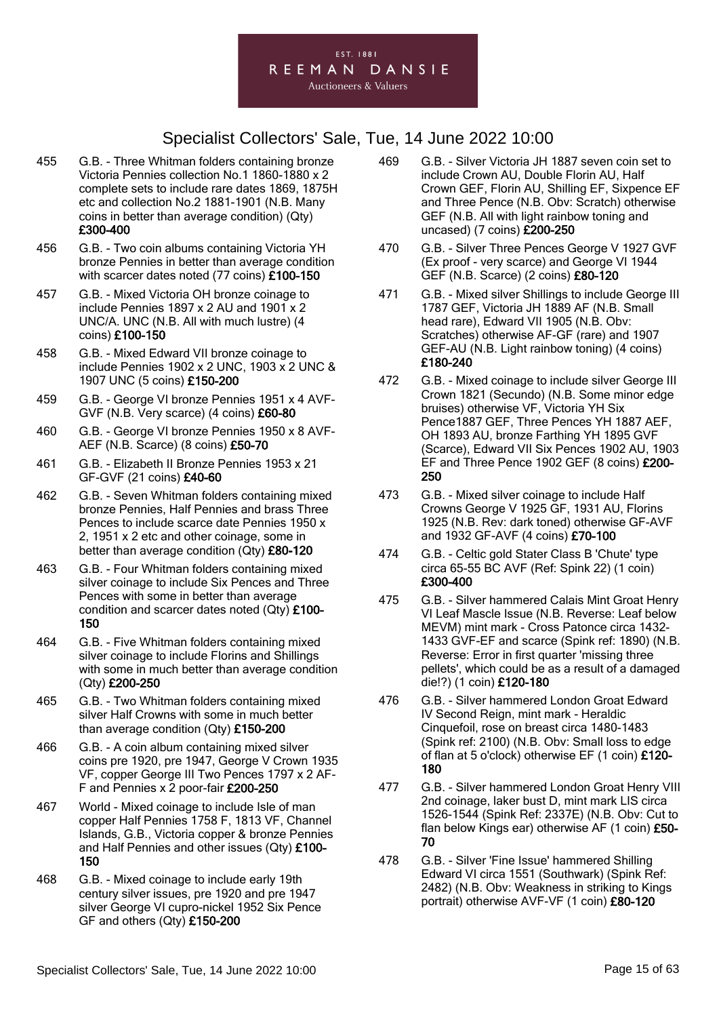

- 455 G.B. Three Whitman folders containing bronze Victoria Pennies collection No.1 1860-1880 x 2 complete sets to include rare dates 1869, 1875H etc and collection No.2 1881-1901 (N.B. Many coins in better than average condition) (Qty) £300-400
- 456 G.B. Two coin albums containing Victoria YH bronze Pennies in better than average condition with scarcer dates noted (77 coins) £100-150
- 457 G.B. Mixed Victoria OH bronze coinage to include Pennies 1897 x 2 AU and 1901 x 2 UNC/A. UNC (N.B. All with much lustre) (4 coins) £100-150
- 458 G.B. Mixed Edward VII bronze coinage to include Pennies 1902 x 2 UNC, 1903 x 2 UNC & 1907 UNC (5 coins) £150-200
- 459 G.B. George VI bronze Pennies 1951 x 4 AVF-GVF (N.B. Very scarce) (4 coins) £60-80
- 460 G.B. George VI bronze Pennies 1950 x 8 AVF-AEF (N.B. Scarce) (8 coins) £50-70
- 461 G.B. Elizabeth II Bronze Pennies 1953 x 21 GF-GVF (21 coins) £40-60
- 462 G.B. Seven Whitman folders containing mixed bronze Pennies, Half Pennies and brass Three Pences to include scarce date Pennies 1950 x 2, 1951 x 2 etc and other coinage, some in better than average condition (Qty) £80-120
- 463 G.B. Four Whitman folders containing mixed silver coinage to include Six Pences and Three Pences with some in better than average condition and scarcer dates noted (Qty) £100- 150
- 464 G.B. Five Whitman folders containing mixed silver coinage to include Florins and Shillings with some in much better than average condition (Qty) £200-250
- 465 G.B. Two Whitman folders containing mixed silver Half Crowns with some in much better than average condition (Qty) £150-200
- 466 G.B. A coin album containing mixed silver coins pre 1920, pre 1947, George V Crown 1935 VF, copper George III Two Pences 1797 x 2 AF-F and Pennies x 2 poor-fair £200-250
- 467 World Mixed coinage to include Isle of man copper Half Pennies 1758 F, 1813 VF, Channel Islands, G.B., Victoria copper & bronze Pennies and Half Pennies and other issues (Qty) £100- 150
- 468 G.B. Mixed coinage to include early 19th century silver issues, pre 1920 and pre 1947 silver George VI cupro-nickel 1952 Six Pence GF and others (Qty) £150-200
- 469 G.B. Silver Victoria JH 1887 seven coin set to include Crown AU, Double Florin AU, Half Crown GEF, Florin AU, Shilling EF, Sixpence EF and Three Pence (N.B. Obv: Scratch) otherwise GEF (N.B. All with light rainbow toning and uncased) (7 coins) £200-250
- 470 G.B. Silver Three Pences George V 1927 GVF (Ex proof - very scarce) and George VI 1944 GEF (N.B. Scarce) (2 coins) £80-120
- 471 G.B. Mixed silver Shillings to include George III 1787 GEF, Victoria JH 1889 AF (N.B. Small head rare), Edward VII 1905 (N.B. Obv: Scratches) otherwise AF-GF (rare) and 1907 GEF-AU (N.B. Light rainbow toning) (4 coins) £180-240
- 472 G.B. Mixed coinage to include silver George III Crown 1821 (Secundo) (N.B. Some minor edge bruises) otherwise VF, Victoria YH Six Pence1887 GEF, Three Pences YH 1887 AEF, OH 1893 AU, bronze Farthing YH 1895 GVF (Scarce), Edward VII Six Pences 1902 AU, 1903 EF and Three Pence 1902 GEF (8 coins) £200- 250
- 473 G.B. Mixed silver coinage to include Half Crowns George V 1925 GF, 1931 AU, Florins 1925 (N.B. Rev: dark toned) otherwise GF-AVF and 1932 GF-AVF (4 coins) £70-100
- 474 G.B. Celtic gold Stater Class B 'Chute' type circa 65-55 BC AVF (Ref: Spink 22) (1 coin) £300-400
- 475 G.B. Silver hammered Calais Mint Groat Henry VI Leaf Mascle Issue (N.B. Reverse: Leaf below MEVM) mint mark - Cross Patonce circa 1432- 1433 GVF-EF and scarce (Spink ref: 1890) (N.B. Reverse: Error in first quarter 'missing three pellets', which could be as a result of a damaged die!?) (1 coin) £120-180
- 476 G.B. Silver hammered London Groat Edward IV Second Reign, mint mark - Heraldic Cinquefoil, rose on breast circa 1480-1483 (Spink ref: 2100) (N.B. Obv: Small loss to edge of flan at 5 o'clock) otherwise EF (1 coin) £120- 180
- 477 G.B. Silver hammered London Groat Henry VIII 2nd coinage, laker bust D, mint mark LIS circa 1526-1544 (Spink Ref: 2337E) (N.B. Obv: Cut to flan below Kings ear) otherwise AF (1 coin) £50-70
- 478 G.B. Silver 'Fine Issue' hammered Shilling Edward VI circa 1551 (Southwark) (Spink Ref: 2482) (N.B. Obv: Weakness in striking to Kings portrait) otherwise AVF-VF (1 coin) £80-120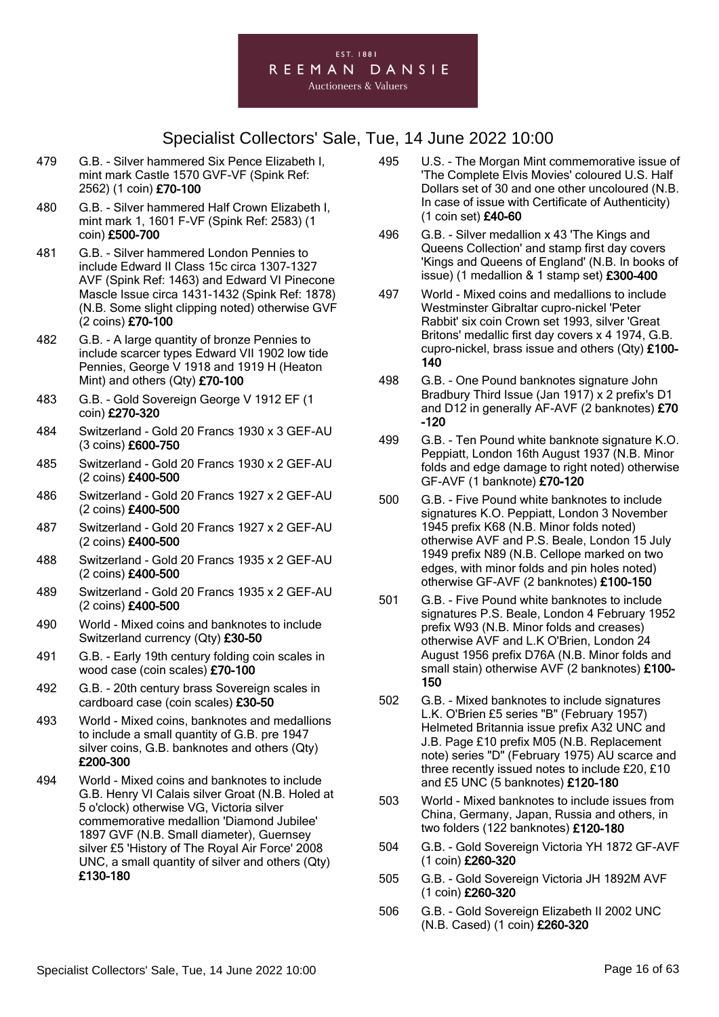#### EST. 1881 REEMAN DANSIE **Auctioneers & Valuers**

- 479 G.B. Silver hammered Six Pence Elizabeth I, mint mark Castle 1570 GVF-VF (Spink Ref: 2562) (1 coin) £70-100
- 480 G.B. Silver hammered Half Crown Elizabeth I, mint mark 1, 1601 F-VF (Spink Ref: 2583) (1 coin) £500-700
- 481 G.B. Silver hammered London Pennies to include Edward II Class 15c circa 1307-1327 AVF (Spink Ref: 1463) and Edward VI Pinecone Mascle Issue circa 1431-1432 (Spink Ref: 1878) (N.B. Some slight clipping noted) otherwise GVF (2 coins) £70-100
- 482 G.B. A large quantity of bronze Pennies to include scarcer types Edward VII 1902 low tide Pennies, George V 1918 and 1919 H (Heaton Mint) and others (Qty) £70-100
- 483 G.B. Gold Sovereign George V 1912 EF (1 coin) £270-320
- 484 Switzerland Gold 20 Francs 1930 x 3 GEF-AU (3 coins) £600-750
- 485 Switzerland Gold 20 Francs 1930 x 2 GEF-AU (2 coins) £400-500
- 486 Switzerland Gold 20 Francs 1927 x 2 GEF-AU (2 coins) £400-500
- 487 Switzerland Gold 20 Francs 1927 x 2 GEF-AU (2 coins) £400-500
- 488 Switzerland Gold 20 Francs 1935 x 2 GEF-AU (2 coins) £400-500
- 489 Switzerland Gold 20 Francs 1935 x 2 GEF-AU (2 coins) £400-500
- 490 World Mixed coins and banknotes to include Switzerland currency (Qty) £30-50
- 491 G.B. Early 19th century folding coin scales in wood case (coin scales) £70-100
- 492 G.B. 20th century brass Sovereign scales in cardboard case (coin scales) £30-50
- 493 World Mixed coins, banknotes and medallions to include a small quantity of G.B. pre 1947 silver coins, G.B. banknotes and others (Qty) £200-300
- 494 World Mixed coins and banknotes to include G.B. Henry VI Calais silver Groat (N.B. Holed at 5 o'clock) otherwise VG, Victoria silver commemorative medallion 'Diamond Jubilee' 1897 GVF (N.B. Small diameter), Guernsey silver £5 'History of The Royal Air Force' 2008 UNC, a small quantity of silver and others (Qty) £130-180
- 495 U.S. The Morgan Mint commemorative issue of 'The Complete Elvis Movies' coloured U.S. Half Dollars set of 30 and one other uncoloured (N.B. In case of issue with Certificate of Authenticity) (1 coin set) £40-60
- 496 G.B. Silver medallion x 43 'The Kings and Queens Collection' and stamp first day covers 'Kings and Queens of England' (N.B. In books of issue) (1 medallion & 1 stamp set) £300-400
- 497 World Mixed coins and medallions to include Westminster Gibraltar cupro-nickel 'Peter Rabbit' six coin Crown set 1993, silver 'Great Britons' medallic first day covers x 4 1974, G.B. cupro-nickel, brass issue and others (Qty) £100- 140
- 498 G.B. One Pound banknotes signature John Bradbury Third Issue (Jan 1917) x 2 prefix's D1 and D12 in generally AF-AVF (2 banknotes) £70 -120
- 499 G.B. Ten Pound white banknote signature K.O. Peppiatt, London 16th August 1937 (N.B. Minor folds and edge damage to right noted) otherwise GF-AVF (1 banknote) £70-120
- 500 G.B. Five Pound white banknotes to include signatures K.O. Peppiatt, London 3 November 1945 prefix K68 (N.B. Minor folds noted) otherwise AVF and P.S. Beale, London 15 July 1949 prefix N89 (N.B. Cellope marked on two edges, with minor folds and pin holes noted) otherwise GF-AVF (2 banknotes) £100-150
- 501 G.B. Five Pound white banknotes to include signatures P.S. Beale, London 4 February 1952 prefix W93 (N.B. Minor folds and creases) otherwise AVF and L.K O'Brien, London 24 August 1956 prefix D76A (N.B. Minor folds and small stain) otherwise AVF (2 banknotes) £100-150
- 502 G.B. Mixed banknotes to include signatures L.K. O'Brien £5 series "B" (February 1957) Helmeted Britannia issue prefix A32 UNC and J.B. Page £10 prefix M05 (N.B. Replacement note) series "D" (February 1975) AU scarce and three recently issued notes to include £20, £10 and £5 UNC (5 banknotes) £120-180
- 503 World Mixed banknotes to include issues from China, Germany, Japan, Russia and others, in two folders (122 banknotes) £120-180
- 504 G.B. Gold Sovereign Victoria YH 1872 GF-AVF (1 coin) £260-320
- 505 G.B. Gold Sovereign Victoria JH 1892M AVF (1 coin) £260-320
- 506 G.B. Gold Sovereign Elizabeth II 2002 UNC (N.B. Cased) (1 coin) £260-320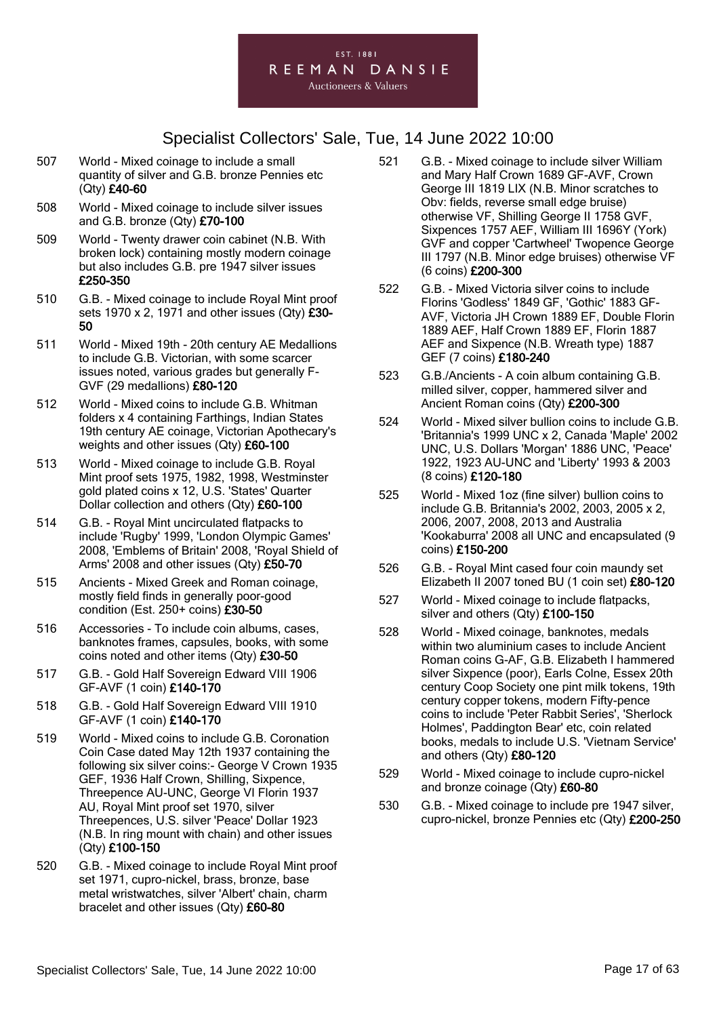

- 507 World Mixed coinage to include a small quantity of silver and G.B. bronze Pennies etc (Qty) £40-60
- 508 World Mixed coinage to include silver issues and G.B. bronze (Qty) £70-100
- 509 World Twenty drawer coin cabinet (N.B. With broken lock) containing mostly modern coinage but also includes G.B. pre 1947 silver issues £250-350
- 510 G.B. Mixed coinage to include Royal Mint proof sets 1970 x 2, 1971 and other issues  $(Qtv)$  £30-50
- 511 World Mixed 19th 20th century AE Medallions to include G.B. Victorian, with some scarcer issues noted, various grades but generally F-GVF (29 medallions) £80-120
- 512 World Mixed coins to include G.B. Whitman folders x 4 containing Farthings, Indian States 19th century AE coinage, Victorian Apothecary's weights and other issues (Qty) £60-100
- 513 World Mixed coinage to include G.B. Royal Mint proof sets 1975, 1982, 1998, Westminster gold plated coins x 12, U.S. 'States' Quarter Dollar collection and others (Qty) £60-100
- 514 G.B. Royal Mint uncirculated flatpacks to include 'Rugby' 1999, 'London Olympic Games' 2008, 'Emblems of Britain' 2008, 'Royal Shield of Arms' 2008 and other issues (Qty) £50-70
- 515 Ancients Mixed Greek and Roman coinage, mostly field finds in generally poor-good condition (Est. 250+ coins) £30-50
- 516 Accessories To include coin albums, cases, banknotes frames, capsules, books, with some coins noted and other items (Qty) £30-50
- 517 G.B. Gold Half Sovereign Edward VIII 1906 GF-AVF (1 coin) £140-170
- 518 G.B. Gold Half Sovereign Edward VIII 1910 GF-AVF (1 coin) £140-170
- 519 World Mixed coins to include G.B. Coronation Coin Case dated May 12th 1937 containing the following six silver coins:- George V Crown 1935 GEF, 1936 Half Crown, Shilling, Sixpence, Threepence AU-UNC, George VI Florin 1937 AU, Royal Mint proof set 1970, silver Threepences, U.S. silver 'Peace' Dollar 1923 (N.B. In ring mount with chain) and other issues (Qty) £100-150
- 520 G.B. Mixed coinage to include Royal Mint proof set 1971, cupro-nickel, brass, bronze, base metal wristwatches, silver 'Albert' chain, charm bracelet and other issues (Qty) £60-80
- 521 G.B. Mixed coinage to include silver William and Mary Half Crown 1689 GF-AVF, Crown George III 1819 LIX (N.B. Minor scratches to Obv: fields, reverse small edge bruise) otherwise VF, Shilling George II 1758 GVF, Sixpences 1757 AEF, William III 1696Y (York) GVF and copper 'Cartwheel' Twopence George III 1797 (N.B. Minor edge bruises) otherwise VF (6 coins) £200-300
- 522 G.B. Mixed Victoria silver coins to include Florins 'Godless' 1849 GF, 'Gothic' 1883 GF-AVF, Victoria JH Crown 1889 EF, Double Florin 1889 AEF, Half Crown 1889 EF, Florin 1887 AEF and Sixpence (N.B. Wreath type) 1887 GEF (7 coins) £180-240
- 523 G.B./Ancients A coin album containing G.B. milled silver, copper, hammered silver and Ancient Roman coins (Qty) £200-300
- 524 World Mixed silver bullion coins to include G.B. 'Britannia's 1999 UNC x 2, Canada 'Maple' 2002 UNC, U.S. Dollars 'Morgan' 1886 UNC, 'Peace' 1922, 1923 AU-UNC and 'Liberty' 1993 & 2003 (8 coins) £120-180
- 525 World Mixed 1oz (fine silver) bullion coins to include G.B. Britannia's 2002, 2003, 2005 x 2, 2006, 2007, 2008, 2013 and Australia 'Kookaburra' 2008 all UNC and encapsulated (9 coins) £150-200
- 526 G.B. Royal Mint cased four coin maundy set Elizabeth II 2007 toned BU (1 coin set) £80-120
- 527 World Mixed coinage to include flatpacks, silver and others (Qty) £100-150
- 528 World Mixed coinage, banknotes, medals within two aluminium cases to include Ancient Roman coins G-AF, G.B. Elizabeth I hammered silver Sixpence (poor), Earls Colne, Essex 20th century Coop Society one pint milk tokens, 19th century copper tokens, modern Fifty-pence coins to include 'Peter Rabbit Series', 'Sherlock Holmes', Paddington Bear' etc, coin related books, medals to include U.S. 'Vietnam Service' and others (Qty) £80-120
- 529 World Mixed coinage to include cupro-nickel and bronze coinage (Qty) £60-80
- 530 G.B. Mixed coinage to include pre 1947 silver, cupro-nickel, bronze Pennies etc (Qty) £200-250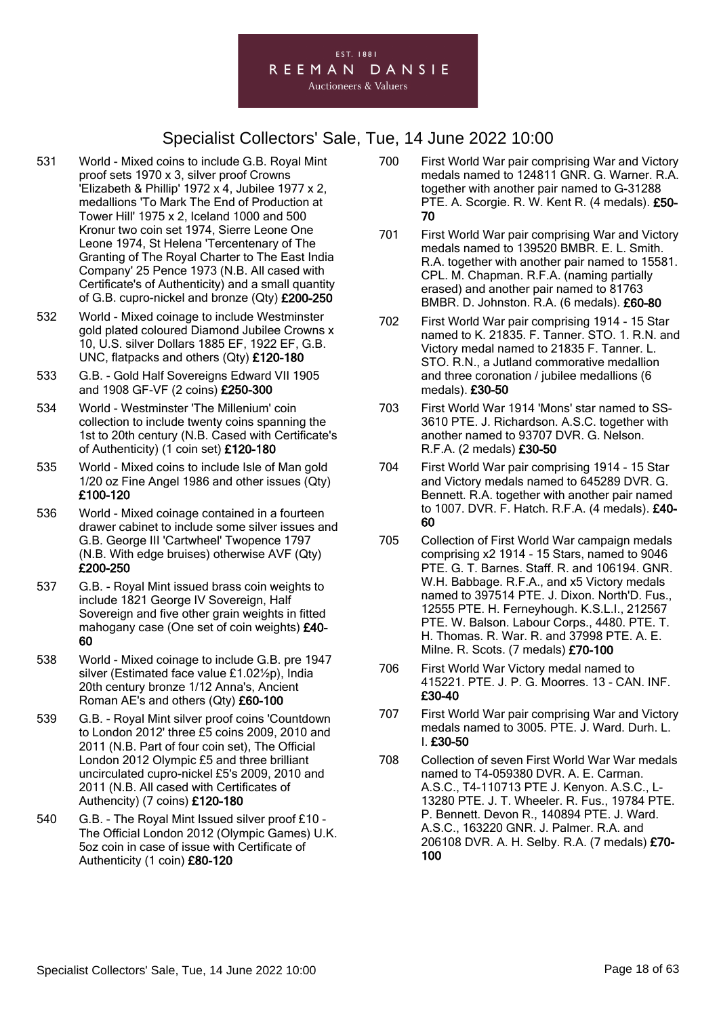#### EST. 1881 REEMAN DANSIE

- 531 World Mixed coins to include G.B. Royal Mint proof sets 1970 x 3, silver proof Crowns 'Elizabeth & Phillip' 1972 x 4, Jubilee 1977 x 2, medallions 'To Mark The End of Production at Tower Hill' 1975 x 2, Iceland 1000 and 500 Kronur two coin set 1974, Sierre Leone One Leone 1974, St Helena 'Tercentenary of The Granting of The Royal Charter to The East India Company' 25 Pence 1973 (N.B. All cased with Certificate's of Authenticity) and a small quantity of G.B. cupro-nickel and bronze (Qty) £200-250
- 532 World Mixed coinage to include Westminster gold plated coloured Diamond Jubilee Crowns x 10, U.S. silver Dollars 1885 EF, 1922 EF, G.B. UNC, flatpacks and others (Qty) £120-180
- 533 G.B. Gold Half Sovereigns Edward VII 1905 and 1908 GF-VF (2 coins) £250-300
- 534 World Westminster 'The Millenium' coin collection to include twenty coins spanning the 1st to 20th century (N.B. Cased with Certificate's of Authenticity) (1 coin set) £120-180
- 535 World Mixed coins to include Isle of Man gold 1/20 oz Fine Angel 1986 and other issues (Qty) £100-120
- 536 World Mixed coinage contained in a fourteen drawer cabinet to include some silver issues and G.B. George III 'Cartwheel' Twopence 1797 (N.B. With edge bruises) otherwise AVF (Qty) £200-250
- 537 G.B. Royal Mint issued brass coin weights to include 1821 George IV Sovereign, Half Sovereign and five other grain weights in fitted mahogany case (One set of coin weights) £40- 60
- 538 World Mixed coinage to include G.B. pre 1947 silver (Estimated face value £1.02½p), India 20th century bronze 1/12 Anna's, Ancient Roman AE's and others (Qty) £60-100
- 539 G.B. Royal Mint silver proof coins 'Countdown to London 2012' three £5 coins 2009, 2010 and 2011 (N.B. Part of four coin set), The Official London 2012 Olympic £5 and three brilliant uncirculated cupro-nickel £5's 2009, 2010 and 2011 (N.B. All cased with Certificates of Authencity) (7 coins) £120-180
- 540 G.B. The Royal Mint Issued silver proof £10 The Official London 2012 (Olympic Games) U.K. 5oz coin in case of issue with Certificate of Authenticity (1 coin) £80-120
- 700 First World War pair comprising War and Victory medals named to 124811 GNR. G. Warner. R.A. together with another pair named to G-31288 PTE. A. Scorgie. R. W. Kent R. (4 medals). £50- 70
- 701 First World War pair comprising War and Victory medals named to 139520 BMBR. E. L. Smith. R.A. together with another pair named to 15581. CPL. M. Chapman. R.F.A. (naming partially erased) and another pair named to 81763 BMBR. D. Johnston. R.A. (6 medals). £60-80
- 702 First World War pair comprising 1914 15 Star named to K. 21835. F. Tanner. STO. 1. R.N. and Victory medal named to 21835 F. Tanner. L. STO. R.N., a Jutland commorative medallion and three coronation / jubilee medallions (6 medals). £30-50
- 703 First World War 1914 'Mons' star named to SS-3610 PTE. J. Richardson. A.S.C. together with another named to 93707 DVR. G. Nelson. R.F.A. (2 medals) £30-50
- 704 First World War pair comprising 1914 15 Star and Victory medals named to 645289 DVR. G. Bennett. R.A. together with another pair named to 1007. DVR. F. Hatch. R.F.A. (4 medals). £40- 60
- 705 Collection of First World War campaign medals comprising x2 1914 - 15 Stars, named to 9046 PTE. G. T. Barnes. Staff. R. and 106194. GNR. W.H. Babbage. R.F.A., and x5 Victory medals named to 397514 PTE. J. Dixon. North'D. Fus., 12555 PTE. H. Ferneyhough. K.S.L.I., 212567 PTE. W. Balson. Labour Corps., 4480. PTE. T. H. Thomas. R. War. R. and 37998 PTE. A. E. Milne. R. Scots. (7 medals) £70-100
- 706 First World War Victory medal named to 415221. PTE. J. P. G. Moorres. 13 - CAN. INF. £30-40
- 707 First World War pair comprising War and Victory medals named to 3005. PTE. J. Ward. Durh. L. I. £30-50
- 708 Collection of seven First World War War medals named to T4-059380 DVR. A. E. Carman. A.S.C., T4-110713 PTE J. Kenyon. A.S.C., L-13280 PTE. J. T. Wheeler. R. Fus., 19784 PTE. P. Bennett. Devon R., 140894 PTE. J. Ward. A.S.C., 163220 GNR. J. Palmer. R.A. and 206108 DVR. A. H. Selby. R.A. (7 medals) £70- 100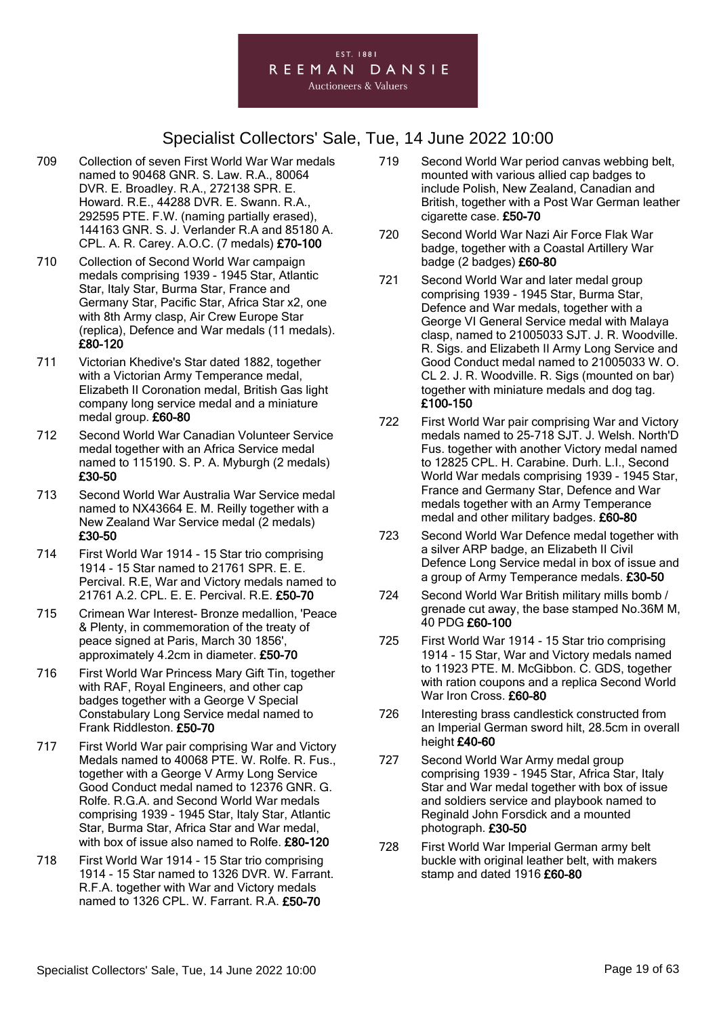#### EST. 1881 REEMAN DANSIE

- 709 Collection of seven First World War War medals named to 90468 GNR. S. Law. R.A., 80064 DVR. E. Broadley. R.A., 272138 SPR. E. Howard. R.E., 44288 DVR. E. Swann. R.A., 292595 PTE. F.W. (naming partially erased), 144163 GNR. S. J. Verlander R.A and 85180 A. CPL. A. R. Carey. A.O.C. (7 medals) £70-100
- 710 Collection of Second World War campaign medals comprising 1939 - 1945 Star, Atlantic Star, Italy Star, Burma Star, France and Germany Star, Pacific Star, Africa Star x2, one with 8th Army clasp, Air Crew Europe Star (replica), Defence and War medals (11 medals). £80-120
- 711 Victorian Khedive's Star dated 1882, together with a Victorian Army Temperance medal, Elizabeth II Coronation medal, British Gas light company long service medal and a miniature medal group. £60-80
- 712 Second World War Canadian Volunteer Service medal together with an Africa Service medal named to 115190. S. P. A. Myburgh (2 medals) £30-50
- 713 Second World War Australia War Service medal named to NX43664 E. M. Reilly together with a New Zealand War Service medal (2 medals) £30-50
- 714 First World War 1914 15 Star trio comprising 1914 - 15 Star named to 21761 SPR. E. E. Percival. R.E, War and Victory medals named to 21761 A.2. CPL. E. E. Percival. R.E. £50-70
- 715 Crimean War Interest- Bronze medallion, 'Peace & Plenty, in commemoration of the treaty of peace signed at Paris, March 30 1856', approximately 4.2cm in diameter. £50-70
- 716 First World War Princess Mary Gift Tin, together with RAF, Royal Engineers, and other cap badges together with a George V Special Constabulary Long Service medal named to Frank Riddleston. £50-70
- 717 First World War pair comprising War and Victory Medals named to 40068 PTE. W. Rolfe. R. Fus., together with a George V Army Long Service Good Conduct medal named to 12376 GNR. G. Rolfe. R.G.A. and Second World War medals comprising 1939 - 1945 Star, Italy Star, Atlantic Star, Burma Star, Africa Star and War medal, with box of issue also named to Rolfe. £80-120
- 718 First World War 1914 15 Star trio comprising 1914 - 15 Star named to 1326 DVR. W. Farrant. R.F.A. together with War and Victory medals named to 1326 CPL. W. Farrant. R.A. £50-70
- 719 Second World War period canvas webbing belt, mounted with various allied cap badges to include Polish, New Zealand, Canadian and British, together with a Post War German leather cigarette case. £50-70
- 720 Second World War Nazi Air Force Flak War badge, together with a Coastal Artillery War badge (2 badges) £60-80
- 721 Second World War and later medal group comprising 1939 - 1945 Star, Burma Star, Defence and War medals, together with a George VI General Service medal with Malaya clasp, named to 21005033 SJT. J. R. Woodville. R. Sigs. and Elizabeth II Army Long Service and Good Conduct medal named to 21005033 W. O. CL 2. J. R. Woodville. R. Sigs (mounted on bar) together with miniature medals and dog tag. £100-150
- 722 First World War pair comprising War and Victory medals named to 25-718 SJT. J. Welsh. North'D Fus. together with another Victory medal named to 12825 CPL. H. Carabine. Durh. L.I., Second World War medals comprising 1939 - 1945 Star, France and Germany Star, Defence and War medals together with an Army Temperance medal and other military badges. £60-80
- 723 Second World War Defence medal together with a silver ARP badge, an Elizabeth II Civil Defence Long Service medal in box of issue and a group of Army Temperance medals. £30-50
- 724 Second World War British military mills bomb / grenade cut away, the base stamped No.36M M, 40 PDG £60-100
- 725 First World War 1914 15 Star trio comprising 1914 - 15 Star, War and Victory medals named to 11923 PTE. M. McGibbon. C. GDS, together with ration coupons and a replica Second World War Iron Cross. £60-80
- 726 Interesting brass candlestick constructed from an Imperial German sword hilt, 28.5cm in overall height £40-60
- 727 Second World War Army medal group comprising 1939 - 1945 Star, Africa Star, Italy Star and War medal together with box of issue and soldiers service and playbook named to Reginald John Forsdick and a mounted photograph. £30-50
- 728 First World War Imperial German army belt buckle with original leather belt, with makers stamp and dated 1916 £60-80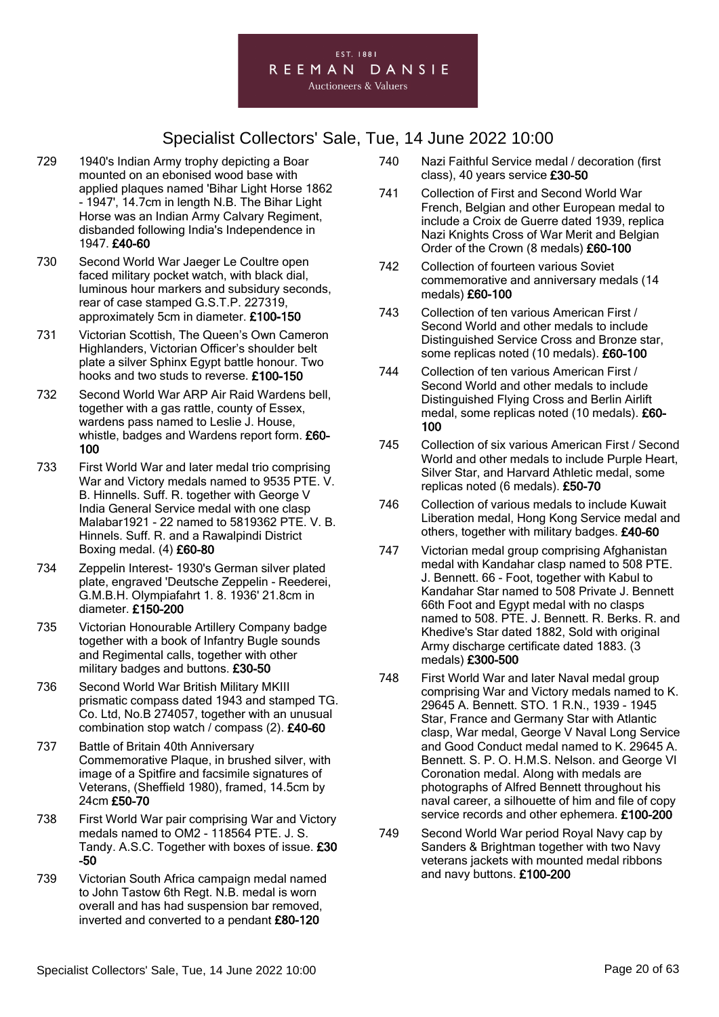

- 729 1940's Indian Army trophy depicting a Boar mounted on an ebonised wood base with applied plaques named 'Bihar Light Horse 1862 - 1947', 14.7cm in length N.B. The Bihar Light Horse was an Indian Army Calvary Regiment, disbanded following India's Independence in 1947. £40-60
- 730 Second World War Jaeger Le Coultre open faced military pocket watch, with black dial, luminous hour markers and subsidury seconds, rear of case stamped G.S.T.P. 227319, approximately 5cm in diameter. £100-150
- 731 Victorian Scottish, The Queen's Own Cameron Highlanders, Victorian Officer's shoulder belt plate a silver Sphinx Egypt battle honour. Two hooks and two studs to reverse. £100-150
- 732 Second World War ARP Air Raid Wardens bell, together with a gas rattle, county of Essex, wardens pass named to Leslie J. House, whistle, badges and Wardens report form. £60-100
- 733 First World War and later medal trio comprising War and Victory medals named to 9535 PTE. V. B. Hinnells. Suff. R. together with George V India General Service medal with one clasp Malabar1921 - 22 named to 5819362 PTE. V. B. Hinnels. Suff. R. and a Rawalpindi District Boxing medal. (4) £60-80
- 734 Zeppelin Interest- 1930's German silver plated plate, engraved 'Deutsche Zeppelin - Reederei, G.M.B.H. Olympiafahrt 1. 8. 1936' 21.8cm in diameter. £150-200
- 735 Victorian Honourable Artillery Company badge together with a book of Infantry Bugle sounds and Regimental calls, together with other military badges and buttons. £30-50
- 736 Second World War British Military MKIII prismatic compass dated 1943 and stamped TG. Co. Ltd, No.B 274057, together with an unusual combination stop watch / compass (2). £40-60
- 737 Battle of Britain 40th Anniversary Commemorative Plaque, in brushed silver, with image of a Spitfire and facsimile signatures of Veterans, (Sheffield 1980), framed, 14.5cm by 24cm £50-70
- 738 First World War pair comprising War and Victory medals named to OM2 - 118564 PTE. J. S. Tandy. A.S.C. Together with boxes of issue. £30 -50
- 739 Victorian South Africa campaign medal named to John Tastow 6th Regt. N.B. medal is worn overall and has had suspension bar removed, inverted and converted to a pendant £80-120
- 740 Nazi Faithful Service medal / decoration (first class), 40 years service £30-50
- 741 Collection of First and Second World War French, Belgian and other European medal to include a Croix de Guerre dated 1939, replica Nazi Knights Cross of War Merit and Belgian Order of the Crown (8 medals) £60-100
- 742 Collection of fourteen various Soviet commemorative and anniversary medals (14 medals) £60-100
- 743 Collection of ten various American First / Second World and other medals to include Distinguished Service Cross and Bronze star, some replicas noted (10 medals). £60-100
- 744 Collection of ten various American First / Second World and other medals to include Distinguished Flying Cross and Berlin Airlift medal, some replicas noted (10 medals). £60- 100
- 745 Collection of six various American First / Second World and other medals to include Purple Heart, Silver Star, and Harvard Athletic medal, some replicas noted (6 medals). £50-70
- 746 Collection of various medals to include Kuwait Liberation medal, Hong Kong Service medal and others, together with military badges. £40-60
- 747 Victorian medal group comprising Afghanistan medal with Kandahar clasp named to 508 PTE. J. Bennett. 66 - Foot, together with Kabul to Kandahar Star named to 508 Private J. Bennett 66th Foot and Egypt medal with no clasps named to 508. PTE. J. Bennett. R. Berks. R. and Khedive's Star dated 1882, Sold with original Army discharge certificate dated 1883. (3 medals) £300-500
- 748 First World War and later Naval medal group comprising War and Victory medals named to K. 29645 A. Bennett. STO. 1 R.N., 1939 - 1945 Star, France and Germany Star with Atlantic clasp, War medal, George V Naval Long Service and Good Conduct medal named to K. 29645 A. Bennett. S. P. O. H.M.S. Nelson. and George VI Coronation medal. Along with medals are photographs of Alfred Bennett throughout his naval career, a silhouette of him and file of copy service records and other ephemera. £100-200
- 749 Second World War period Royal Navy cap by Sanders & Brightman together with two Navy veterans jackets with mounted medal ribbons and navy buttons. £100-200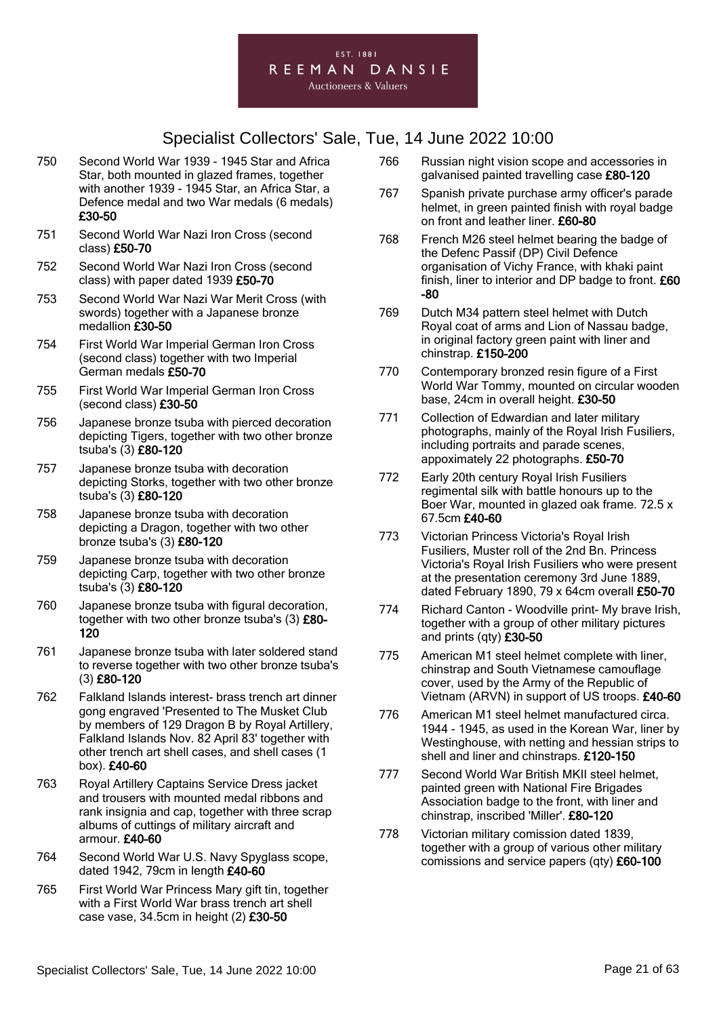#### EST. 1881 REEMAN DANSIE

- 750 Second World War 1939 1945 Star and Africa Star, both mounted in glazed frames, together with another 1939 - 1945 Star, an Africa Star, a Defence medal and two War medals (6 medals) £30-50
- 751 Second World War Nazi Iron Cross (second class) £50-70
- 752 Second World War Nazi Iron Cross (second class) with paper dated 1939 £50-70
- 753 Second World War Nazi War Merit Cross (with swords) together with a Japanese bronze medallion £30-50
- 754 First World War Imperial German Iron Cross (second class) together with two Imperial German medals £50-70
- 755 First World War Imperial German Iron Cross (second class) £30-50
- 756 Japanese bronze tsuba with pierced decoration depicting Tigers, together with two other bronze tsuba's (3) £80-120
- 757 Japanese bronze tsuba with decoration depicting Storks, together with two other bronze tsuba's (3) £80-120
- 758 Japanese bronze tsuba with decoration depicting a Dragon, together with two other bronze tsuba's (3) £80-120
- 759 Japanese bronze tsuba with decoration depicting Carp, together with two other bronze tsuba's (3) £80-120
- 760 Japanese bronze tsuba with figural decoration, together with two other bronze tsuba's (3) £80- 120
- 761 Japanese bronze tsuba with later soldered stand to reverse together with two other bronze tsuba's (3) £80-120
- 762 Falkland Islands interest- brass trench art dinner gong engraved 'Presented to The Musket Club by members of 129 Dragon B by Royal Artillery, Falkland Islands Nov. 82 April 83' together with other trench art shell cases, and shell cases (1 box). £40-60
- 763 Royal Artillery Captains Service Dress jacket and trousers with mounted medal ribbons and rank insignia and cap, together with three scrap albums of cuttings of military aircraft and armour. £40-60
- 764 Second World War U.S. Navy Spyglass scope, dated 1942, 79cm in length £40-60
- 765 First World War Princess Mary gift tin, together with a First World War brass trench art shell case vase, 34.5cm in height (2) £30-50
- 766 Russian night vision scope and accessories in galvanised painted travelling case £80-120
- 767 Spanish private purchase army officer's parade helmet, in green painted finish with royal badge on front and leather liner. £60-80
- 768 French M26 steel helmet bearing the badge of the Defenc Passif (DP) Civil Defence organisation of Vichy France, with khaki paint finish, liner to interior and DP badge to front. £60 -80
- 769 Dutch M34 pattern steel helmet with Dutch Royal coat of arms and Lion of Nassau badge, in original factory green paint with liner and chinstrap. £150-200
- 770 Contemporary bronzed resin figure of a First World War Tommy, mounted on circular wooden base, 24cm in overall height. £30-50
- 771 Collection of Edwardian and later military photographs, mainly of the Royal Irish Fusiliers, including portraits and parade scenes, appoximately 22 photographs. £50-70
- 772 Early 20th century Royal Irish Fusiliers regimental silk with battle honours up to the Boer War, mounted in glazed oak frame. 72.5 x 67.5cm £40-60
- 773 Victorian Princess Victoria's Royal Irish Fusiliers, Muster roll of the 2nd Bn. Princess Victoria's Royal Irish Fusiliers who were present at the presentation ceremony 3rd June 1889, dated February 1890, 79 x 64cm overall £50-70
- 774 Richard Canton Woodville print- My brave Irish, together with a group of other military pictures and prints (qty) £30-50
- 775 American M1 steel helmet complete with liner, chinstrap and South Vietnamese camouflage cover, used by the Army of the Republic of Vietnam (ARVN) in support of US troops. £40-60
- 776 American M1 steel helmet manufactured circa. 1944 - 1945, as used in the Korean War, liner by Westinghouse, with netting and hessian strips to shell and liner and chinstraps. £120-150
- 777 Second World War British MKII steel helmet, painted green with National Fire Brigades Association badge to the front, with liner and chinstrap, inscribed 'Miller'. £80-120
- 778 Victorian military comission dated 1839, together with a group of various other military comissions and service papers (qty) £60-100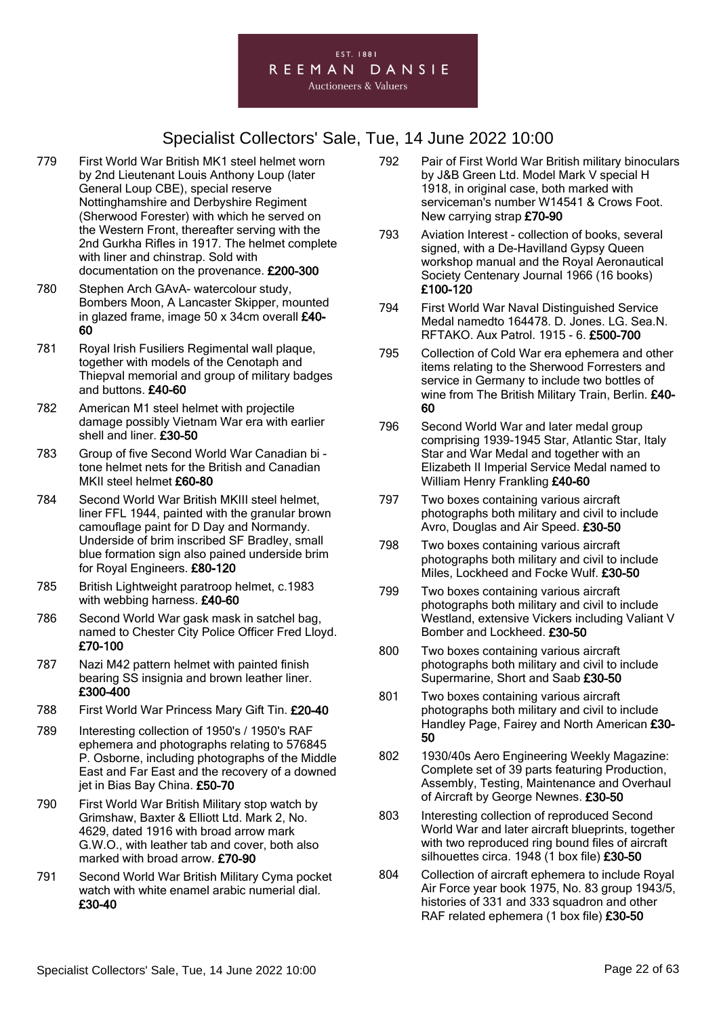#### EST. 1881 REEMAN DANSIE

- 779 First World War British MK1 steel helmet worn by 2nd Lieutenant Louis Anthony Loup (later General Loup CBE), special reserve Nottinghamshire and Derbyshire Regiment (Sherwood Forester) with which he served on the Western Front, thereafter serving with the 2nd Gurkha Rifles in 1917. The helmet complete with liner and chinstrap. Sold with documentation on the provenance. £200-300
- 780 Stephen Arch GAvA- watercolour study, Bombers Moon, A Lancaster Skipper, mounted in glazed frame, image 50 x 34cm overall £40- 60
- 781 Royal Irish Fusiliers Regimental wall plaque, together with models of the Cenotaph and Thiepval memorial and group of military badges and buttons. £40-60
- 782 American M1 steel helmet with projectile damage possibly Vietnam War era with earlier shell and liner. £30-50
- 783 Group of five Second World War Canadian bi tone helmet nets for the British and Canadian MKII steel helmet £60-80
- 784 Second World War British MKIII steel helmet, liner FFL 1944, painted with the granular brown camouflage paint for D Day and Normandy. Underside of brim inscribed SF Bradley, small blue formation sign also pained underside brim for Royal Engineers. £80-120
- 785 British Lightweight paratroop helmet, c.1983 with webbing harness. £40-60
- 786 Second World War gask mask in satchel bag, named to Chester City Police Officer Fred Lloyd. £70-100
- 787 Nazi M42 pattern helmet with painted finish bearing SS insignia and brown leather liner. £300-400
- 788 First World War Princess Mary Gift Tin. £20-40
- 789 Interesting collection of 1950's / 1950's RAF ephemera and photographs relating to 576845 P. Osborne, including photographs of the Middle East and Far East and the recovery of a downed jet in Bias Bay China. £50-70
- 790 First World War British Military stop watch by Grimshaw, Baxter & Elliott Ltd. Mark 2, No. 4629, dated 1916 with broad arrow mark G.W.O., with leather tab and cover, both also marked with broad arrow. £70-90
- 791 Second World War British Military Cyma pocket watch with white enamel arabic numerial dial. £30-40
- 792 Pair of First World War British military binoculars by J&B Green Ltd. Model Mark V special H 1918, in original case, both marked with serviceman's number W14541 & Crows Foot. New carrying strap £70-90
- 793 Aviation Interest collection of books, several signed, with a De-Havilland Gypsy Queen workshop manual and the Royal Aeronautical Society Centenary Journal 1966 (16 books) £100-120
- 794 First World War Naval Distinguished Service Medal namedto 164478. D. Jones. LG. Sea.N. RFTAKO. Aux Patrol. 1915 - 6. £500-700
- 795 Collection of Cold War era ephemera and other items relating to the Sherwood Forresters and service in Germany to include two bottles of wine from The British Military Train, Berlin, £40-60
- 796 Second World War and later medal group comprising 1939-1945 Star, Atlantic Star, Italy Star and War Medal and together with an Elizabeth II Imperial Service Medal named to William Henry Frankling £40-60
- 797 Two boxes containing various aircraft photographs both military and civil to include Avro, Douglas and Air Speed. £30-50
- 798 Two boxes containing various aircraft photographs both military and civil to include Miles, Lockheed and Focke Wulf. £30-50
- 799 Two boxes containing various aircraft photographs both military and civil to include Westland, extensive Vickers including Valiant V Bomber and Lockheed. £30-50
- 800 Two boxes containing various aircraft photographs both military and civil to include Supermarine, Short and Saab £30-50
- 801 Two boxes containing various aircraft photographs both military and civil to include Handley Page, Fairey and North American £30-50
- 802 1930/40s Aero Engineering Weekly Magazine: Complete set of 39 parts featuring Production, Assembly, Testing, Maintenance and Overhaul of Aircraft by George Newnes. £30-50
- 803 Interesting collection of reproduced Second World War and later aircraft blueprints, together with two reproduced ring bound files of aircraft silhouettes circa. 1948 (1 box file) £30-50
- 804 Collection of aircraft ephemera to include Royal Air Force year book 1975, No. 83 group 1943/5, histories of 331 and 333 squadron and other RAF related ephemera (1 box file) £30-50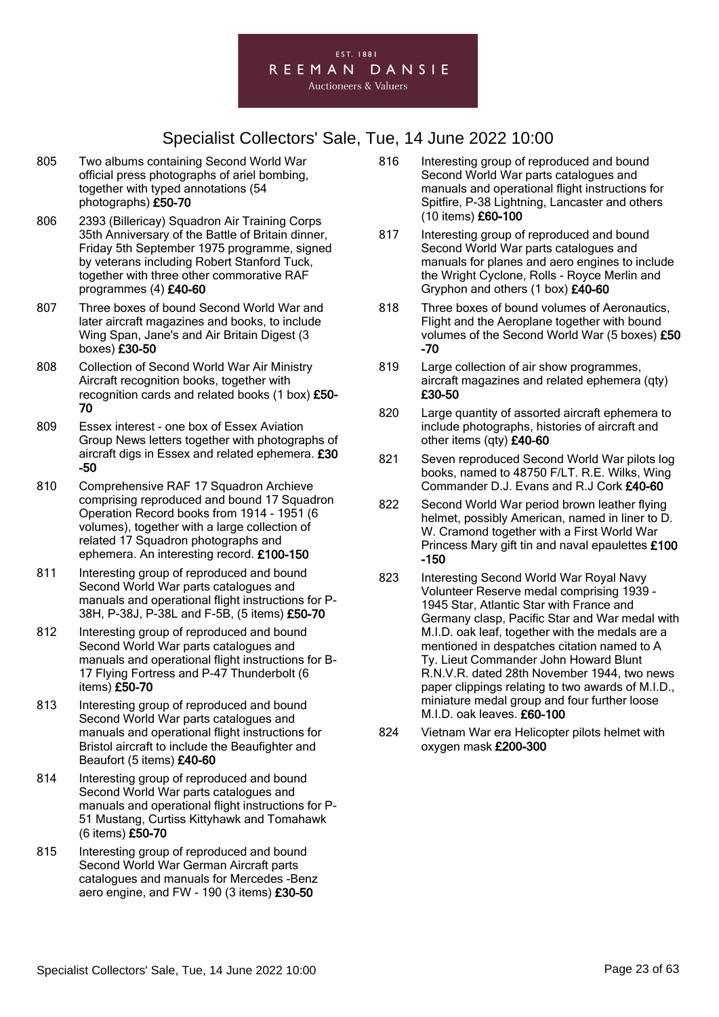

- 805 Two albums containing Second World War official press photographs of ariel bombing, together with typed annotations (54 photographs) £50-70
- 806 2393 (Billericay) Squadron Air Training Corps 35th Anniversary of the Battle of Britain dinner, Friday 5th September 1975 programme, signed by veterans including Robert Stanford Tuck, together with three other commorative RAF programmes (4) £40-60
- 807 Three boxes of bound Second World War and later aircraft magazines and books, to include Wing Span, Jane's and Air Britain Digest (3 boxes) £30-50
- 808 Collection of Second World War Air Ministry Aircraft recognition books, together with recognition cards and related books (1 box) £50- 70
- 809 Essex interest one box of Essex Aviation Group News letters together with photographs of aircraft digs in Essex and related ephemera. £30 -50
- 810 Comprehensive RAF 17 Squadron Archieve comprising reproduced and bound 17 Squadron Operation Record books from 1914 - 1951 (6 volumes), together with a large collection of related 17 Squadron photographs and ephemera. An interesting record. £100-150
- 811 Interesting group of reproduced and bound Second World War parts catalogues and manuals and operational flight instructions for P-38H, P-38J, P-38L and F-5B, (5 items) £50-70
- 812 Interesting group of reproduced and bound Second World War parts catalogues and manuals and operational flight instructions for B-17 Flying Fortress and P-47 Thunderbolt (6 items) £50-70
- 813 Interesting group of reproduced and bound Second World War parts catalogues and manuals and operational flight instructions for Bristol aircraft to include the Beaufighter and Beaufort (5 items) £40-60
- 814 Interesting group of reproduced and bound Second World War parts catalogues and manuals and operational flight instructions for P-51 Mustang, Curtiss Kittyhawk and Tomahawk (6 items) £50-70
- 815 Interesting group of reproduced and bound Second World War German Aircraft parts catalogues and manuals for Mercedes -Benz aero engine, and FW - 190 (3 items) £30-50
- 816 Interesting group of reproduced and bound Second World War parts catalogues and manuals and operational flight instructions for Spitfire, P-38 Lightning, Lancaster and others (10 items) £60-100
- 817 Interesting group of reproduced and bound Second World War parts catalogues and manuals for planes and aero engines to include the Wright Cyclone, Rolls - Royce Merlin and Gryphon and others (1 box) £40-60
- 818 Three boxes of bound volumes of Aeronautics, Flight and the Aeroplane together with bound volumes of the Second World War (5 boxes) £50 -70
- 819 Large collection of air show programmes, aircraft magazines and related ephemera (qty) £30-50
- 820 Large quantity of assorted aircraft ephemera to include photographs, histories of aircraft and other items (qty) £40-60
- 821 Seven reproduced Second World War pilots log books, named to 48750 F/LT. R.E. Wilks, Wing Commander D.J. Evans and R.J Cork £40-60
- 822 Second World War period brown leather flying helmet, possibly American, named in liner to D. W. Cramond together with a First World War Princess Mary gift tin and naval epaulettes £100 -150
- 823 Interesting Second World War Royal Navy Volunteer Reserve medal comprising 1939 - 1945 Star, Atlantic Star with France and Germany clasp, Pacific Star and War medal with M.I.D. oak leaf, together with the medals are a mentioned in despatches citation named to A Ty. Lieut Commander John Howard Blunt R.N.V.R. dated 28th November 1944, two news paper clippings relating to two awards of M.I.D., miniature medal group and four further loose M.I.D. oak leaves. £60-100
- 824 Vietnam War era Helicopter pilots helmet with oxygen mask £200-300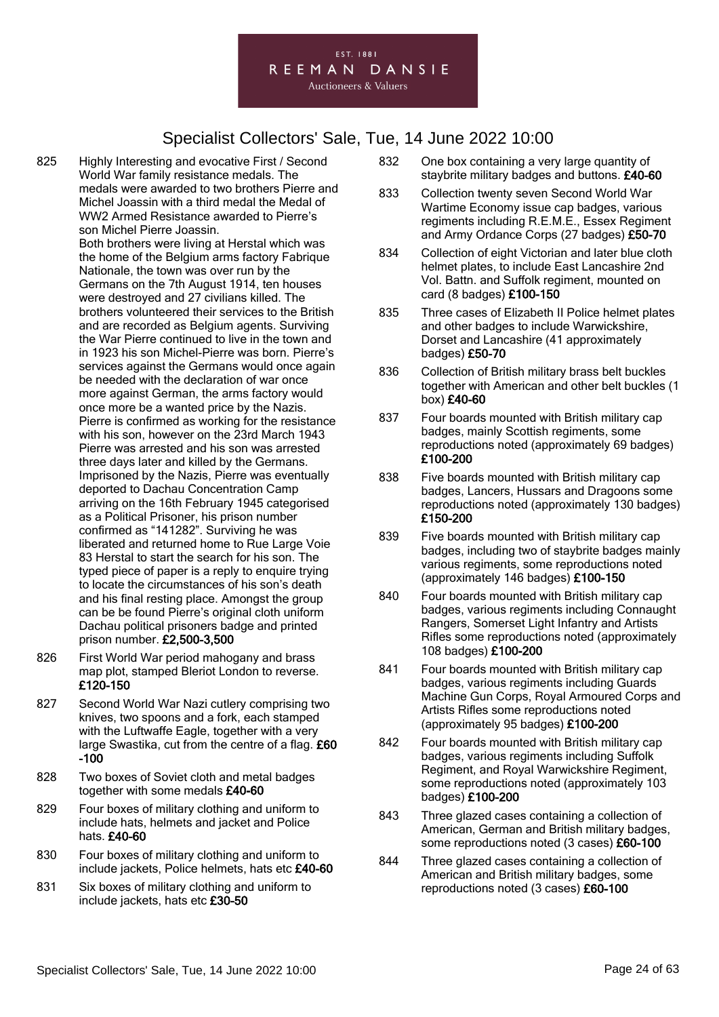#### EST. 1881 REEMAN DANSIE

**Auctioneers & Valuers** 

- 825 Highly Interesting and evocative First / Second World War family resistance medals. The medals were awarded to two brothers Pierre and Michel Joassin with a third medal the Medal of WW2 Armed Resistance awarded to Pierre's son Michel Pierre Joassin. Both brothers were living at Herstal which was the home of the Belgium arms factory Fabrique Nationale, the town was over run by the Germans on the 7th August 1914, ten houses were destroyed and 27 civilians killed. The brothers volunteered their services to the British and are recorded as Belgium agents. Surviving the War Pierre continued to live in the town and in 1923 his son Michel-Pierre was born. Pierre's services against the Germans would once again be needed with the declaration of war once more against German, the arms factory would once more be a wanted price by the Nazis. Pierre is confirmed as working for the resistance with his son, however on the 23rd March 1943 Pierre was arrested and his son was arrested three days later and killed by the Germans. Imprisoned by the Nazis, Pierre was eventually deported to Dachau Concentration Camp arriving on the 16th February 1945 categorised as a Political Prisoner, his prison number confirmed as "141282". Surviving he was liberated and returned home to Rue Large Voie 83 Herstal to start the search for his son. The typed piece of paper is a reply to enquire trying to locate the circumstances of his son's death and his final resting place. Amongst the group can be be found Pierre's original cloth uniform Dachau political prisoners badge and printed prison number. £2,500-3,500
- 826 First World War period mahogany and brass map plot, stamped Bleriot London to reverse. £120-150
- 827 Second World War Nazi cutlery comprising two knives, two spoons and a fork, each stamped with the Luftwaffe Eagle, together with a very large Swastika, cut from the centre of a flag. £60 -100
- 828 Two boxes of Soviet cloth and metal badges together with some medals £40-60
- 829 Four boxes of military clothing and uniform to include hats, helmets and jacket and Police hats. £40-60
- 830 Four boxes of military clothing and uniform to include jackets, Police helmets, hats etc £40-60
- 831 Six boxes of military clothing and uniform to include jackets, hats etc £30-50
- 832 One box containing a very large quantity of staybrite military badges and buttons. £40-60
- 833 Collection twenty seven Second World War Wartime Economy issue cap badges, various regiments including R.E.M.E., Essex Regiment and Army Ordance Corps (27 badges) £50-70
- 834 Collection of eight Victorian and later blue cloth helmet plates, to include East Lancashire 2nd Vol. Battn. and Suffolk regiment, mounted on card (8 badges) £100-150
- 835 Three cases of Elizabeth II Police helmet plates and other badges to include Warwickshire, Dorset and Lancashire (41 approximately badges) £50-70
- 836 Collection of British military brass belt buckles together with American and other belt buckles (1 box) £40-60
- 837 Four boards mounted with British military cap badges, mainly Scottish regiments, some reproductions noted (approximately 69 badges) £100-200
- 838 Five boards mounted with British military cap badges, Lancers, Hussars and Dragoons some reproductions noted (approximately 130 badges) £150-200
- 839 Five boards mounted with British military cap badges, including two of staybrite badges mainly various regiments, some reproductions noted (approximately 146 badges) £100-150
- 840 Four boards mounted with British military cap badges, various regiments including Connaught Rangers, Somerset Light Infantry and Artists Rifles some reproductions noted (approximately 108 badges) £100-200
- 841 Four boards mounted with British military cap badges, various regiments including Guards Machine Gun Corps, Royal Armoured Corps and Artists Rifles some reproductions noted (approximately 95 badges) £100-200
- 842 Four boards mounted with British military cap badges, various regiments including Suffolk Regiment, and Royal Warwickshire Regiment, some reproductions noted (approximately 103 badges) £100-200
- 843 Three glazed cases containing a collection of American, German and British military badges, some reproductions noted (3 cases) £60-100
- 844 Three glazed cases containing a collection of American and British military badges, some reproductions noted (3 cases) £60-100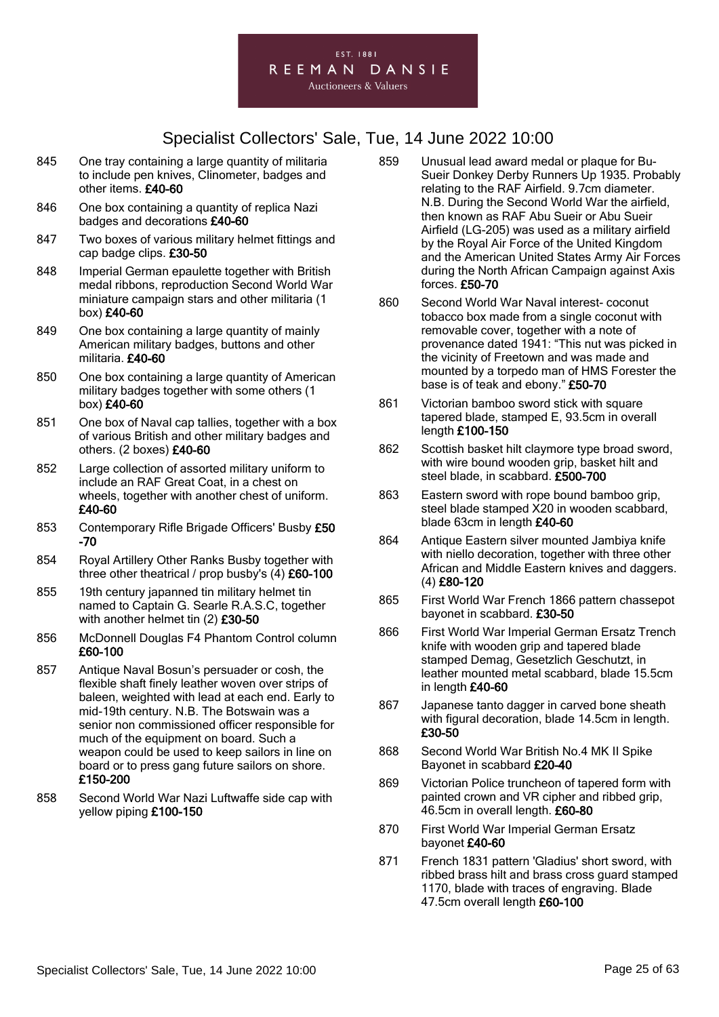

- 845 One tray containing a large quantity of militaria to include pen knives, Clinometer, badges and other items. £40-60
- 846 One box containing a quantity of replica Nazi badges and decorations £40-60
- 847 Two boxes of various military helmet fittings and cap badge clips. £30-50
- 848 Imperial German epaulette together with British medal ribbons, reproduction Second World War miniature campaign stars and other militaria (1 box) £40-60
- 849 One box containing a large quantity of mainly American military badges, buttons and other militaria. £40-60
- 850 One box containing a large quantity of American military badges together with some others (1 box) £40-60
- 851 One box of Naval cap tallies, together with a box of various British and other military badges and others. (2 boxes) £40-60
- 852 Large collection of assorted military uniform to include an RAF Great Coat, in a chest on wheels, together with another chest of uniform. £40-60
- 853 Contemporary Rifle Brigade Officers' Busby £50 -70
- 854 Royal Artillery Other Ranks Busby together with three other theatrical / prop busby's (4) £60-100
- 855 19th century japanned tin military helmet tin named to Captain G. Searle R.A.S.C, together with another helmet tin (2) £30-50
- 856 McDonnell Douglas F4 Phantom Control column £60-100
- 857 Antique Naval Bosun's persuader or cosh, the flexible shaft finely leather woven over strips of baleen, weighted with lead at each end. Early to mid-19th century. N.B. The Botswain was a senior non commissioned officer responsible for much of the equipment on board. Such a weapon could be used to keep sailors in line on board or to press gang future sailors on shore. £150-200
- 858 Second World War Nazi Luftwaffe side cap with yellow piping £100-150
- 859 Unusual lead award medal or plaque for Bu-Sueir Donkey Derby Runners Up 1935. Probably relating to the RAF Airfield. 9.7cm diameter. N.B. During the Second World War the airfield, then known as RAF Abu Sueir or Abu Sueir Airfield (LG-205) was used as a military airfield by the Royal Air Force of the United Kingdom and the American United States Army Air Forces during the North African Campaign against Axis forces. £50-70
- 860 Second World War Naval interest- coconut tobacco box made from a single coconut with removable cover, together with a note of provenance dated 1941: "This nut was picked in the vicinity of Freetown and was made and mounted by a torpedo man of HMS Forester the base is of teak and ebony." £50-70
- 861 Victorian bamboo sword stick with square tapered blade, stamped E, 93.5cm in overall length £100-150
- 862 Scottish basket hilt claymore type broad sword, with wire bound wooden grip, basket hilt and steel blade, in scabbard. £500-700
- 863 Eastern sword with rope bound bamboo grip, steel blade stamped X20 in wooden scabbard, blade 63cm in length £40-60
- 864 Antique Eastern silver mounted Jambiya knife with niello decoration, together with three other African and Middle Eastern knives and daggers. (4) £80-120
- 865 First World War French 1866 pattern chassepot bayonet in scabbard. £30-50
- 866 First World War Imperial German Ersatz Trench knife with wooden grip and tapered blade stamped Demag, Gesetzlich Geschutzt, in leather mounted metal scabbard, blade 15.5cm in length £40-60
- 867 Japanese tanto dagger in carved bone sheath with figural decoration, blade 14.5cm in length. £30-50
- 868 Second World War British No.4 MK II Spike Bayonet in scabbard £20-40
- 869 Victorian Police truncheon of tapered form with painted crown and VR cipher and ribbed grip, 46.5cm in overall length. £60-80
- 870 First World War Imperial German Ersatz bayonet £40-60
- 871 French 1831 pattern 'Gladius' short sword, with ribbed brass hilt and brass cross guard stamped 1170, blade with traces of engraving. Blade 47.5cm overall length £60-100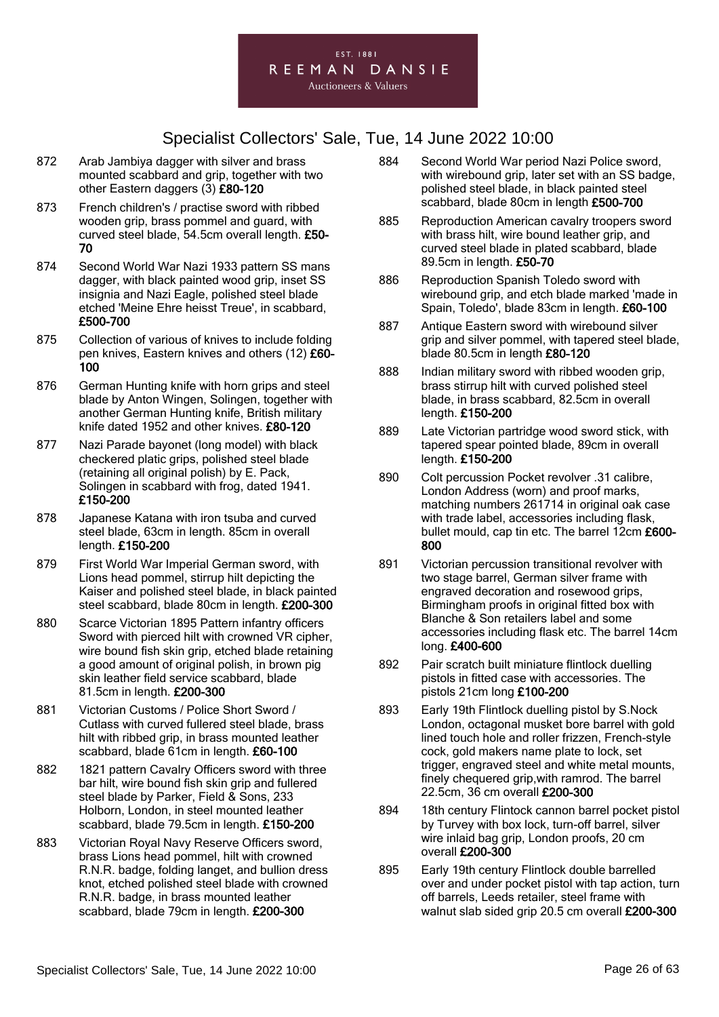

- 872 Arab Jambiya dagger with silver and brass mounted scabbard and grip, together with two other Eastern daggers (3) £80-120
- 873 French children's / practise sword with ribbed wooden grip, brass pommel and guard, with curved steel blade, 54.5cm overall length. £50- 70
- 874 Second World War Nazi 1933 pattern SS mans dagger, with black painted wood grip, inset SS insignia and Nazi Eagle, polished steel blade etched 'Meine Ehre heisst Treue', in scabbard, £500-700
- 875 Collection of various of knives to include folding pen knives, Eastern knives and others (12) £60-100
- 876 German Hunting knife with horn grips and steel blade by Anton Wingen, Solingen, together with another German Hunting knife, British military knife dated 1952 and other knives. £80-120
- 877 Nazi Parade bayonet (long model) with black checkered platic grips, polished steel blade (retaining all original polish) by E. Pack, Solingen in scabbard with frog, dated 1941. £150-200
- 878 Japanese Katana with iron tsuba and curved steel blade, 63cm in length. 85cm in overall length. £150-200
- 879 First World War Imperial German sword, with Lions head pommel, stirrup hilt depicting the Kaiser and polished steel blade, in black painted steel scabbard, blade 80cm in length. £200-300
- 880 Scarce Victorian 1895 Pattern infantry officers Sword with pierced hilt with crowned VR cipher, wire bound fish skin grip, etched blade retaining a good amount of original polish, in brown pig skin leather field service scabbard, blade 81.5cm in length. £200-300
- 881 Victorian Customs / Police Short Sword / Cutlass with curved fullered steel blade, brass hilt with ribbed grip, in brass mounted leather scabbard, blade 61cm in length. £60-100
- 882 1821 pattern Cavalry Officers sword with three bar hilt, wire bound fish skin grip and fullered steel blade by Parker, Field & Sons, 233 Holborn, London, in steel mounted leather scabbard, blade 79.5cm in length. £150-200
- 883 Victorian Royal Navy Reserve Officers sword, brass Lions head pommel, hilt with crowned R.N.R. badge, folding langet, and bullion dress knot, etched polished steel blade with crowned R.N.R. badge, in brass mounted leather scabbard, blade 79cm in length. £200-300
- 884 Second World War period Nazi Police sword, with wirebound grip, later set with an SS badge, polished steel blade, in black painted steel scabbard, blade 80cm in length £500-700
- 885 Reproduction American cavalry troopers sword with brass hilt, wire bound leather grip, and curved steel blade in plated scabbard, blade 89.5cm in length. £50-70
- 886 Reproduction Spanish Toledo sword with wirebound grip, and etch blade marked 'made in Spain, Toledo', blade 83cm in length. £60-100
- 887 Antique Eastern sword with wirebound silver grip and silver pommel, with tapered steel blade, blade 80.5cm in length £80-120
- 888 Indian military sword with ribbed wooden grip, brass stirrup hilt with curved polished steel blade, in brass scabbard, 82.5cm in overall length. £150-200
- 889 Late Victorian partridge wood sword stick, with tapered spear pointed blade, 89cm in overall length. £150-200
- 890 Colt percussion Pocket revolver .31 calibre, London Address (worn) and proof marks, matching numbers 261714 in original oak case with trade label, accessories including flask, bullet mould, cap tin etc. The barrel 12cm £600-800
- 891 Victorian percussion transitional revolver with two stage barrel, German silver frame with engraved decoration and rosewood grips, Birmingham proofs in original fitted box with Blanche & Son retailers label and some accessories including flask etc. The barrel 14cm long. £400-600
- 892 Pair scratch built miniature flintlock duelling pistols in fitted case with accessories. The pistols 21cm long £100-200
- 893 Early 19th Flintlock duelling pistol by S.Nock London, octagonal musket bore barrel with gold lined touch hole and roller frizzen, French-style cock, gold makers name plate to lock, set trigger, engraved steel and white metal mounts, finely chequered grip,with ramrod. The barrel 22.5cm, 36 cm overall £200-300
- 894 18th century Flintock cannon barrel pocket pistol by Turvey with box lock, turn-off barrel, silver wire inlaid bag grip, London proofs, 20 cm overall £200-300
- 895 Early 19th century Flintlock double barrelled over and under pocket pistol with tap action, turn off barrels, Leeds retailer, steel frame with walnut slab sided grip 20.5 cm overall £200-300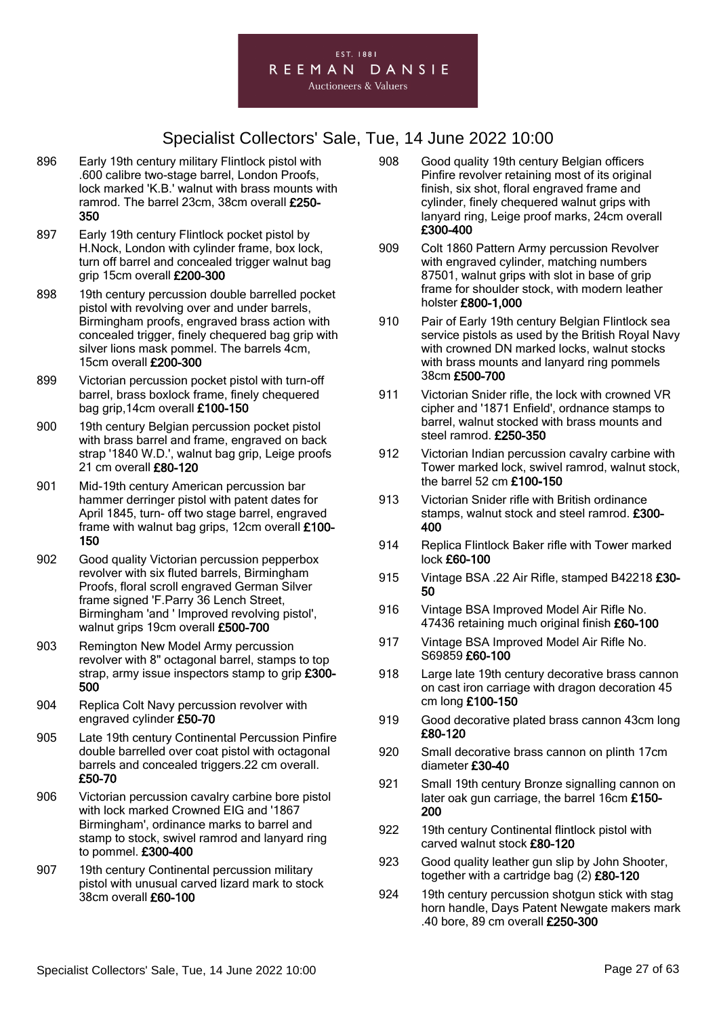

- 896 Early 19th century military Flintlock pistol with .600 calibre two-stage barrel, London Proofs, lock marked 'K.B.' walnut with brass mounts with ramrod. The barrel 23cm, 38cm overall £250- 350
- 897 Early 19th century Flintlock pocket pistol by H.Nock, London with cylinder frame, box lock, turn off barrel and concealed trigger walnut bag grip 15cm overall £200-300
- 898 19th century percussion double barrelled pocket pistol with revolving over and under barrels, Birmingham proofs, engraved brass action with concealed trigger, finely chequered bag grip with silver lions mask pommel. The barrels 4cm, 15cm overall £200-300
- 899 Victorian percussion pocket pistol with turn-off barrel, brass boxlock frame, finely chequered bag grip,14cm overall £100-150
- 900 19th century Belgian percussion pocket pistol with brass barrel and frame, engraved on back strap '1840 W.D.', walnut bag grip, Leige proofs 21 cm overall £80-120
- 901 Mid-19th century American percussion bar hammer derringer pistol with patent dates for April 1845, turn- off two stage barrel, engraved frame with walnut bag grips, 12cm overall £100-150
- 902 Good quality Victorian percussion pepperbox revolver with six fluted barrels, Birmingham Proofs, floral scroll engraved German Silver frame signed 'F.Parry 36 Lench Street, Birmingham 'and ' Improved revolving pistol', walnut grips 19cm overall £500-700
- 903 Remington New Model Army percussion revolver with 8" octagonal barrel, stamps to top strap, army issue inspectors stamp to grip £300-500
- 904 Replica Colt Navy percussion revolver with engraved cylinder £50-70
- 905 Late 19th century Continental Percussion Pinfire double barrelled over coat pistol with octagonal barrels and concealed triggers.22 cm overall. £50-70
- 906 Victorian percussion cavalry carbine bore pistol with lock marked Crowned EIG and '1867 Birmingham', ordinance marks to barrel and stamp to stock, swivel ramrod and lanyard ring to pommel. £300-400
- 907 19th century Continental percussion military pistol with unusual carved lizard mark to stock 38cm overall £60-100
- 908 Good quality 19th century Belgian officers Pinfire revolver retaining most of its original finish, six shot, floral engraved frame and cylinder, finely chequered walnut grips with lanyard ring, Leige proof marks, 24cm overall £300-400
- 909 Colt 1860 Pattern Army percussion Revolver with engraved cylinder, matching numbers 87501, walnut grips with slot in base of grip frame for shoulder stock, with modern leather holster £800-1,000
- 910 Pair of Early 19th century Belgian Flintlock sea service pistols as used by the British Royal Navy with crowned DN marked locks, walnut stocks with brass mounts and lanyard ring pommels 38cm £500-700
- 911 Victorian Snider rifle, the lock with crowned VR cipher and '1871 Enfield', ordnance stamps to barrel, walnut stocked with brass mounts and steel ramrod. £250-350
- 912 Victorian Indian percussion cavalry carbine with Tower marked lock, swivel ramrod, walnut stock, the barrel 52 cm £100-150
- 913 Victorian Snider rifle with British ordinance stamps, walnut stock and steel ramrod. £300- 400
- 914 Replica Flintlock Baker rifle with Tower marked lock £60-100
- 915 Vintage BSA .22 Air Rifle, stamped B42218 £30-50
- 916 Vintage BSA Improved Model Air Rifle No. 47436 retaining much original finish £60-100
- 917 Vintage BSA Improved Model Air Rifle No. S69859 £60-100
- 918 Large late 19th century decorative brass cannon on cast iron carriage with dragon decoration 45 cm long £100-150
- 919 Good decorative plated brass cannon 43cm long £80-120
- 920 Small decorative brass cannon on plinth 17cm diameter £30-40
- 921 Small 19th century Bronze signalling cannon on later oak gun carriage, the barrel 16cm £150- 200
- 922 19th century Continental flintlock pistol with carved walnut stock £80-120
- 923 Good quality leather gun slip by John Shooter, together with a cartridge bag (2) £80-120
- 924 19th century percussion shotgun stick with stag horn handle, Days Patent Newgate makers mark .40 bore, 89 cm overall £250-300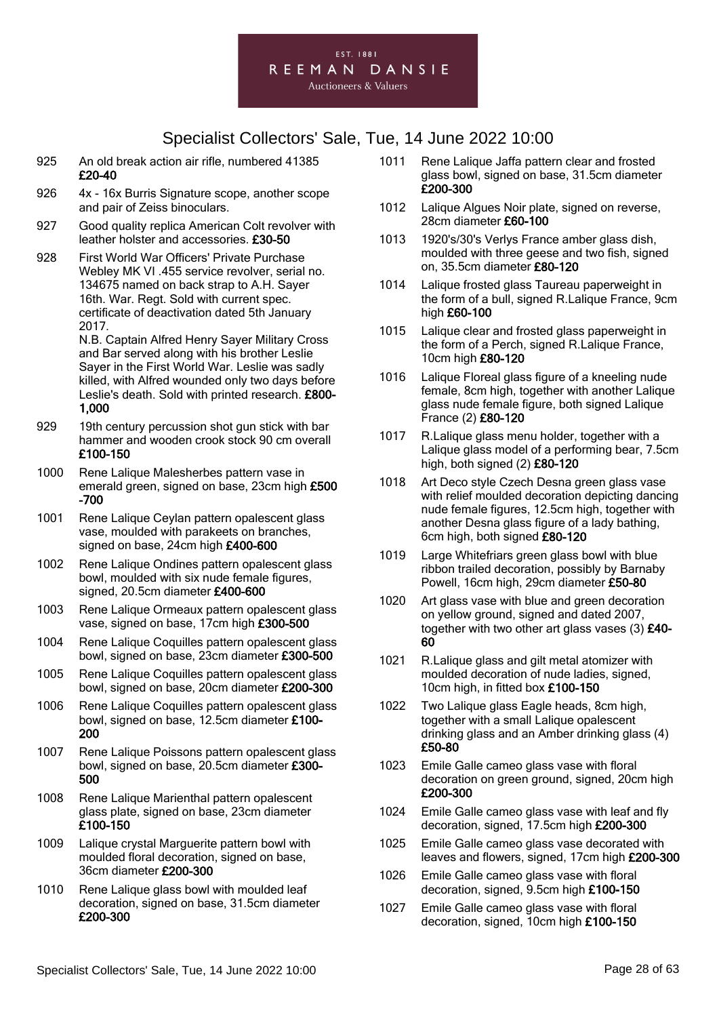#### EST. 1881 REEMAN DANSIE **Auctioneers & Valuers**

# Specialist Collectors' Sale, Tue, 14 June 2022 10:00

- 925 An old break action air rifle, numbered 41385 £20-40
- 926 4x 16x Burris Signature scope, another scope and pair of Zeiss binoculars.
- 927 Good quality replica American Colt revolver with leather holster and accessories. £30-50
- 928 First World War Officers' Private Purchase Webley MK VI .455 service revolver, serial no. 134675 named on back strap to A.H. Sayer 16th. War. Regt. Sold with current spec. certificate of deactivation dated 5th January 2017.

N.B. Captain Alfred Henry Sayer Military Cross and Bar served along with his brother Leslie Sayer in the First World War. Leslie was sadly killed, with Alfred wounded only two days before Leslie's death. Sold with printed research. £800- 1,000

- 929 19th century percussion shot gun stick with bar hammer and wooden crook stock 90 cm overall £100-150
- 1000 Rene Lalique Malesherbes pattern vase in emerald green, signed on base, 23cm high £500 -700
- 1001 Rene Lalique Ceylan pattern opalescent glass vase, moulded with parakeets on branches, signed on base, 24cm high £400-600
- 1002 Rene Lalique Ondines pattern opalescent glass bowl, moulded with six nude female figures, signed, 20.5cm diameter £400-600
- 1003 Rene Lalique Ormeaux pattern opalescent glass vase, signed on base, 17cm high £300-500
- 1004 Rene Lalique Coquilles pattern opalescent glass bowl, signed on base, 23cm diameter £300-500
- 1005 Rene Lalique Coquilles pattern opalescent glass bowl, signed on base, 20cm diameter £200-300
- 1006 Rene Lalique Coquilles pattern opalescent glass bowl, signed on base, 12.5cm diameter £100- 200
- 1007 Rene Lalique Poissons pattern opalescent glass bowl, signed on base, 20.5cm diameter £300- 500
- 1008 Rene Lalique Marienthal pattern opalescent glass plate, signed on base, 23cm diameter £100-150
- 1009 Lalique crystal Marguerite pattern bowl with moulded floral decoration, signed on base. 36cm diameter £200-300
- 1010 Rene Lalique glass bowl with moulded leaf decoration, signed on base, 31.5cm diameter £200-300
- 1011 Rene Lalique Jaffa pattern clear and frosted glass bowl, signed on base, 31.5cm diameter £200-300
- 1012 Lalique Algues Noir plate, signed on reverse, 28cm diameter £60-100
- 1013 1920's/30's Verlys France amber glass dish, moulded with three geese and two fish, signed on, 35.5cm diameter £80-120
- 1014 Lalique frosted glass Taureau paperweight in the form of a bull, signed R.Lalique France, 9cm high £60-100
- 1015 Lalique clear and frosted glass paperweight in the form of a Perch, signed R.Lalique France, 10cm high £80-120
- 1016 Lalique Floreal glass figure of a kneeling nude female, 8cm high, together with another Lalique glass nude female figure, both signed Lalique France (2) £80-120
- 1017 R.Lalique glass menu holder, together with a Lalique glass model of a performing bear, 7.5cm high, both signed (2) £80-120
- 1018 Art Deco style Czech Desna green glass vase with relief moulded decoration depicting dancing nude female figures, 12.5cm high, together with another Desna glass figure of a lady bathing, 6cm high, both signed £80-120
- 1019 Large Whitefriars green glass bowl with blue ribbon trailed decoration, possibly by Barnaby Powell, 16cm high, 29cm diameter £50-80
- 1020 Art glass vase with blue and green decoration on yellow ground, signed and dated 2007, together with two other art glass vases (3) £40- 60
- 1021 R.Lalique glass and gilt metal atomizer with moulded decoration of nude ladies, signed, 10cm high, in fitted box £100-150
- 1022 Two Lalique glass Eagle heads, 8cm high, together with a small Lalique opalescent drinking glass and an Amber drinking glass (4) £50-80
- 1023 Emile Galle cameo glass vase with floral decoration on green ground, signed, 20cm high £200-300
- 1024 Emile Galle cameo glass vase with leaf and fly decoration, signed, 17.5cm high £200-300
- 1025 Emile Galle cameo glass vase decorated with leaves and flowers, signed, 17cm high £200-300
- 1026 Emile Galle cameo glass vase with floral decoration, signed, 9.5cm high £100-150
- 1027 Emile Galle cameo glass vase with floral decoration, signed, 10cm high £100-150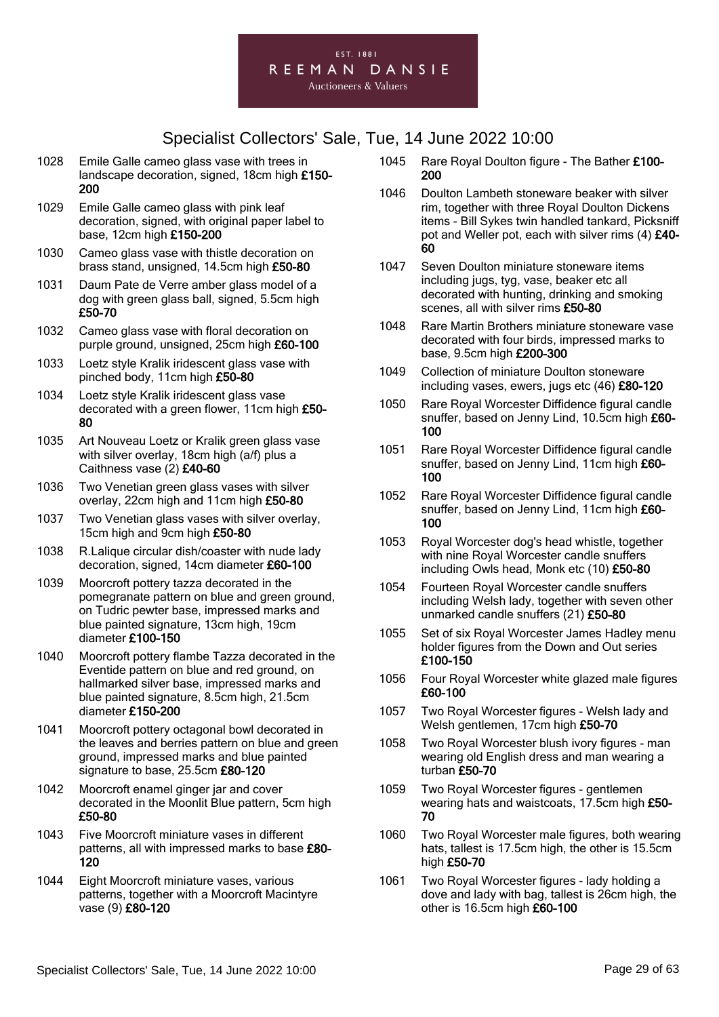

- 1028 Emile Galle cameo glass vase with trees in landscape decoration, signed, 18cm high £150- 200
- 1029 Emile Galle cameo glass with pink leaf decoration, signed, with original paper label to base, 12cm high £150-200
- 1030 Cameo glass vase with thistle decoration on brass stand, unsigned, 14.5cm high £50-80
- 1031 Daum Pate de Verre amber glass model of a dog with green glass ball, signed, 5.5cm high £50-70
- 1032 Cameo glass vase with floral decoration on purple ground, unsigned, 25cm high £60-100
- 1033 Loetz style Kralik iridescent glass vase with pinched body, 11cm high £50-80
- 1034 Loetz style Kralik iridescent glass vase decorated with a green flower, 11cm high £50- 80
- 1035 Art Nouveau Loetz or Kralik green glass vase with silver overlay, 18cm high (a/f) plus a Caithness vase (2) £40-60
- 1036 Two Venetian green glass vases with silver overlay, 22cm high and 11cm high £50-80
- 1037 Two Venetian glass vases with silver overlay, 15cm high and 9cm high £50-80
- 1038 R.Lalique circular dish/coaster with nude lady decoration, signed, 14cm diameter £60-100
- 1039 Moorcroft pottery tazza decorated in the pomegranate pattern on blue and green ground, on Tudric pewter base, impressed marks and blue painted signature, 13cm high, 19cm diameter £100-150
- 1040 Moorcroft pottery flambe Tazza decorated in the Eventide pattern on blue and red ground, on hallmarked silver base, impressed marks and blue painted signature, 8.5cm high, 21.5cm diameter £150-200
- 1041 Moorcroft pottery octagonal bowl decorated in the leaves and berries pattern on blue and green ground, impressed marks and blue painted signature to base, 25.5cm £80-120
- 1042 Moorcroft enamel ginger jar and cover decorated in the Moonlit Blue pattern, 5cm high £50-80
- 1043 Five Moorcroft miniature vases in different patterns, all with impressed marks to base £80- 120
- 1044 Eight Moorcroft miniature vases, various patterns, together with a Moorcroft Macintyre vase (9) £80-120
- 1045 Rare Royal Doulton figure The Bather £100-200
- 1046 Doulton Lambeth stoneware beaker with silver rim, together with three Royal Doulton Dickens items - Bill Sykes twin handled tankard, Picksniff pot and Weller pot, each with silver rims (4) £40-60
- 1047 Seven Doulton miniature stoneware items including jugs, tyg, vase, beaker etc all decorated with hunting, drinking and smoking scenes, all with silver rims £50-80
- 1048 Rare Martin Brothers miniature stoneware vase decorated with four birds, impressed marks to base, 9.5cm high £200-300
- 1049 Collection of miniature Doulton stoneware including vases, ewers, jugs etc (46) £80-120
- 1050 Rare Royal Worcester Diffidence figural candle snuffer, based on Jenny Lind, 10.5cm high £60- 100
- 1051 Rare Royal Worcester Diffidence figural candle snuffer, based on Jenny Lind, 11cm high £60-100
- 1052 Rare Royal Worcester Diffidence figural candle snuffer, based on Jenny Lind, 11cm high £60- 100
- 1053 Royal Worcester dog's head whistle, together with nine Royal Worcester candle snuffers including Owls head, Monk etc (10) £50-80
- 1054 Fourteen Royal Worcester candle snuffers including Welsh lady, together with seven other unmarked candle snuffers (21) £50-80
- 1055 Set of six Royal Worcester James Hadley menu holder figures from the Down and Out series £100-150
- 1056 Four Royal Worcester white glazed male figures £60-100
- 1057 Two Royal Worcester figures Welsh lady and Welsh gentlemen, 17cm high £50-70
- 1058 Two Royal Worcester blush ivory figures man wearing old English dress and man wearing a turban £50-70
- 1059 Two Royal Worcester figures gentlemen wearing hats and waistcoats, 17.5cm high £50- 70
- 1060 Two Royal Worcester male figures, both wearing hats, tallest is 17.5cm high, the other is 15.5cm high £50-70
- 1061 Two Royal Worcester figures lady holding a dove and lady with bag, tallest is 26cm high, the other is 16.5cm high £60-100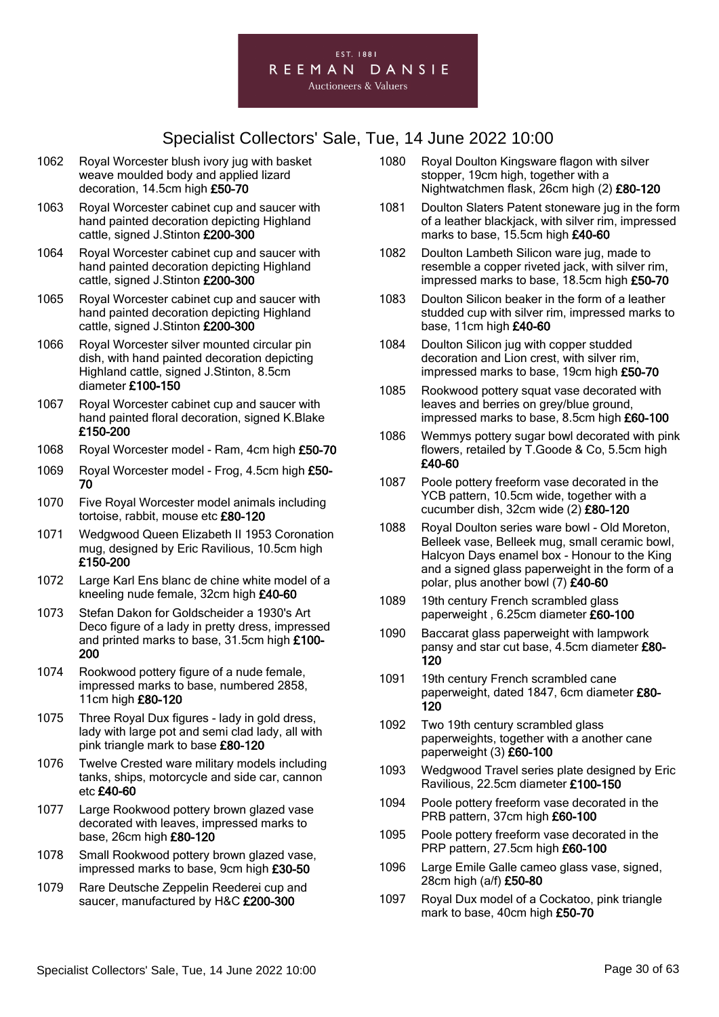

- 1062 Royal Worcester blush ivory jug with basket weave moulded body and applied lizard decoration, 14.5cm high £50-70
- 1063 Royal Worcester cabinet cup and saucer with hand painted decoration depicting Highland cattle, signed J.Stinton £200-300
- 1064 Royal Worcester cabinet cup and saucer with hand painted decoration depicting Highland cattle, signed J.Stinton £200-300
- 1065 Royal Worcester cabinet cup and saucer with hand painted decoration depicting Highland cattle, signed J.Stinton £200-300
- 1066 Royal Worcester silver mounted circular pin dish, with hand painted decoration depicting Highland cattle, signed J.Stinton, 8.5cm diameter £100-150
- 1067 Royal Worcester cabinet cup and saucer with hand painted floral decoration, signed K.Blake £150-200
- 1068 Royal Worcester model Ram, 4cm high £50-70
- 1069 Royal Worcester model Frog, 4.5cm high £50- 70
- 1070 Five Royal Worcester model animals including tortoise, rabbit, mouse etc £80-120
- 1071 Wedgwood Queen Elizabeth II 1953 Coronation mug, designed by Eric Ravilious, 10.5cm high £150-200
- 1072 Large Karl Ens blanc de chine white model of a kneeling nude female, 32cm high £40-60
- 1073 Stefan Dakon for Goldscheider a 1930's Art Deco figure of a lady in pretty dress, impressed and printed marks to base, 31.5cm high £100- 200
- 1074 Rookwood pottery figure of a nude female, impressed marks to base, numbered 2858, 11cm high £80-120
- 1075 Three Royal Dux figures lady in gold dress, lady with large pot and semi clad lady, all with pink triangle mark to base £80-120
- 1076 Twelve Crested ware military models including tanks, ships, motorcycle and side car, cannon etc £40-60
- 1077 Large Rookwood pottery brown glazed vase decorated with leaves, impressed marks to base, 26cm high £80-120
- 1078 Small Rookwood pottery brown glazed vase, impressed marks to base, 9cm high £30-50
- 1079 Rare Deutsche Zeppelin Reederei cup and saucer, manufactured by H&C £200-300
- 1080 Royal Doulton Kingsware flagon with silver stopper, 19cm high, together with a Nightwatchmen flask, 26cm high (2) £80-120
- 1081 Doulton Slaters Patent stoneware jug in the form of a leather blackjack, with silver rim, impressed marks to base, 15.5cm high £40-60
- 1082 Doulton Lambeth Silicon ware jug, made to resemble a copper riveted jack, with silver rim, impressed marks to base, 18.5cm high £50-70
- 1083 Doulton Silicon beaker in the form of a leather studded cup with silver rim, impressed marks to base, 11cm high £40-60
- 1084 Doulton Silicon jug with copper studded decoration and Lion crest, with silver rim, impressed marks to base, 19cm high £50-70
- 1085 Rookwood pottery squat vase decorated with leaves and berries on grey/blue ground, impressed marks to base, 8.5cm high £60-100
- 1086 Wemmys pottery sugar bowl decorated with pink flowers, retailed by T.Goode & Co, 5.5cm high £40-60
- 1087 Poole pottery freeform vase decorated in the YCB pattern, 10.5cm wide, together with a cucumber dish, 32cm wide (2) £80-120
- 1088 Royal Doulton series ware bowl Old Moreton, Belleek vase, Belleek mug, small ceramic bowl, Halcyon Days enamel box - Honour to the King and a signed glass paperweight in the form of a polar, plus another bowl (7) £40-60
- 1089 19th century French scrambled glass paperweight , 6.25cm diameter £60-100
- 1090 Baccarat glass paperweight with lampwork pansy and star cut base, 4.5cm diameter £80-120
- 1091 19th century French scrambled cane paperweight, dated 1847, 6cm diameter £80-120
- 1092 Two 19th century scrambled glass paperweights, together with a another cane paperweight (3) £60-100
- 1093 Wedgwood Travel series plate designed by Eric Ravilious, 22.5cm diameter £100-150
- 1094 Poole pottery freeform vase decorated in the PRB pattern, 37cm high £60-100
- 1095 Poole pottery freeform vase decorated in the PRP pattern, 27.5cm high £60-100
- 1096 Large Emile Galle cameo glass vase, signed, 28cm high (a/f) £50-80
- 1097 Royal Dux model of a Cockatoo, pink triangle mark to base, 40cm high £50-70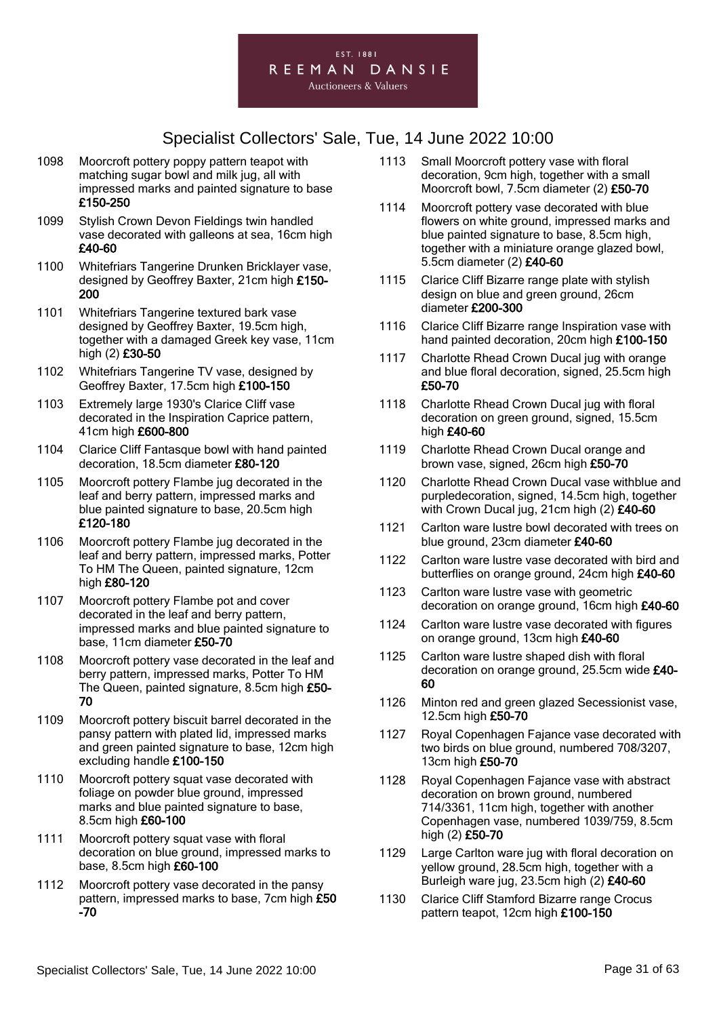

- 1098 Moorcroft pottery poppy pattern teapot with matching sugar bowl and milk jug, all with impressed marks and painted signature to base £150-250
- 1099 Stylish Crown Devon Fieldings twin handled vase decorated with galleons at sea, 16cm high £40-60
- 1100 Whitefriars Tangerine Drunken Bricklayer vase, designed by Geoffrey Baxter, 21cm high £150- 200
- 1101 Whitefriars Tangerine textured bark vase designed by Geoffrey Baxter, 19.5cm high, together with a damaged Greek key vase, 11cm high (2) £30-50
- 1102 Whitefriars Tangerine TV vase, designed by Geoffrey Baxter, 17.5cm high £100-150
- 1103 Extremely large 1930's Clarice Cliff vase decorated in the Inspiration Caprice pattern, 41cm high £600-800
- 1104 Clarice Cliff Fantasque bowl with hand painted decoration, 18.5cm diameter £80-120
- 1105 Moorcroft pottery Flambe jug decorated in the leaf and berry pattern, impressed marks and blue painted signature to base, 20.5cm high £120-180
- 1106 Moorcroft pottery Flambe jug decorated in the leaf and berry pattern, impressed marks, Potter To HM The Queen, painted signature, 12cm high £80-120
- 1107 Moorcroft pottery Flambe pot and cover decorated in the leaf and berry pattern, impressed marks and blue painted signature to base, 11cm diameter £50-70
- 1108 Moorcroft pottery vase decorated in the leaf and berry pattern, impressed marks, Potter To HM The Queen, painted signature, 8.5cm high £50- 70
- 1109 Moorcroft pottery biscuit barrel decorated in the pansy pattern with plated lid, impressed marks and green painted signature to base, 12cm high excluding handle £100-150
- 1110 Moorcroft pottery squat vase decorated with foliage on powder blue ground, impressed marks and blue painted signature to base. 8.5cm high £60-100
- 1111 Moorcroft pottery squat vase with floral decoration on blue ground, impressed marks to base, 8.5cm high £60-100
- 1112 Moorcroft pottery vase decorated in the pansy pattern, impressed marks to base, 7cm high £50 -70
- 1113 Small Moorcroft pottery vase with floral decoration, 9cm high, together with a small Moorcroft bowl, 7.5cm diameter (2) £50-70
- 1114 Moorcroft pottery vase decorated with blue flowers on white ground, impressed marks and blue painted signature to base, 8.5cm high, together with a miniature orange glazed bowl, 5.5cm diameter (2) £40-60
- 1115 Clarice Cliff Bizarre range plate with stylish design on blue and green ground, 26cm diameter £200-300
- 1116 Clarice Cliff Bizarre range Inspiration vase with hand painted decoration, 20cm high £100-150
- 1117 Charlotte Rhead Crown Ducal jug with orange and blue floral decoration, signed, 25.5cm high £50-70
- 1118 Charlotte Rhead Crown Ducal jug with floral decoration on green ground, signed, 15.5cm high £40-60
- 1119 Charlotte Rhead Crown Ducal orange and brown vase, signed, 26cm high £50-70
- 1120 Charlotte Rhead Crown Ducal vase withblue and purpledecoration, signed, 14.5cm high, together with Crown Ducal jug, 21cm high (2) £40-60
- 1121 Carlton ware lustre bowl decorated with trees on blue ground, 23cm diameter £40-60
- 1122 Carlton ware lustre vase decorated with bird and butterflies on orange ground, 24cm high £40-60
- 1123 Carlton ware lustre vase with geometric decoration on orange ground, 16cm high £40-60
- 1124 Carlton ware lustre vase decorated with figures on orange ground, 13cm high £40-60
- 1125 Carlton ware lustre shaped dish with floral decoration on orange ground, 25.5cm wide £40- 60
- 1126 Minton red and green glazed Secessionist vase, 12.5cm high £50-70
- 1127 Royal Copenhagen Fajance vase decorated with two birds on blue ground, numbered 708/3207, 13cm high £50-70
- 1128 Royal Copenhagen Fajance vase with abstract decoration on brown ground, numbered 714/3361, 11cm high, together with another Copenhagen vase, numbered 1039/759, 8.5cm high (2) £50-70
- 1129 Large Carlton ware jug with floral decoration on yellow ground, 28.5cm high, together with a Burleigh ware jug, 23.5cm high (2) £40-60
- 1130 Clarice Cliff Stamford Bizarre range Crocus pattern teapot, 12cm high £100-150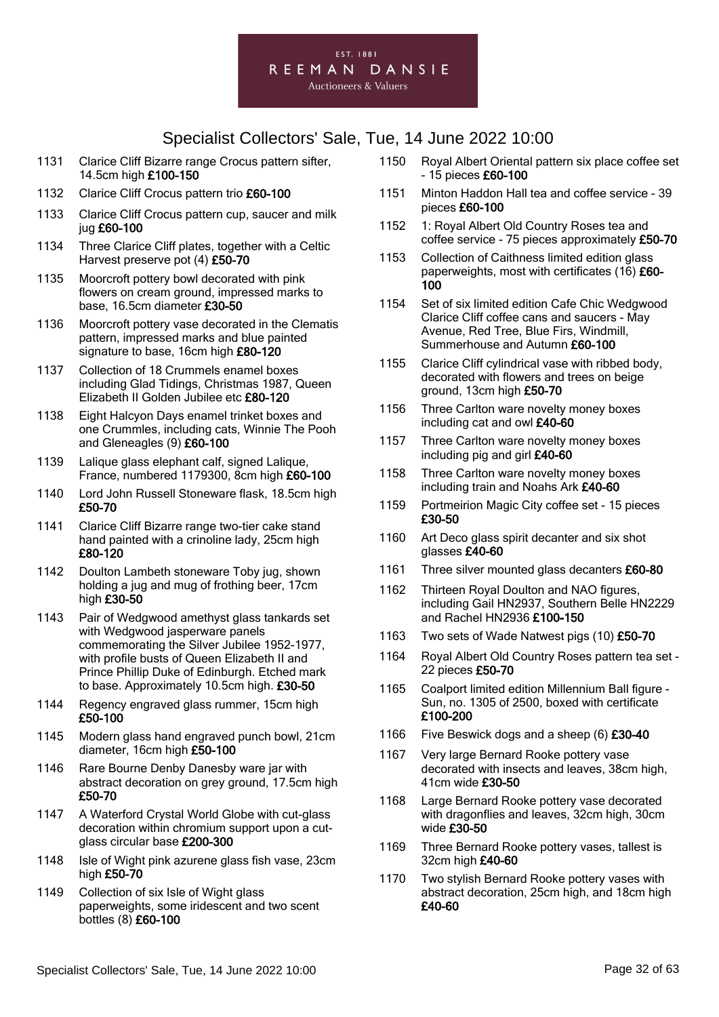#### EST. 1881 REEMAN DANSIE **Auctioneers & Valuers**

- 1131 Clarice Cliff Bizarre range Crocus pattern sifter, 14.5cm high £100-150
- 1132 Clarice Cliff Crocus pattern trio £60-100
- 1133 Clarice Cliff Crocus pattern cup, saucer and milk jug £60-100
- 1134 Three Clarice Cliff plates, together with a Celtic Harvest preserve pot (4) £50-70
- 1135 Moorcroft pottery bowl decorated with pink flowers on cream ground, impressed marks to base, 16.5cm diameter £30-50
- 1136 Moorcroft pottery vase decorated in the Clematis pattern, impressed marks and blue painted signature to base, 16cm high £80-120
- 1137 Collection of 18 Crummels enamel boxes including Glad Tidings, Christmas 1987, Queen Elizabeth II Golden Jubilee etc £80-120
- 1138 Eight Halcyon Days enamel trinket boxes and one Crummles, including cats, Winnie The Pooh and Gleneagles (9) £60-100
- 1139 Lalique glass elephant calf, signed Lalique, France, numbered 1179300, 8cm high £60-100
- 1140 Lord John Russell Stoneware flask, 18.5cm high £50-70
- 1141 Clarice Cliff Bizarre range two-tier cake stand hand painted with a crinoline lady, 25cm high £80-120
- 1142 Doulton Lambeth stoneware Toby jug, shown holding a jug and mug of frothing beer, 17cm high £30-50
- 1143 Pair of Wedgwood amethyst glass tankards set with Wedgwood jasperware panels commemorating the Silver Jubilee 1952-1977, with profile busts of Queen Elizabeth II and Prince Phillip Duke of Edinburgh. Etched mark to base. Approximately 10.5cm high. £30-50
- 1144 Regency engraved glass rummer, 15cm high £50-100
- 1145 Modern glass hand engraved punch bowl, 21cm diameter, 16cm high £50-100
- 1146 Rare Bourne Denby Danesby ware jar with abstract decoration on grey ground, 17.5cm high £50-70
- 1147 A Waterford Crystal World Globe with cut-glass decoration within chromium support upon a cutglass circular base £200-300
- 1148 Isle of Wight pink azurene glass fish vase, 23cm high £50-70
- 1149 Collection of six Isle of Wight glass paperweights, some iridescent and two scent bottles (8) £60-100
- 1150 Royal Albert Oriental pattern six place coffee set - 15 pieces £60-100
- 1151 Minton Haddon Hall tea and coffee service 39 pieces £60-100
- 1152 1: Royal Albert Old Country Roses tea and coffee service - 75 pieces approximately £50-70
- 1153 Collection of Caithness limited edition glass paperweights, most with certificates (16) £60-100
- 1154 Set of six limited edition Cafe Chic Wedgwood Clarice Cliff coffee cans and saucers - May Avenue, Red Tree, Blue Firs, Windmill, Summerhouse and Autumn £60-100
- 1155 Clarice Cliff cylindrical vase with ribbed body, decorated with flowers and trees on beige ground, 13cm high £50-70
- 1156 Three Carlton ware novelty money boxes including cat and owl £40-60
- 1157 Three Carlton ware novelty money boxes including pig and girl £40-60
- 1158 Three Carlton ware novelty money boxes including train and Noahs Ark £40-60
- 1159 Portmeirion Magic City coffee set 15 pieces £30-50
- 1160 Art Deco glass spirit decanter and six shot glasses £40-60
- 1161 Three silver mounted glass decanters £60-80
- 1162 Thirteen Royal Doulton and NAO figures. including Gail HN2937, Southern Belle HN2229 and Rachel HN2936 £100-150
- 1163 Two sets of Wade Natwest pigs (10) £50-70
- 1164 Royal Albert Old Country Roses pattern tea set 22 pieces £50-70
- 1165 Coalport limited edition Millennium Ball figure Sun, no. 1305 of 2500, boxed with certificate £100-200
- 1166 Five Beswick dogs and a sheep (6) **£30-40**
- 1167 Very large Bernard Rooke pottery vase decorated with insects and leaves, 38cm high, 41cm wide £30-50
- 1168 Large Bernard Rooke pottery vase decorated with dragonflies and leaves, 32cm high, 30cm wide £30-50
- 1169 Three Bernard Rooke pottery vases, tallest is 32cm high £40-60
- 1170 Two stylish Bernard Rooke pottery vases with abstract decoration, 25cm high, and 18cm high £40-60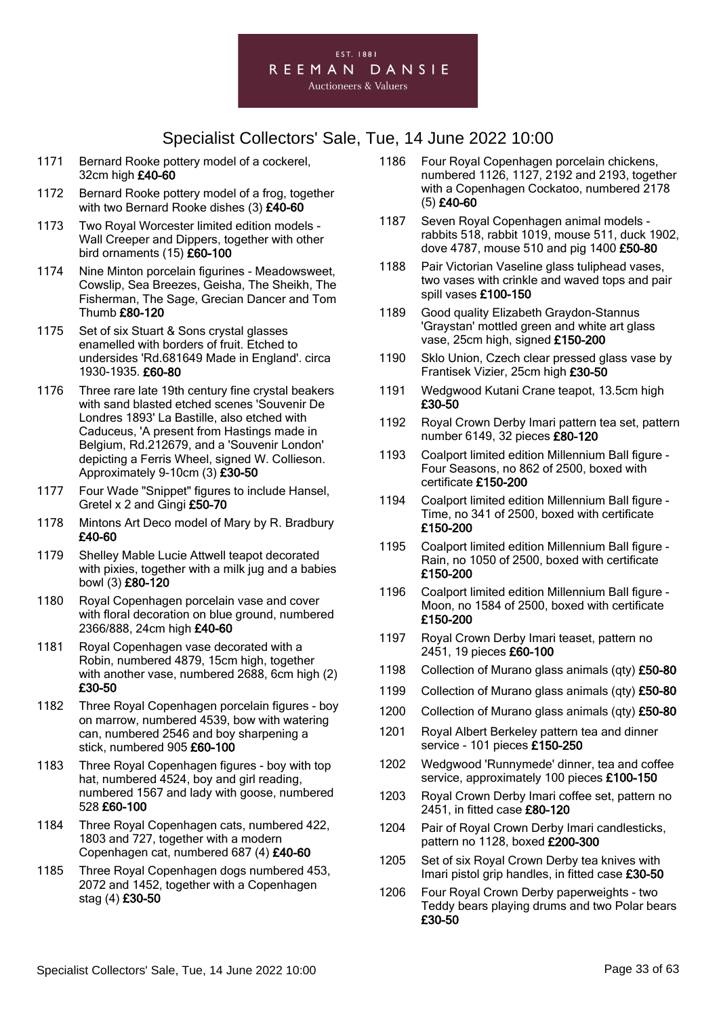

- 1171 Bernard Rooke pottery model of a cockerel, 32cm high £40-60
- 1172 Bernard Rooke pottery model of a frog, together with two Bernard Rooke dishes (3) £40-60
- 1173 Two Royal Worcester limited edition models Wall Creeper and Dippers, together with other bird ornaments (15) £60-100
- 1174 Nine Minton porcelain figurines Meadowsweet, Cowslip, Sea Breezes, Geisha, The Sheikh, The Fisherman, The Sage, Grecian Dancer and Tom Thumb £80-120
- 1175 Set of six Stuart & Sons crystal glasses enamelled with borders of fruit. Etched to undersides 'Rd.681649 Made in England'. circa 1930-1935. £60-80
- 1176 Three rare late 19th century fine crystal beakers with sand blasted etched scenes 'Souvenir De Londres 1893' La Bastille, also etched with Caduceus, 'A present from Hastings made in Belgium, Rd.212679, and a 'Souvenir London' depicting a Ferris Wheel, signed W. Collieson. Approximately 9-10cm (3) £30-50
- 1177 Four Wade "Snippet" figures to include Hansel, Gretel x 2 and Gingi £50-70
- 1178 Mintons Art Deco model of Mary by R. Bradbury £40-60
- 1179 Shelley Mable Lucie Attwell teapot decorated with pixies, together with a milk jug and a babies bowl (3) £80-120
- 1180 Royal Copenhagen porcelain vase and cover with floral decoration on blue ground, numbered 2366/888, 24cm high £40-60
- 1181 Royal Copenhagen vase decorated with a Robin, numbered 4879, 15cm high, together with another vase, numbered 2688, 6cm high (2) £30-50
- 1182 Three Royal Copenhagen porcelain figures boy on marrow, numbered 4539, bow with watering can, numbered 2546 and boy sharpening a stick, numbered 905 £60-100
- 1183 Three Royal Copenhagen figures boy with top hat, numbered 4524, boy and girl reading. numbered 1567 and lady with goose, numbered 528 £60-100
- 1184 Three Royal Copenhagen cats, numbered 422, 1803 and 727, together with a modern Copenhagen cat, numbered 687 (4) £40-60
- 1185 Three Royal Copenhagen dogs numbered 453, 2072 and 1452, together with a Copenhagen stag (4) £30-50
- 1186 Four Royal Copenhagen porcelain chickens, numbered 1126, 1127, 2192 and 2193, together with a Copenhagen Cockatoo, numbered 2178 (5) £40-60
- 1187 Seven Royal Copenhagen animal models rabbits 518, rabbit 1019, mouse 511, duck 1902, dove 4787, mouse 510 and pig 1400 £50-80
- 1188 Pair Victorian Vaseline glass tuliphead vases, two vases with crinkle and waved tops and pair spill vases £100-150
- 1189 Good quality Elizabeth Graydon-Stannus 'Graystan' mottled green and white art glass vase, 25cm high, signed £150-200
- 1190 Sklo Union, Czech clear pressed glass vase by Frantisek Vizier, 25cm high £30-50
- 1191 Wedgwood Kutani Crane teapot, 13.5cm high £30-50
- 1192 Royal Crown Derby Imari pattern tea set, pattern number 6149, 32 pieces £80-120
- 1193 Coalport limited edition Millennium Ball figure Four Seasons, no 862 of 2500, boxed with certificate £150-200
- 1194 Coalport limited edition Millennium Ball figure Time, no 341 of 2500, boxed with certificate £150-200
- 1195 Coalport limited edition Millennium Ball figure Rain, no 1050 of 2500, boxed with certificate £150-200
- 1196 Coalport limited edition Millennium Ball figure Moon, no 1584 of 2500, boxed with certificate £150-200
- 1197 Royal Crown Derby Imari teaset, pattern no 2451, 19 pieces £60-100
- 1198 Collection of Murano glass animals (qty) £50-80
- 1199 Collection of Murano glass animals (qty) £50-80
- 1200 Collection of Murano glass animals (qty) £50-80
- 1201 Royal Albert Berkeley pattern tea and dinner service - 101 pieces £150-250
- 1202 Wedgwood 'Runnymede' dinner, tea and coffee service, approximately 100 pieces £100-150
- 1203 Royal Crown Derby Imari coffee set, pattern no 2451, in fitted case £80-120
- 1204 Pair of Royal Crown Derby Imari candlesticks, pattern no 1128, boxed £200-300
- 1205 Set of six Royal Crown Derby tea knives with Imari pistol grip handles, in fitted case £30-50
- 1206 Four Royal Crown Derby paperweights two Teddy bears playing drums and two Polar bears £30-50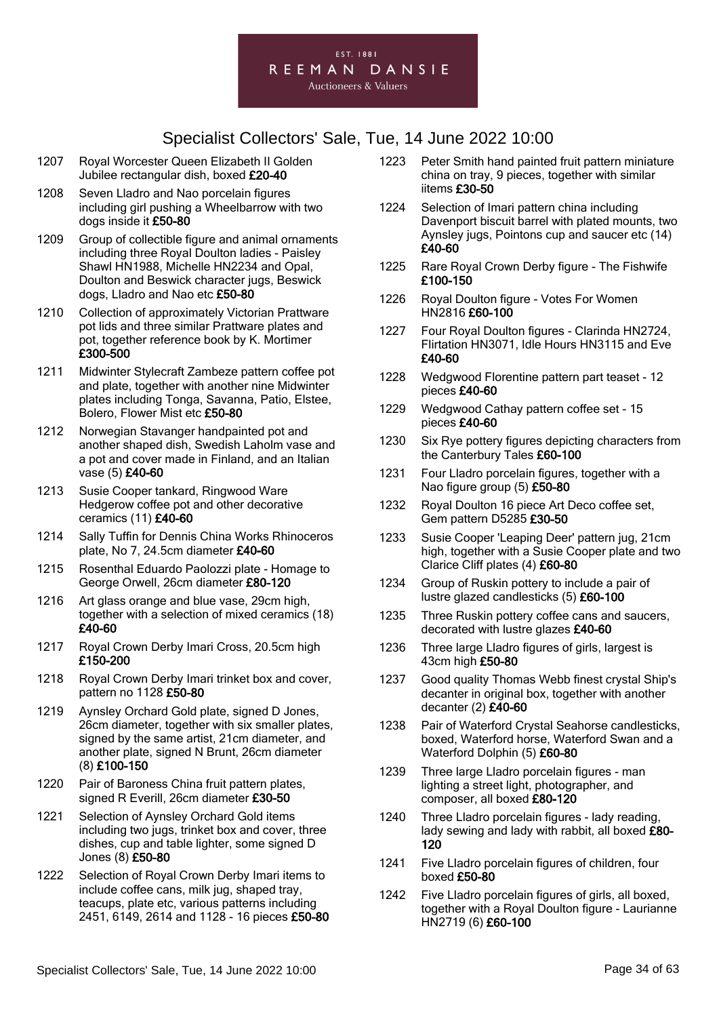

- 1207 Royal Worcester Queen Elizabeth II Golden Jubilee rectangular dish, boxed £20-40
- 1208 Seven Lladro and Nao porcelain figures including girl pushing a Wheelbarrow with two dogs inside it £50-80
- 1209 Group of collectible figure and animal ornaments including three Royal Doulton ladies - Paisley Shawl HN1988, Michelle HN2234 and Opal, Doulton and Beswick character jugs, Beswick dogs, Lladro and Nao etc £50-80
- 1210 Collection of approximately Victorian Prattware pot lids and three similar Prattware plates and pot, together reference book by K. Mortimer £300-500
- 1211 Midwinter Stylecraft Zambeze pattern coffee pot and plate, together with another nine Midwinter plates including Tonga, Savanna, Patio, Elstee, Bolero, Flower Mist etc £50-80
- 1212 Norwegian Stavanger handpainted pot and another shaped dish, Swedish Laholm vase and a pot and cover made in Finland, and an Italian vase (5) £40-60
- 1213 Susie Cooper tankard, Ringwood Ware Hedgerow coffee pot and other decorative ceramics (11) £40-60
- 1214 Sally Tuffin for Dennis China Works Rhinoceros plate, No 7, 24.5cm diameter £40-60
- 1215 Rosenthal Eduardo Paolozzi plate Homage to George Orwell, 26cm diameter £80-120
- 1216 Art glass orange and blue vase, 29cm high, together with a selection of mixed ceramics (18) £40-60
- 1217 Royal Crown Derby Imari Cross, 20.5cm high £150-200
- 1218 Royal Crown Derby Imari trinket box and cover, pattern no 1128 £50-80
- 1219 Aynsley Orchard Gold plate, signed D Jones, 26cm diameter, together with six smaller plates, signed by the same artist, 21cm diameter, and another plate, signed N Brunt, 26cm diameter (8) £100-150
- 1220 Pair of Baroness China fruit pattern plates, signed R Everill, 26cm diameter £30-50
- 1221 Selection of Aynsley Orchard Gold items including two jugs, trinket box and cover, three dishes, cup and table lighter, some signed D Jones (8) £50-80
- 1222 Selection of Royal Crown Derby Imari items to include coffee cans, milk jug, shaped tray, teacups, plate etc, various patterns including 2451, 6149, 2614 and 1128 - 16 pieces £50-80
- 1223 Peter Smith hand painted fruit pattern miniature china on tray, 9 pieces, together with similar iitems £30-50
- 1224 Selection of Imari pattern china including Davenport biscuit barrel with plated mounts, two Aynsley jugs, Pointons cup and saucer etc (14) £40-60
- 1225 Rare Royal Crown Derby figure The Fishwife £100-150
- 1226 Royal Doulton figure Votes For Women HN2816 £60-100
- 1227 Four Royal Doulton figures Clarinda HN2724, Flirtation HN3071, Idle Hours HN3115 and Eve £40-60
- 1228 Wedgwood Florentine pattern part teaset 12 pieces £40-60
- 1229 Wedgwood Cathay pattern coffee set 15 pieces £40-60
- 1230 Six Rye pottery figures depicting characters from the Canterbury Tales £60-100
- 1231 Four Lladro porcelain figures, together with a Nao figure group (5) £50-80
- 1232 Royal Doulton 16 piece Art Deco coffee set, Gem pattern D5285 £30-50
- 1233 Susie Cooper 'Leaping Deer' pattern jug, 21cm high, together with a Susie Cooper plate and two Clarice Cliff plates (4) £60-80
- 1234 Group of Ruskin pottery to include a pair of lustre glazed candlesticks (5) £60-100
- 1235 Three Ruskin pottery coffee cans and saucers, decorated with lustre glazes £40-60
- 1236 Three large Lladro figures of girls, largest is 43cm high £50-80
- 1237 Good quality Thomas Webb finest crystal Ship's decanter in original box, together with another decanter (2) £40-60
- 1238 Pair of Waterford Crystal Seahorse candlesticks, boxed, Waterford horse, Waterford Swan and a Waterford Dolphin (5) £60-80
- 1239 Three large Lladro porcelain figures man lighting a street light, photographer, and composer, all boxed £80-120
- 1240 Three Lladro porcelain figures lady reading, lady sewing and lady with rabbit, all boxed £80-120
- 1241 Five Lladro porcelain figures of children, four boxed £50-80
- 1242 Five Lladro porcelain figures of girls, all boxed, together with a Royal Doulton figure - Laurianne HN2719 (6) £60-100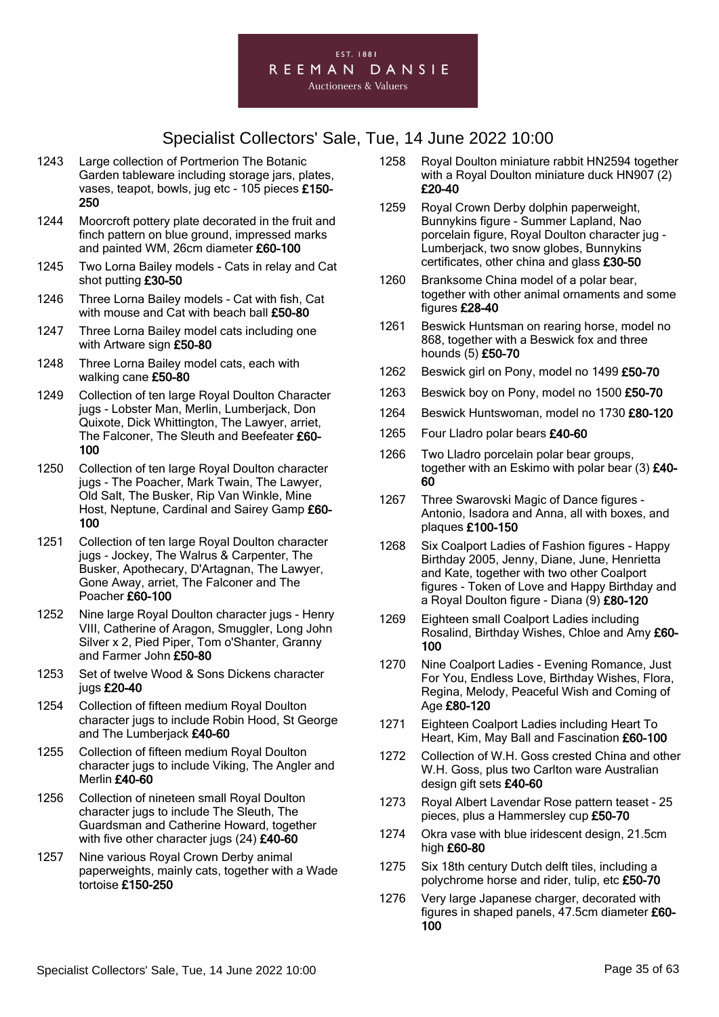

- 1243 Large collection of Portmerion The Botanic Garden tableware including storage jars, plates, vases, teapot, bowls, jug etc - 105 pieces £150- 250
- 1244 Moorcroft pottery plate decorated in the fruit and finch pattern on blue ground, impressed marks and painted WM, 26cm diameter £60-100
- 1245 Two Lorna Bailey models Cats in relay and Cat shot putting £30-50
- 1246 Three Lorna Bailey models Cat with fish, Cat with mouse and Cat with beach ball £50-80
- 1247 Three Lorna Bailey model cats including one with Artware sign £50-80
- 1248 Three Lorna Bailey model cats, each with walking cane £50-80
- 1249 Collection of ten large Royal Doulton Character jugs - Lobster Man, Merlin, Lumberjack, Don Quixote, Dick Whittington, The Lawyer, arriet, The Falconer, The Sleuth and Beefeater £60- 100
- 1250 Collection of ten large Royal Doulton character jugs - The Poacher, Mark Twain, The Lawyer, Old Salt, The Busker, Rip Van Winkle, Mine Host, Neptune, Cardinal and Sairey Gamp £60- 100
- 1251 Collection of ten large Royal Doulton character jugs - Jockey, The Walrus & Carpenter, The Busker, Apothecary, D'Artagnan, The Lawyer, Gone Away, arriet, The Falconer and The Poacher £60-100
- 1252 Nine large Royal Doulton character jugs Henry VIII, Catherine of Aragon, Smuggler, Long John Silver x 2, Pied Piper, Tom o'Shanter, Granny and Farmer John £50-80
- 1253 Set of twelve Wood & Sons Dickens character jugs £20-40
- 1254 Collection of fifteen medium Royal Doulton character jugs to include Robin Hood, St George and The Lumberjack £40-60
- 1255 Collection of fifteen medium Royal Doulton character jugs to include Viking, The Angler and Merlin £40-60
- 1256 Collection of nineteen small Royal Doulton character jugs to include The Sleuth, The Guardsman and Catherine Howard, together with five other character jugs (24) £40-60
- 1257 Nine various Royal Crown Derby animal paperweights, mainly cats, together with a Wade tortoise £150-250
- 1258 Royal Doulton miniature rabbit HN2594 together with a Royal Doulton miniature duck HN907 (2) £20-40
- 1259 Royal Crown Derby dolphin paperweight, Bunnykins figure - Summer Lapland, Nao porcelain figure, Royal Doulton character jug - Lumberjack, two snow globes, Bunnykins certificates, other china and glass £30-50
- 1260 Branksome China model of a polar bear, together with other animal ornaments and some figures £28-40
- 1261 Beswick Huntsman on rearing horse, model no 868, together with a Beswick fox and three hounds (5) £50-70
- 1262 Beswick girl on Pony, model no 1499 £50-70
- 1263 Beswick boy on Pony, model no 1500 £50-70
- 1264 Beswick Huntswoman, model no 1730 £80-120
- 1265 Four Lladro polar bears £40-60
- 1266 Two Lladro porcelain polar bear groups. together with an Eskimo with polar bear (3) £40-60
- 1267 Three Swarovski Magic of Dance figures Antonio, Isadora and Anna, all with boxes, and plaques £100-150
- 1268 Six Coalport Ladies of Fashion figures Happy Birthday 2005, Jenny, Diane, June, Henrietta and Kate, together with two other Coalport figures - Token of Love and Happy Birthday and a Royal Doulton figure - Diana (9) £80-120
- 1269 Eighteen small Coalport Ladies including Rosalind, Birthday Wishes, Chloe and Amy £60- 100
- 1270 Nine Coalport Ladies Evening Romance, Just For You, Endless Love, Birthday Wishes, Flora, Regina, Melody, Peaceful Wish and Coming of Age £80-120
- 1271 Eighteen Coalport Ladies including Heart To Heart, Kim, May Ball and Fascination £60-100
- 1272 Collection of W.H. Goss crested China and other W.H. Goss, plus two Carlton ware Australian design gift sets £40-60
- 1273 Royal Albert Lavendar Rose pattern teaset 25 pieces, plus a Hammersley cup £50-70
- 1274 Okra vase with blue iridescent design, 21.5cm high £60-80
- 1275 Six 18th century Dutch delft tiles, including a polychrome horse and rider, tulip, etc £50-70
- 1276 Very large Japanese charger, decorated with figures in shaped panels, 47.5cm diameter £60- 100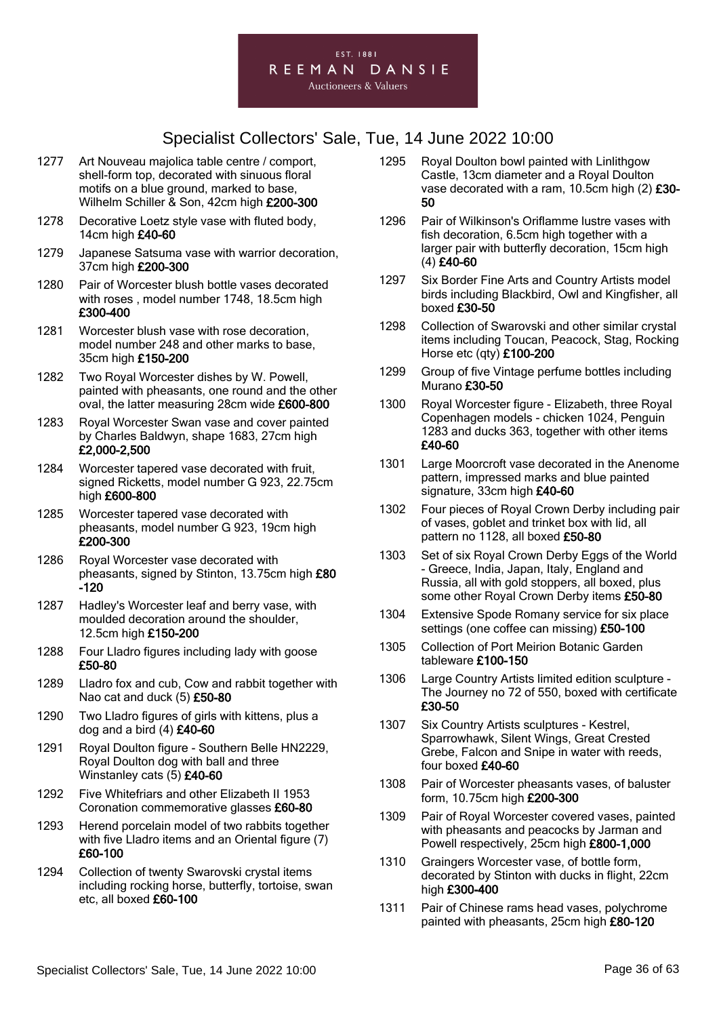

- 1277 Art Nouveau majolica table centre / comport, shell-form top, decorated with sinuous floral motifs on a blue ground, marked to base, Wilhelm Schiller & Son, 42cm high £200-300
- 1278 Decorative Loetz style vase with fluted body, 14cm high £40-60
- 1279 Japanese Satsuma vase with warrior decoration, 37cm high £200-300
- 1280 Pair of Worcester blush bottle vases decorated with roses , model number 1748, 18.5cm high £300-400
- 1281 Worcester blush vase with rose decoration, model number 248 and other marks to base, 35cm high £150-200
- 1282 Two Royal Worcester dishes by W. Powell, painted with pheasants, one round and the other oval, the latter measuring 28cm wide £600-800
- 1283 Royal Worcester Swan vase and cover painted by Charles Baldwyn, shape 1683, 27cm high £2,000-2,500
- 1284 Worcester tapered vase decorated with fruit, signed Ricketts, model number G 923, 22.75cm high £600-800
- 1285 Worcester tapered vase decorated with pheasants, model number G 923, 19cm high £200-300
- 1286 Royal Worcester vase decorated with pheasants, signed by Stinton, 13.75cm high £80 -120
- 1287 Hadley's Worcester leaf and berry vase, with moulded decoration around the shoulder, 12.5cm high £150-200
- 1288 Four Lladro figures including lady with goose £50-80
- 1289 Lladro fox and cub, Cow and rabbit together with Nao cat and duck (5) £50-80
- 1290 Two Lladro figures of girls with kittens, plus a dog and a bird  $(4)$  £40-60
- 1291 Royal Doulton figure Southern Belle HN2229, Royal Doulton dog with ball and three Winstanley cats (5) £40-60
- 1292 Five Whitefriars and other Elizabeth II 1953 Coronation commemorative glasses £60-80
- 1293 Herend porcelain model of two rabbits together with five Lladro items and an Oriental figure (7) £60-100
- 1294 Collection of twenty Swarovski crystal items including rocking horse, butterfly, tortoise, swan etc, all boxed £60-100
- 1295 Royal Doulton bowl painted with Linlithgow Castle, 13cm diameter and a Royal Doulton vase decorated with a ram, 10.5cm high  $(2)$  £30-50
- 1296 Pair of Wilkinson's Oriflamme lustre vases with fish decoration, 6.5cm high together with a larger pair with butterfly decoration, 15cm high (4) £40-60
- 1297 Six Border Fine Arts and Country Artists model birds including Blackbird, Owl and Kingfisher, all boxed £30-50
- 1298 Collection of Swarovski and other similar crystal items including Toucan, Peacock, Stag, Rocking Horse etc (qty) £100-200
- 1299 Group of five Vintage perfume bottles including Murano £30-50
- 1300 Royal Worcester figure Elizabeth, three Royal Copenhagen models - chicken 1024, Penguin 1283 and ducks 363, together with other items £40-60
- 1301 Large Moorcroft vase decorated in the Anenome pattern, impressed marks and blue painted signature, 33cm high £40-60
- 1302 Four pieces of Royal Crown Derby including pair of vases, goblet and trinket box with lid, all pattern no 1128, all boxed £50-80
- 1303 Set of six Royal Crown Derby Eggs of the World - Greece, India, Japan, Italy, England and Russia, all with gold stoppers, all boxed, plus some other Royal Crown Derby items £50-80
- 1304 Extensive Spode Romany service for six place settings (one coffee can missing) £50-100
- 1305 Collection of Port Meirion Botanic Garden tableware £100-150
- 1306 Large Country Artists limited edition sculpture The Journey no 72 of 550, boxed with certificate £30-50
- 1307 Six Country Artists sculptures Kestrel, Sparrowhawk, Silent Wings, Great Crested Grebe, Falcon and Snipe in water with reeds, four boxed £40-60
- 1308 Pair of Worcester pheasants vases, of baluster form, 10.75cm high £200-300
- 1309 Pair of Royal Worcester covered vases, painted with pheasants and peacocks by Jarman and Powell respectively, 25cm high £800-1,000
- 1310 Graingers Worcester vase, of bottle form, decorated by Stinton with ducks in flight, 22cm high £300-400
- 1311 Pair of Chinese rams head vases, polychrome painted with pheasants, 25cm high £80-120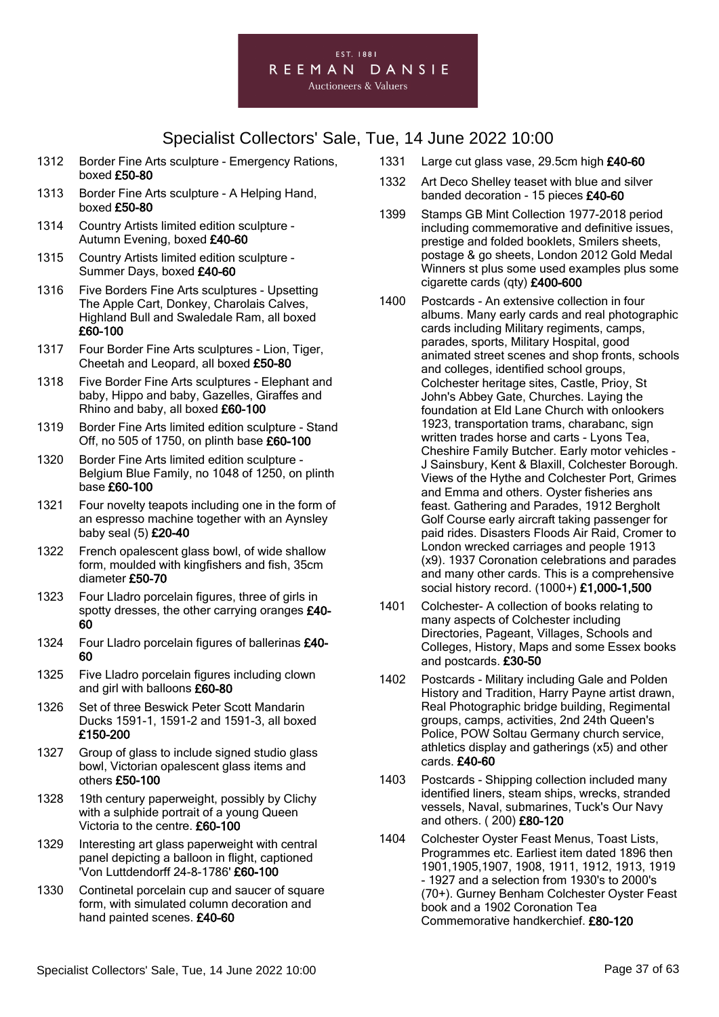#### EST. 1881 REEMAN DANSIE **Auctioneers & Valuers**

- 1312 Border Fine Arts sculpture Emergency Rations, boxed £50-80
- 1313 Border Fine Arts sculpture A Helping Hand, boxed £50-80
- 1314 Country Artists limited edition sculpture Autumn Evening, boxed £40-60
- 1315 Country Artists limited edition sculpture Summer Days, boxed £40-60
- 1316 Five Borders Fine Arts sculptures Upsetting The Apple Cart, Donkey, Charolais Calves, Highland Bull and Swaledale Ram, all boxed £60-100
- 1317 Four Border Fine Arts sculptures Lion, Tiger, Cheetah and Leopard, all boxed £50-80
- 1318 Five Border Fine Arts sculptures Elephant and baby, Hippo and baby, Gazelles, Giraffes and Rhino and baby, all boxed £60-100
- 1319 Border Fine Arts limited edition sculpture Stand Off, no 505 of 1750, on plinth base £60-100
- 1320 Border Fine Arts limited edition sculpture Belgium Blue Family, no 1048 of 1250, on plinth base £60-100
- 1321 Four novelty teapots including one in the form of an espresso machine together with an Aynsley baby seal (5) £20-40
- 1322 French opalescent glass bowl, of wide shallow form, moulded with kingfishers and fish, 35cm diameter £50-70
- 1323 Four Lladro porcelain figures, three of girls in spotty dresses, the other carrying oranges £40- 60
- 1324 Four Lladro porcelain figures of ballerinas £40-60
- 1325 Five Lladro porcelain figures including clown and girl with balloons £60-80
- 1326 Set of three Beswick Peter Scott Mandarin Ducks 1591-1, 1591-2 and 1591-3, all boxed £150-200
- 1327 Group of glass to include signed studio glass bowl, Victorian opalescent glass items and others £50-100
- 1328 19th century paperweight, possibly by Clichy with a sulphide portrait of a young Queen Victoria to the centre. £60-100
- 1329 Interesting art glass paperweight with central panel depicting a balloon in flight, captioned 'Von Luttdendorff 24-8-1786' £60-100
- 1330 Continetal porcelain cup and saucer of square form, with simulated column decoration and hand painted scenes. £40-60
- 1331 Large cut glass vase, 29.5cm high £40-60
- 1332 Art Deco Shelley teaset with blue and silver banded decoration - 15 pieces £40-60
- 1399 Stamps GB Mint Collection 1977-2018 period including commemorative and definitive issues, prestige and folded booklets, Smilers sheets, postage & go sheets, London 2012 Gold Medal Winners st plus some used examples plus some cigarette cards (qty) £400-600
- 1400 Postcards An extensive collection in four albums. Many early cards and real photographic cards including Military regiments, camps, parades, sports, Military Hospital, good animated street scenes and shop fronts, schools and colleges, identified school groups, Colchester heritage sites, Castle, Prioy, St John's Abbey Gate, Churches. Laying the foundation at Eld Lane Church with onlookers 1923, transportation trams, charabanc, sign written trades horse and carts - Lyons Tea, Cheshire Family Butcher. Early motor vehicles - J Sainsbury, Kent & Blaxill, Colchester Borough. Views of the Hythe and Colchester Port, Grimes and Emma and others. Oyster fisheries ans feast. Gathering and Parades, 1912 Bergholt Golf Course early aircraft taking passenger for paid rides. Disasters Floods Air Raid, Cromer to London wrecked carriages and people 1913 (x9). 1937 Coronation celebrations and parades and many other cards. This is a comprehensive social history record. (1000+) £1,000-1,500
- 1401 Colchester- A collection of books relating to many aspects of Colchester including Directories, Pageant, Villages, Schools and Colleges, History, Maps and some Essex books and postcards. £30-50
- 1402 Postcards Military including Gale and Polden History and Tradition, Harry Payne artist drawn, Real Photographic bridge building, Regimental groups, camps, activities, 2nd 24th Queen's Police, POW Soltau Germany church service, athletics display and gatherings (x5) and other cards. £40-60
- 1403 Postcards Shipping collection included many identified liners, steam ships, wrecks, stranded vessels, Naval, submarines, Tuck's Our Navy and others. ( 200) £80-120
- 1404 Colchester Oyster Feast Menus, Toast Lists, Programmes etc. Earliest item dated 1896 then 1901,1905,1907, 1908, 1911, 1912, 1913, 1919 - 1927 and a selection from 1930's to 2000's (70+). Gurney Benham Colchester Oyster Feast book and a 1902 Coronation Tea Commemorative handkerchief. £80-120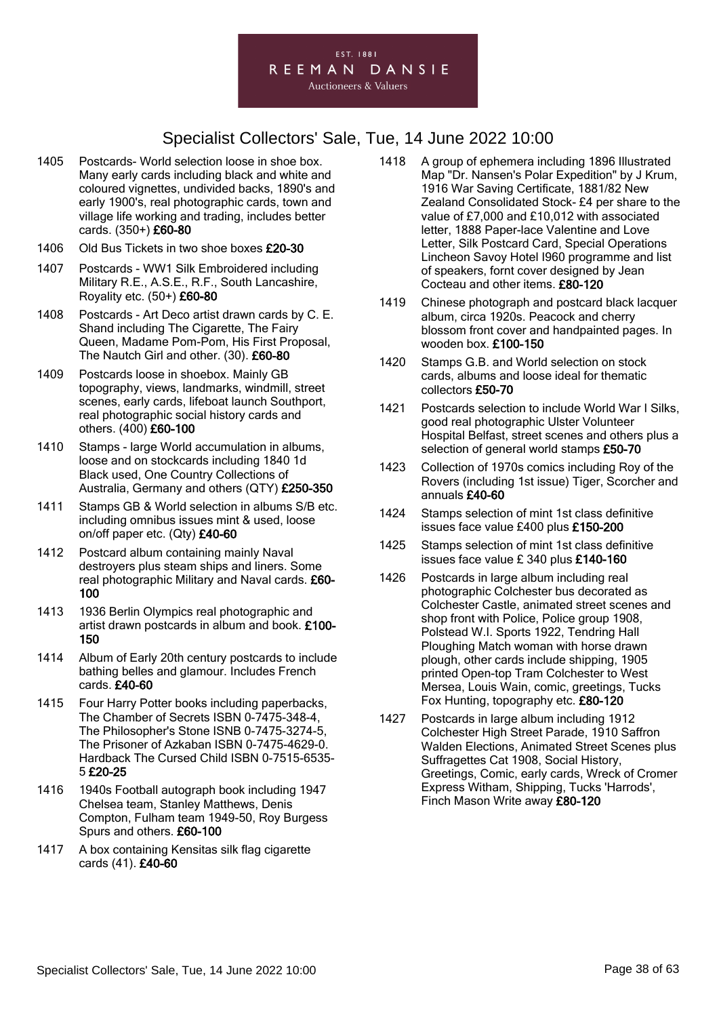

- 1405 Postcards- World selection loose in shoe box. Many early cards including black and white and coloured vignettes, undivided backs, 1890's and early 1900's, real photographic cards, town and village life working and trading, includes better cards. (350+) £60-80
- 1406 Old Bus Tickets in two shoe boxes £20-30
- 1407 Postcards WW1 Silk Embroidered including Military R.E., A.S.E., R.F., South Lancashire, Royality etc. (50+) £60-80
- 1408 Postcards Art Deco artist drawn cards by C. E. Shand including The Cigarette, The Fairy Queen, Madame Pom-Pom, His First Proposal, The Nautch Girl and other. (30). £60-80
- 1409 Postcards loose in shoebox. Mainly GB topography, views, landmarks, windmill, street scenes, early cards, lifeboat launch Southport, real photographic social history cards and others. (400) £60-100
- 1410 Stamps large World accumulation in albums. loose and on stockcards including 1840 1d Black used, One Country Collections of Australia, Germany and others (QTY) £250-350
- 1411 Stamps GB & World selection in albums S/B etc. including omnibus issues mint & used, loose on/off paper etc. (Qty) £40-60
- 1412 Postcard album containing mainly Naval destroyers plus steam ships and liners. Some real photographic Military and Naval cards. £60- 100
- 1413 1936 Berlin Olympics real photographic and artist drawn postcards in album and book. £100- 150
- 1414 Album of Early 20th century postcards to include bathing belles and glamour. Includes French cards. £40-60
- 1415 Four Harry Potter books including paperbacks, The Chamber of Secrets ISBN 0-7475-348-4, The Philosopher's Stone ISNB 0-7475-3274-5, The Prisoner of Azkaban ISBN 0-7475-4629-0. Hardback The Cursed Child ISBN 0-7515-6535- 5 £20-25
- 1416 1940s Football autograph book including 1947 Chelsea team, Stanley Matthews, Denis Compton, Fulham team 1949-50, Roy Burgess Spurs and others. £60-100
- 1417 A box containing Kensitas silk flag cigarette cards (41). £40-60
- 1418 A group of ephemera including 1896 Illustrated Map "Dr. Nansen's Polar Expedition" by J Krum, 1916 War Saving Certificate, 1881/82 New Zealand Consolidated Stock- £4 per share to the value of £7,000 and £10,012 with associated letter, 1888 Paper-lace Valentine and Love Letter, Silk Postcard Card, Special Operations Lincheon Savoy Hotel I960 programme and list of speakers, fornt cover designed by Jean Cocteau and other items. £80-120
- 1419 Chinese photograph and postcard black lacquer album, circa 1920s. Peacock and cherry blossom front cover and handpainted pages. In wooden box. £100-150
- 1420 Stamps G.B. and World selection on stock cards, albums and loose ideal for thematic collectors £50-70
- 1421 Postcards selection to include World War I Silks, good real photographic Ulster Volunteer Hospital Belfast, street scenes and others plus a selection of general world stamps £50-70
- 1423 Collection of 1970s comics including Roy of the Rovers (including 1st issue) Tiger, Scorcher and annuals £40-60
- 1424 Stamps selection of mint 1st class definitive issues face value £400 plus £150-200
- 1425 Stamps selection of mint 1st class definitive issues face value £ 340 plus £140-160
- 1426 Postcards in large album including real photographic Colchester bus decorated as Colchester Castle, animated street scenes and shop front with Police, Police group 1908, Polstead W.I. Sports 1922, Tendring Hall Ploughing Match woman with horse drawn plough, other cards include shipping, 1905 printed Open-top Tram Colchester to West Mersea, Louis Wain, comic, greetings, Tucks Fox Hunting, topography etc. £80-120
- 1427 Postcards in large album including 1912 Colchester High Street Parade, 1910 Saffron Walden Elections, Animated Street Scenes plus Suffragettes Cat 1908, Social History, Greetings, Comic, early cards, Wreck of Cromer Express Witham, Shipping, Tucks 'Harrods', Finch Mason Write away £80-120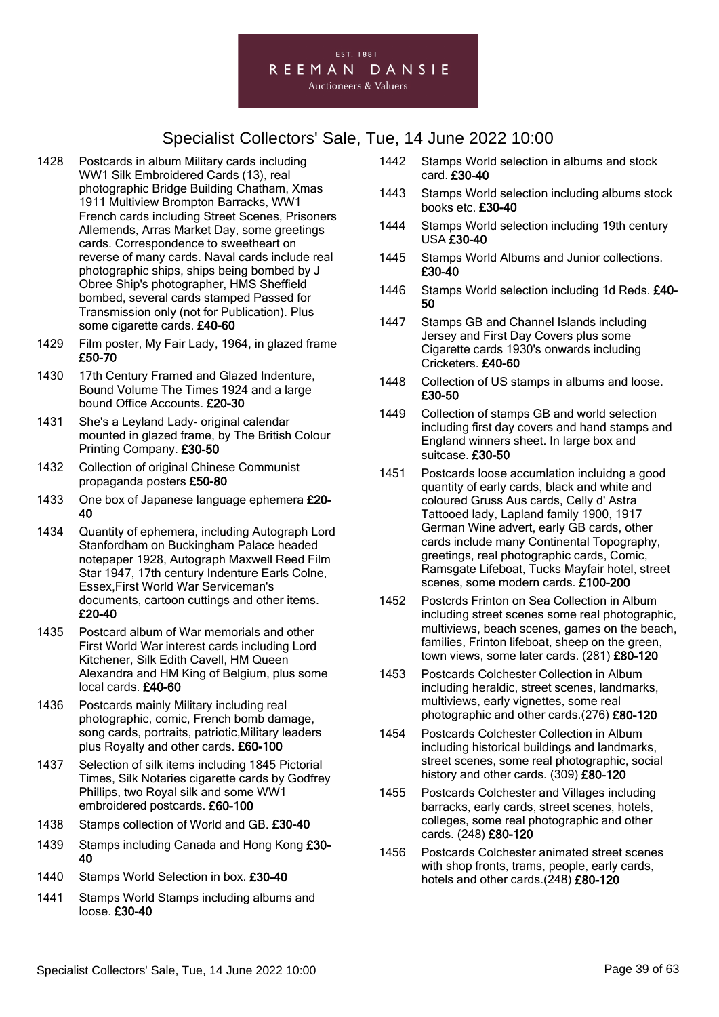#### EST. 1881 REEMAN DANSIE **Auctioneers & Valuers**

- 1428 Postcards in album Military cards including WW1 Silk Embroidered Cards (13), real photographic Bridge Building Chatham, Xmas 1911 Multiview Brompton Barracks, WW1 French cards including Street Scenes, Prisoners Allemends, Arras Market Day, some greetings cards. Correspondence to sweetheart on reverse of many cards. Naval cards include real photographic ships, ships being bombed by J Obree Ship's photographer, HMS Sheffield bombed, several cards stamped Passed for Transmission only (not for Publication). Plus some cigarette cards. £40-60
- 1429 Film poster, My Fair Lady, 1964, in glazed frame £50-70
- 1430 17th Century Framed and Glazed Indenture, Bound Volume The Times 1924 and a large bound Office Accounts. £20-30
- 1431 She's a Leyland Lady- original calendar mounted in glazed frame, by The British Colour Printing Company. £30-50
- 1432 Collection of original Chinese Communist propaganda posters £50-80
- 1433 One box of Japanese language ephemera £20-40
- 1434 Quantity of ephemera, including Autograph Lord Stanfordham on Buckingham Palace headed notepaper 1928, Autograph Maxwell Reed Film Star 1947, 17th century Indenture Earls Colne, Essex,First World War Serviceman's documents, cartoon cuttings and other items. £20-40
- 1435 Postcard album of War memorials and other First World War interest cards including Lord Kitchener, Silk Edith Cavell, HM Queen Alexandra and HM King of Belgium, plus some local cards. £40-60
- 1436 Postcards mainly Military including real photographic, comic, French bomb damage, song cards, portraits, patriotic,Military leaders plus Royalty and other cards. £60-100
- 1437 Selection of silk items including 1845 Pictorial Times, Silk Notaries cigarette cards by Godfrey Phillips, two Royal silk and some WW1 embroidered postcards. £60-100
- 1438 Stamps collection of World and GB. £30-40
- 1439 Stamps including Canada and Hong Kong £30-40
- 1440 Stamps World Selection in box. £30-40
- 1441 Stamps World Stamps including albums and loose. £30-40
- 1442 Stamps World selection in albums and stock card. £30-40
- 1443 Stamps World selection including albums stock books etc. £30-40
- 1444 Stamps World selection including 19th century USA £30-40
- 1445 Stamps World Albums and Junior collections. £30-40
- 1446 Stamps World selection including 1d Reds. £40- 50
- 1447 Stamps GB and Channel Islands including Jersey and First Day Covers plus some Cigarette cards 1930's onwards including Cricketers. £40-60
- 1448 Collection of US stamps in albums and loose. £30-50
- 1449 Collection of stamps GB and world selection including first day covers and hand stamps and England winners sheet. In large box and suitcase. £30-50
- 1451 Postcards loose accumlation incluidng a good quantity of early cards, black and white and coloured Gruss Aus cards, Celly d' Astra Tattooed lady, Lapland family 1900, 1917 German Wine advert, early GB cards, other cards include many Continental Topography, greetings, real photographic cards, Comic, Ramsgate Lifeboat, Tucks Mayfair hotel, street scenes, some modern cards. £100-200
- 1452 Postcrds Frinton on Sea Collection in Album including street scenes some real photographic, multiviews, beach scenes, games on the beach, families, Frinton lifeboat, sheep on the green, town views, some later cards. (281) £80-120
- 1453 Postcards Colchester Collection in Album including heraldic, street scenes, landmarks, multiviews, early vignettes, some real photographic and other cards.(276) £80-120
- 1454 Postcards Colchester Collection in Album including historical buildings and landmarks, street scenes, some real photographic, social history and other cards. (309) £80-120
- 1455 Postcards Colchester and Villages including barracks, early cards, street scenes, hotels, colleges, some real photographic and other cards. (248) £80-120
- 1456 Postcards Colchester animated street scenes with shop fronts, trams, people, early cards, hotels and other cards.(248) £80-120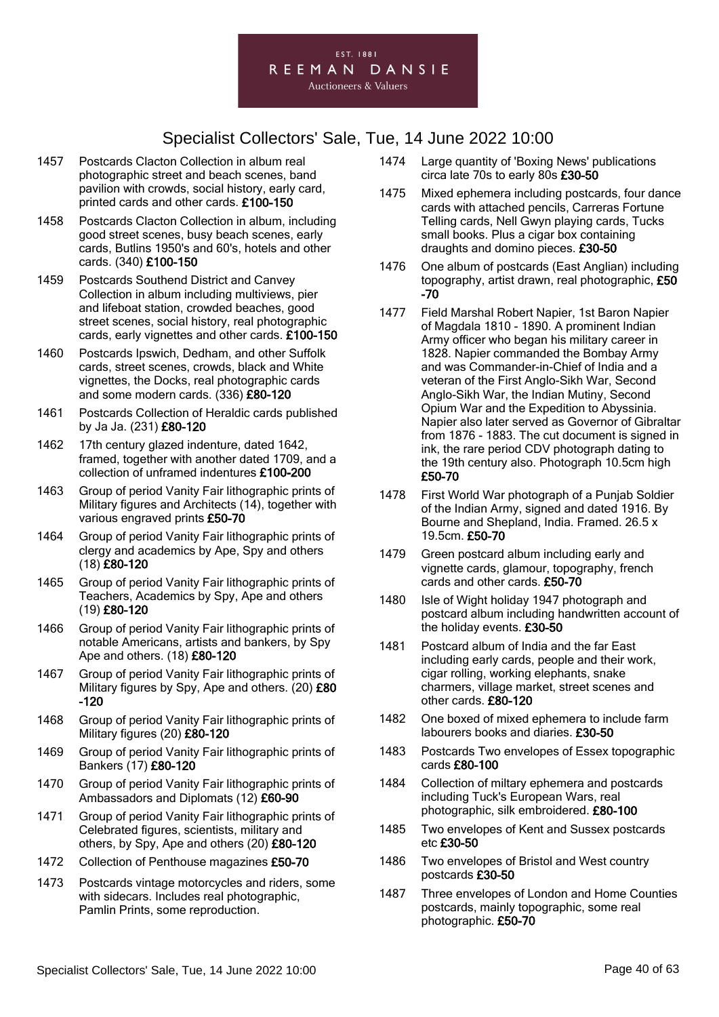

- 1457 Postcards Clacton Collection in album real photographic street and beach scenes, band pavilion with crowds, social history, early card, printed cards and other cards. £100-150
- 1458 Postcards Clacton Collection in album, including good street scenes, busy beach scenes, early cards, Butlins 1950's and 60's, hotels and other cards. (340) £100-150
- 1459 Postcards Southend District and Canvey Collection in album including multiviews, pier and lifeboat station, crowded beaches, good street scenes, social history, real photographic cards, early vignettes and other cards. £100-150
- 1460 Postcards Ipswich, Dedham, and other Suffolk cards, street scenes, crowds, black and White vignettes, the Docks, real photographic cards and some modern cards. (336) £80-120
- 1461 Postcards Collection of Heraldic cards published by Ja Ja. (231) £80-120
- 1462 17th century glazed indenture, dated 1642, framed, together with another dated 1709, and a collection of unframed indentures £100-200
- 1463 Group of period Vanity Fair lithographic prints of Military figures and Architects (14), together with various engraved prints £50-70
- 1464 Group of period Vanity Fair lithographic prints of clergy and academics by Ape, Spy and others (18) £80-120
- 1465 Group of period Vanity Fair lithographic prints of Teachers, Academics by Spy, Ape and others (19) £80-120
- 1466 Group of period Vanity Fair lithographic prints of notable Americans, artists and bankers, by Spy Ape and others. (18) £80-120
- 1467 Group of period Vanity Fair lithographic prints of Military figures by Spy, Ape and others. (20) £80 -120
- 1468 Group of period Vanity Fair lithographic prints of Military figures (20) £80-120
- 1469 Group of period Vanity Fair lithographic prints of Bankers (17) £80-120
- 1470 Group of period Vanity Fair lithographic prints of Ambassadors and Diplomats (12) £60-90
- 1471 Group of period Vanity Fair lithographic prints of Celebrated figures, scientists, military and others, by Spy, Ape and others (20) £80-120
- 1472 Collection of Penthouse magazines £50-70
- 1473 Postcards vintage motorcycles and riders, some with sidecars. Includes real photographic, Pamlin Prints, some reproduction.
- 1474 Large quantity of 'Boxing News' publications circa late 70s to early 80s £30-50
- 1475 Mixed ephemera including postcards, four dance cards with attached pencils, Carreras Fortune Telling cards, Nell Gwyn playing cards, Tucks small books. Plus a cigar box containing draughts and domino pieces. £30-50
- 1476 One album of postcards (East Anglian) including topography, artist drawn, real photographic, £50 -70
- 1477 Field Marshal Robert Napier, 1st Baron Napier of Magdala 1810 - 1890. A prominent Indian Army officer who began his military career in 1828. Napier commanded the Bombay Army and was Commander-in-Chief of India and a veteran of the First Anglo-Sikh War, Second Anglo-Sikh War, the Indian Mutiny, Second Opium War and the Expedition to Abyssinia. Napier also later served as Governor of Gibraltar from 1876 - 1883. The cut document is signed in ink, the rare period CDV photograph dating to the 19th century also. Photograph 10.5cm high £50-70
- 1478 First World War photograph of a Punjab Soldier of the Indian Army, signed and dated 1916. By Bourne and Shepland, India. Framed. 26.5 x 19.5cm. £50-70
- 1479 Green postcard album including early and vignette cards, glamour, topography, french cards and other cards. £50-70
- 1480 Isle of Wight holiday 1947 photograph and postcard album including handwritten account of the holiday events. £30-50
- 1481 Postcard album of India and the far East including early cards, people and their work, cigar rolling, working elephants, snake charmers, village market, street scenes and other cards. £80-120
- 1482 One boxed of mixed ephemera to include farm labourers books and diaries. £30-50
- 1483 Postcards Two envelopes of Essex topographic cards £80-100
- 1484 Collection of miltary ephemera and postcards including Tuck's European Wars, real photographic, silk embroidered. £80-100
- 1485 Two envelopes of Kent and Sussex postcards etc £30-50
- 1486 Two envelopes of Bristol and West country postcards £30-50
- 1487 Three envelopes of London and Home Counties postcards, mainly topographic, some real photographic. £50-70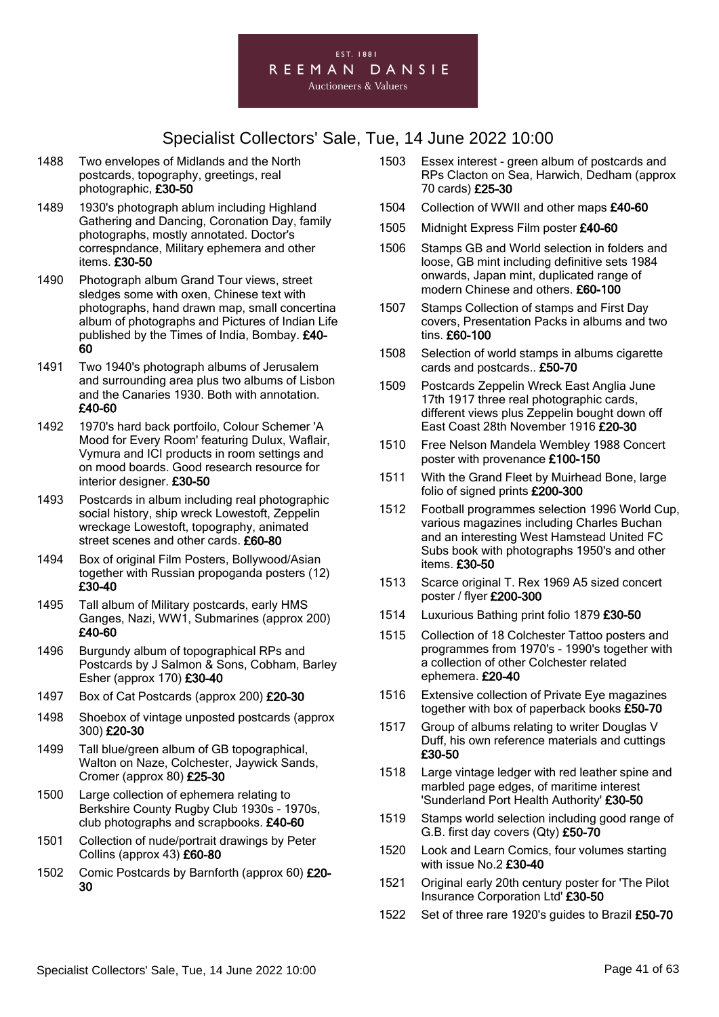

- 1488 Two envelopes of Midlands and the North postcards, topography, greetings, real photographic, £30-50
- 1489 1930's photograph ablum including Highland Gathering and Dancing, Coronation Day, family photographs, mostly annotated. Doctor's correspndance, Military ephemera and other items. £30-50
- 1490 Photograph album Grand Tour views, street sledges some with oxen, Chinese text with photographs, hand drawn map, small concertina album of photographs and Pictures of Indian Life published by the Times of India, Bombay. £40- 60
- 1491 Two 1940's photograph albums of Jerusalem and surrounding area plus two albums of Lisbon and the Canaries 1930. Both with annotation. £40-60
- 1492 1970's hard back portfoilo, Colour Schemer 'A Mood for Every Room' featuring Dulux, Waflair, Vymura and ICI products in room settings and on mood boards. Good research resource for interior designer. £30-50
- 1493 Postcards in album including real photographic social history, ship wreck Lowestoft, Zeppelin wreckage Lowestoft, topography, animated street scenes and other cards. £60-80
- 1494 Box of original Film Posters, Bollywood/Asian together with Russian propoganda posters (12) £30-40
- 1495 Tall album of Military postcards, early HMS Ganges, Nazi, WW1, Submarines (approx 200) £40-60
- 1496 Burgundy album of topographical RPs and Postcards by J Salmon & Sons, Cobham, Barley Esher (approx 170) £30-40
- 1497 Box of Cat Postcards (approx 200) £20-30
- 1498 Shoebox of vintage unposted postcards (approx 300) £20-30
- 1499 Tall blue/green album of GB topographical, Walton on Naze, Colchester, Jaywick Sands, Cromer (approx 80) £25-30
- 1500 Large collection of ephemera relating to Berkshire County Rugby Club 1930s - 1970s, club photographs and scrapbooks. £40-60
- 1501 Collection of nude/portrait drawings by Peter Collins (approx 43) £60-80
- 1502 Comic Postcards by Barnforth (approx 60) £20-30
- 1503 Essex interest green album of postcards and RPs Clacton on Sea, Harwich, Dedham (approx 70 cards) £25-30
- 1504 Collection of WWII and other maps £40-60
- 1505 Midnight Express Film poster £40-60
- 1506 Stamps GB and World selection in folders and loose, GB mint including definitive sets 1984 onwards, Japan mint, duplicated range of modern Chinese and others. £60-100
- 1507 Stamps Collection of stamps and First Day covers, Presentation Packs in albums and two tins. £60-100
- 1508 Selection of world stamps in albums cigarette cards and postcards.. £50-70
- 1509 Postcards Zeppelin Wreck East Anglia June 17th 1917 three real photographic cards, different views plus Zeppelin bought down off East Coast 28th November 1916 £20-30
- 1510 Free Nelson Mandela Wembley 1988 Concert poster with provenance £100-150
- 1511 With the Grand Fleet by Muirhead Bone, large folio of signed prints £200-300
- 1512 Football programmes selection 1996 World Cup, various magazines including Charles Buchan and an interesting West Hamstead United FC Subs book with photographs 1950's and other items. £30-50
- 1513 Scarce original T. Rex 1969 A5 sized concert poster / flyer £200-300
- 1514 Luxurious Bathing print folio 1879 £30-50
- 1515 Collection of 18 Colchester Tattoo posters and programmes from 1970's - 1990's together with a collection of other Colchester related ephemera. £20-40
- 1516 Extensive collection of Private Eye magazines together with box of paperback books £50-70
- 1517 Group of albums relating to writer Douglas V Duff, his own reference materials and cuttings £30-50
- 1518 Large vintage ledger with red leather spine and marbled page edges, of maritime interest 'Sunderland Port Health Authority' £30-50
- 1519 Stamps world selection including good range of G.B. first day covers (Qty) £50-70
- 1520 Look and Learn Comics, four volumes starting with issue No.2 £30-40
- 1521 Original early 20th century poster for 'The Pilot Insurance Corporation Ltd' £30-50
- 1522 Set of three rare 1920's guides to Brazil £50-70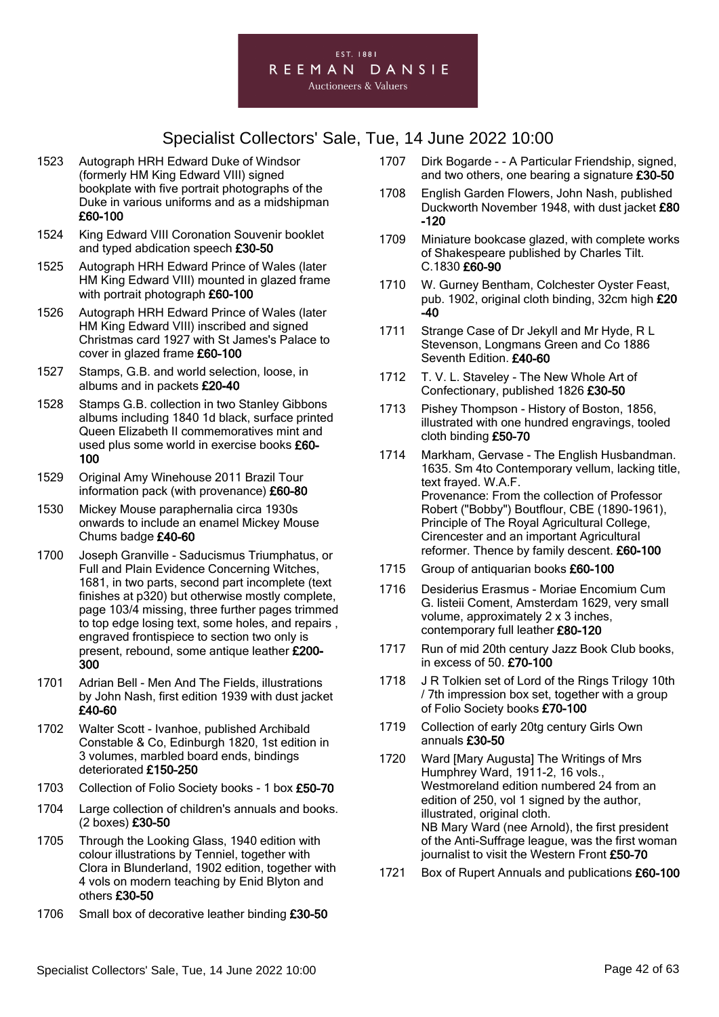

- 1523 Autograph HRH Edward Duke of Windsor (formerly HM King Edward VIII) signed bookplate with five portrait photographs of the Duke in various uniforms and as a midshipman £60-100
- 1524 King Edward VIII Coronation Souvenir booklet and typed abdication speech £30-50
- 1525 Autograph HRH Edward Prince of Wales (later HM King Edward VIII) mounted in glazed frame with portrait photograph £60-100
- 1526 Autograph HRH Edward Prince of Wales (later HM King Edward VIII) inscribed and signed Christmas card 1927 with St James's Palace to cover in glazed frame £60-100
- 1527 Stamps, G.B. and world selection, loose, in albums and in packets £20-40
- 1528 Stamps G.B. collection in two Stanley Gibbons albums including 1840 1d black, surface printed Queen Elizabeth II commemoratives mint and used plus some world in exercise books £60- 100
- 1529 Original Amy Winehouse 2011 Brazil Tour information pack (with provenance) £60-80
- 1530 Mickey Mouse paraphernalia circa 1930s onwards to include an enamel Mickey Mouse Chums badge £40-60
- 1700 Joseph Granville Saducismus Triumphatus, or Full and Plain Evidence Concerning Witches, 1681, in two parts, second part incomplete (text finishes at p320) but otherwise mostly complete, page 103/4 missing, three further pages trimmed to top edge losing text, some holes, and repairs , engraved frontispiece to section two only is present, rebound, some antique leather £200- 300
- 1701 Adrian Bell Men And The Fields, illustrations by John Nash, first edition 1939 with dust jacket £40-60
- 1702 Walter Scott Ivanhoe, published Archibald Constable & Co, Edinburgh 1820, 1st edition in 3 volumes, marbled board ends, bindings deteriorated £150-250
- 1703 Collection of Folio Society books 1 box £50-70
- 1704 Large collection of children's annuals and books. (2 boxes) £30-50
- 1705 Through the Looking Glass, 1940 edition with colour illustrations by Tenniel, together with Clora in Blunderland, 1902 edition, together with 4 vols on modern teaching by Enid Blyton and others £30-50
- 1706 Small box of decorative leather binding £30-50
- 1707 Dirk Bogarde - A Particular Friendship, signed, and two others, one bearing a signature £30-50
- 1708 English Garden Flowers, John Nash, published Duckworth November 1948, with dust jacket £80 -120
- 1709 Miniature bookcase glazed, with complete works of Shakespeare published by Charles Tilt. C.1830 £60-90
- 1710 W. Gurney Bentham, Colchester Oyster Feast, pub. 1902, original cloth binding, 32cm high £20 -40
- 1711 Strange Case of Dr Jekyll and Mr Hyde, R L Stevenson, Longmans Green and Co 1886 Seventh Edition. £40-60
- 1712 T. V. L. Staveley The New Whole Art of Confectionary, published 1826 £30-50
- 1713 Pishey Thompson History of Boston, 1856, illustrated with one hundred engravings, tooled cloth binding £50-70
- 1714 Markham, Gervase The English Husbandman. 1635. Sm 4to Contemporary vellum, lacking title, text frayed. W.A.F. Provenance: From the collection of Professor Robert ("Bobby") Boutflour, CBE (1890-1961), Principle of The Royal Agricultural College, Cirencester and an important Agricultural reformer. Thence by family descent. £60-100
- 1715 Group of antiquarian books £60-100
- 1716 Desiderius Erasmus Moriae Encomium Cum G. listeii Coment, Amsterdam 1629, very small volume, approximately 2 x 3 inches, contemporary full leather £80-120
- 1717 Run of mid 20th century Jazz Book Club books, in excess of 50. £70-100
- 1718 J R Tolkien set of Lord of the Rings Trilogy 10th / 7th impression box set, together with a group of Folio Society books £70-100
- 1719 Collection of early 20tg century Girls Own annuals £30-50
- 1720 Ward [Mary Augusta] The Writings of Mrs Humphrey Ward, 1911-2, 16 vols., Westmoreland edition numbered 24 from an edition of 250, vol 1 signed by the author, illustrated, original cloth. NB Mary Ward (nee Arnold), the first president of the Anti-Suffrage league, was the first woman journalist to visit the Western Front £50-70
- 1721 Box of Rupert Annuals and publications £60-100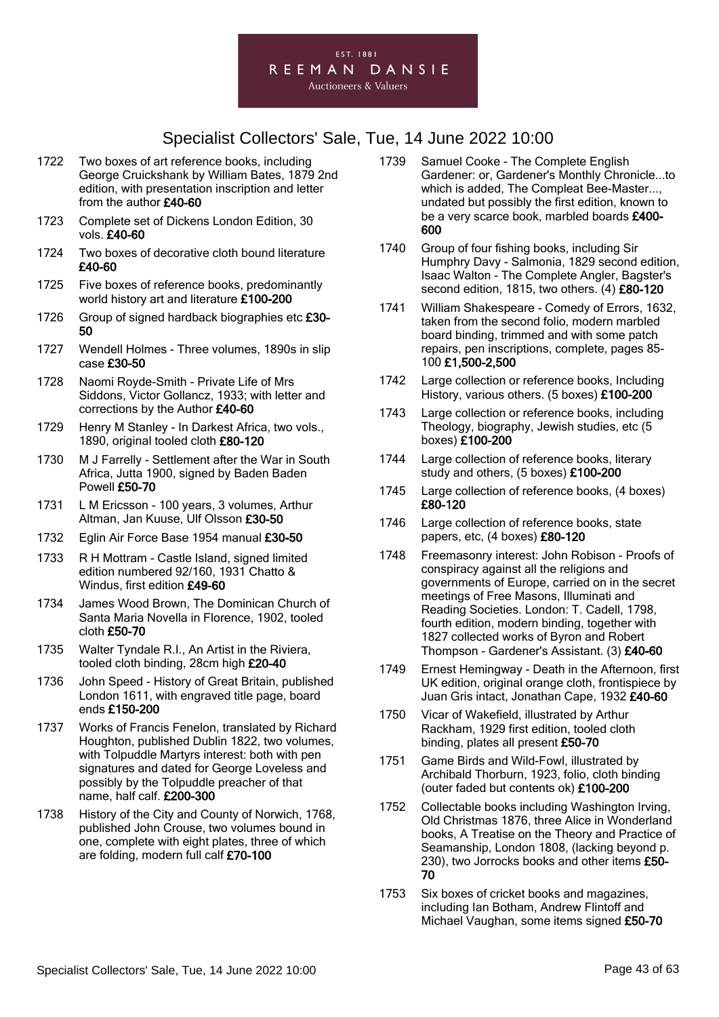

- 1722 Two boxes of art reference books, including George Cruickshank by William Bates, 1879 2nd edition, with presentation inscription and letter from the author £40-60
- 1723 Complete set of Dickens London Edition, 30 vols. £40-60
- 1724 Two boxes of decorative cloth bound literature £40-60
- 1725 Five boxes of reference books, predominantly world history art and literature £100-200
- 1726 Group of signed hardback biographies etc £30-50
- 1727 Wendell Holmes Three volumes, 1890s in slip case £30-50
- 1728 Naomi Royde-Smith Private Life of Mrs Siddons, Victor Gollancz, 1933; with letter and corrections by the Author £40-60
- 1729 Henry M Stanley In Darkest Africa, two vols., 1890, original tooled cloth £80-120
- 1730 M J Farrelly Settlement after the War in South Africa, Jutta 1900, signed by Baden Baden Powell £50-70
- 1731 L M Ericsson 100 years, 3 volumes, Arthur Altman, Jan Kuuse, Ulf Olsson £30-50
- 1732 Eglin Air Force Base 1954 manual £30-50
- 1733 R H Mottram Castle Island, signed limited edition numbered 92/160, 1931 Chatto & Windus, first edition £49-60
- 1734 James Wood Brown, The Dominican Church of Santa Maria Novella in Florence, 1902, tooled cloth £50-70
- 1735 Walter Tyndale R.I., An Artist in the Riviera, tooled cloth binding, 28cm high £20-40
- 1736 John Speed History of Great Britain, published London 1611, with engraved title page, board ends £150-200
- 1737 Works of Francis Fenelon, translated by Richard Houghton, published Dublin 1822, two volumes, with Tolpuddle Martyrs interest: both with pen signatures and dated for George Loveless and possibly by the Tolpuddle preacher of that name, half calf. £200-300
- 1738 History of the City and County of Norwich, 1768, published John Crouse, two volumes bound in one, complete with eight plates, three of which are folding, modern full calf £70-100
- 1739 Samuel Cooke The Complete English Gardener: or, Gardener's Monthly Chronicle...to which is added, The Compleat Bee-Master..., undated but possibly the first edition, known to be a very scarce book, marbled boards £400- 600
- 1740 Group of four fishing books, including Sir Humphry Davy - Salmonia, 1829 second edition, Isaac Walton - The Complete Angler, Bagster's second edition, 1815, two others. (4) £80-120
- 1741 William Shakespeare Comedy of Errors, 1632, taken from the second folio, modern marbled board binding, trimmed and with some patch repairs, pen inscriptions, complete, pages 85- 100 £1,500-2,500
- 1742 Large collection or reference books, Including History, various others. (5 boxes) £100-200
- 1743 Large collection or reference books, including Theology, biography, Jewish studies, etc (5 boxes) £100-200
- 1744 Large collection of reference books, literary study and others, (5 boxes) £100-200
- 1745 Large collection of reference books, (4 boxes) £80-120
- 1746 Large collection of reference books, state papers, etc, (4 boxes) £80-120
- 1748 Freemasonry interest: John Robison Proofs of conspiracy against all the religions and governments of Europe, carried on in the secret meetings of Free Masons, Illuminati and Reading Societies. London: T. Cadell, 1798, fourth edition, modern binding, together with 1827 collected works of Byron and Robert Thompson - Gardener's Assistant. (3) £40-60
- 1749 Ernest Hemingway Death in the Afternoon, first UK edition, original orange cloth, frontispiece by Juan Gris intact, Jonathan Cape, 1932 £40-60
- 1750 Vicar of Wakefield, illustrated by Arthur Rackham, 1929 first edition, tooled cloth binding, plates all present £50-70
- 1751 Game Birds and Wild-Fowl, illustrated by Archibald Thorburn, 1923, folio, cloth binding (outer faded but contents ok) £100-200
- 1752 Collectable books including Washington Irving, Old Christmas 1876, three Alice in Wonderland books, A Treatise on the Theory and Practice of Seamanship, London 1808, (lacking beyond p. 230), two Jorrocks books and other items £50-70
- 1753 Six boxes of cricket books and magazines, including Ian Botham, Andrew Flintoff and Michael Vaughan, some items signed £50-70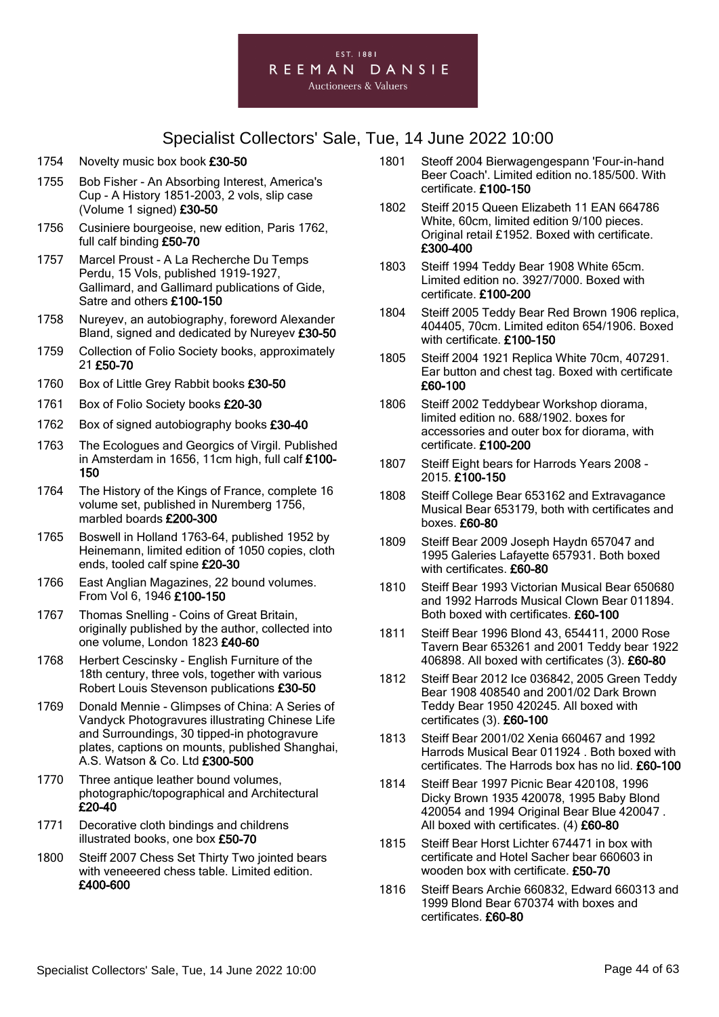

- 1754 Novelty music box book £30-50
- 1755 Bob Fisher An Absorbing Interest, America's Cup - A History 1851-2003, 2 vols, slip case (Volume 1 signed) £30-50
- 1756 Cusiniere bourgeoise, new edition, Paris 1762, full calf binding £50-70
- 1757 Marcel Proust A La Recherche Du Temps Perdu, 15 Vols, published 1919-1927, Gallimard, and Gallimard publications of Gide, Satre and others £100-150
- 1758 Nureyev, an autobiography, foreword Alexander Bland, signed and dedicated by Nureyev £30-50
- 1759 Collection of Folio Society books, approximately 21 £50-70
- 1760 Box of Little Grey Rabbit books £30-50
- 1761 Box of Folio Society books £20-30
- 1762 Box of signed autobiography books £30-40
- 1763 The Ecologues and Georgics of Virgil. Published in Amsterdam in 1656, 11cm high, full calf £100- 150
- 1764 The History of the Kings of France, complete 16 volume set, published in Nuremberg 1756, marbled boards £200-300
- 1765 Boswell in Holland 1763-64, published 1952 by Heinemann, limited edition of 1050 copies, cloth ends, tooled calf spine £20-30
- 1766 East Anglian Magazines, 22 bound volumes. From Vol 6, 1946 £100-150
- 1767 Thomas Snelling Coins of Great Britain, originally published by the author, collected into one volume, London 1823 £40-60
- 1768 Herbert Cescinsky English Furniture of the 18th century, three vols, together with various Robert Louis Stevenson publications £30-50
- 1769 Donald Mennie Glimpses of China: A Series of Vandyck Photogravures illustrating Chinese Life and Surroundings, 30 tipped-in photogravure plates, captions on mounts, published Shanghai, A.S. Watson & Co. Ltd £300-500
- 1770 Three antique leather bound volumes, photographic/topographical and Architectural £20-40
- 1771 Decorative cloth bindings and childrens illustrated books, one box £50-70
- 1800 Steiff 2007 Chess Set Thirty Two jointed bears with veneeered chess table. Limited edition. £400-600
- 1801 Steoff 2004 Bierwagengespann 'Four-in-hand Beer Coach'. Limited edition no.185/500. With certificate. £100-150
- 1802 Steiff 2015 Queen Elizabeth 11 EAN 664786 White, 60cm, limited edition 9/100 pieces. Original retail £1952. Boxed with certificate. £300-400
- 1803 Steiff 1994 Teddy Bear 1908 White 65cm. Limited edition no. 3927/7000. Boxed with certificate. £100-200
- 1804 Steiff 2005 Teddy Bear Red Brown 1906 replica, 404405, 70cm. Limited editon 654/1906. Boxed with certificate. £100-150
- 1805 Steiff 2004 1921 Replica White 70cm, 407291. Ear button and chest tag. Boxed with certificate £60-100
- 1806 Steiff 2002 Teddybear Workshop diorama, limited edition no. 688/1902. boxes for accessories and outer box for diorama, with certificate. £100-200
- 1807 Steiff Eight bears for Harrods Years 2008 2015. £100-150
- 1808 Steiff College Bear 653162 and Extravagance Musical Bear 653179, both with certificates and boxes. £60-80
- 1809 Steiff Bear 2009 Joseph Haydn 657047 and 1995 Galeries Lafayette 657931. Both boxed with certificates. £60-80
- 1810 Steiff Bear 1993 Victorian Musical Bear 650680 and 1992 Harrods Musical Clown Bear 011894. Both boxed with certificates. £60-100
- 1811 Steiff Bear 1996 Blond 43, 654411, 2000 Rose Tavern Bear 653261 and 2001 Teddy bear 1922 406898. All boxed with certificates (3). £60-80
- 1812 Steiff Bear 2012 Ice 036842, 2005 Green Teddy Bear 1908 408540 and 2001/02 Dark Brown Teddy Bear 1950 420245. All boxed with certificates (3). £60-100
- 1813 Steiff Bear 2001/02 Xenia 660467 and 1992 Harrods Musical Bear 011924 . Both boxed with certificates. The Harrods box has no lid. £60-100
- 1814 Steiff Bear 1997 Picnic Bear 420108, 1996 Dicky Brown 1935 420078, 1995 Baby Blond 420054 and 1994 Original Bear Blue 420047 . All boxed with certificates. (4) £60-80
- 1815 Steiff Bear Horst Lichter 674471 in box with certificate and Hotel Sacher bear 660603 in wooden box with certificate. £50-70
- 1816 Steiff Bears Archie 660832, Edward 660313 and 1999 Blond Bear 670374 with boxes and certificates. £60-80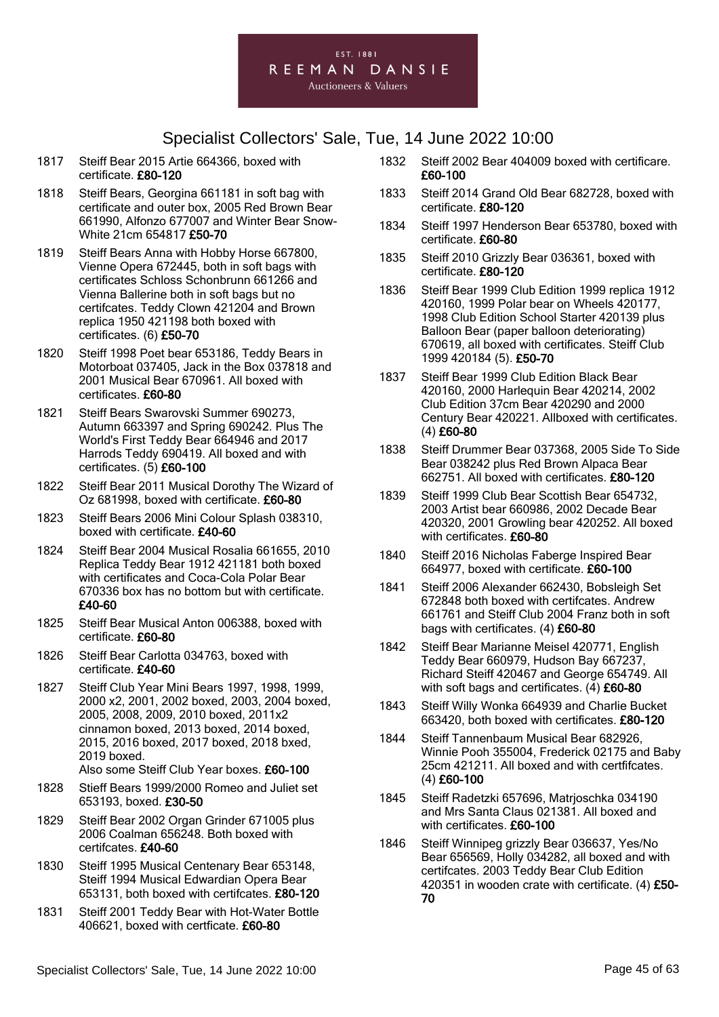

- 1817 Steiff Bear 2015 Artie 664366, boxed with certificate. £80-120
- 1818 Steiff Bears, Georgina 661181 in soft bag with certificate and outer box, 2005 Red Brown Bear 661990, Alfonzo 677007 and Winter Bear Snow-White 21cm 654817 £50-70
- 1819 Steiff Bears Anna with Hobby Horse 667800, Vienne Opera 672445, both in soft bags with certificates Schloss Schonbrunn 661266 and Vienna Ballerine both in soft bags but no certifcates. Teddy Clown 421204 and Brown replica 1950 421198 both boxed with certificates. (6) £50-70
- 1820 Steiff 1998 Poet bear 653186, Teddy Bears in Motorboat 037405, Jack in the Box 037818 and 2001 Musical Bear 670961. All boxed with certificates. £60-80
- 1821 Steiff Bears Swarovski Summer 690273, Autumn 663397 and Spring 690242. Plus The World's First Teddy Bear 664946 and 2017 Harrods Teddy 690419. All boxed and with certificates. (5) £60-100
- 1822 Steiff Bear 2011 Musical Dorothy The Wizard of Oz 681998, boxed with certificate. £60-80
- 1823 Steiff Bears 2006 Mini Colour Splash 038310, boxed with certificate. £40-60
- 1824 Steiff Bear 2004 Musical Rosalia 661655, 2010 Replica Teddy Bear 1912 421181 both boxed with certificates and Coca-Cola Polar Bear 670336 box has no bottom but with certificate. £40-60
- 1825 Steiff Bear Musical Anton 006388, boxed with certificate. £60-80
- 1826 Steiff Bear Carlotta 034763, boxed with certificate. £40-60
- 1827 Steiff Club Year Mini Bears 1997, 1998, 1999, 2000 x2, 2001, 2002 boxed, 2003, 2004 boxed, 2005, 2008, 2009, 2010 boxed, 2011x2 cinnamon boxed, 2013 boxed, 2014 boxed, 2015, 2016 boxed, 2017 boxed, 2018 bxed, 2019 boxed.
	- Also some Steiff Club Year boxes. £60-100
- 1828 Stieff Bears 1999/2000 Romeo and Juliet set 653193, boxed. £30-50
- 1829 Steiff Bear 2002 Organ Grinder 671005 plus 2006 Coalman 656248. Both boxed with certifcates. £40-60
- 1830 Steiff 1995 Musical Centenary Bear 653148, Steiff 1994 Musical Edwardian Opera Bear 653131, both boxed with certifcates. £80-120
- 1831 Steiff 2001 Teddy Bear with Hot-Water Bottle 406621, boxed with certficate. £60-80
- 1832 Steiff 2002 Bear 404009 boxed with certificare. £60-100
- 1833 Steiff 2014 Grand Old Bear 682728, boxed with certificate. £80-120
- 1834 Steiff 1997 Henderson Bear 653780, boxed with certificate. £60-80
- 1835 Steiff 2010 Grizzly Bear 036361, boxed with certificate. £80-120
- 1836 Steiff Bear 1999 Club Edition 1999 replica 1912 420160, 1999 Polar bear on Wheels 420177, 1998 Club Edition School Starter 420139 plus Balloon Bear (paper balloon deteriorating) 670619, all boxed with certificates. Steiff Club 1999 420184 (5). £50-70
- 1837 Steiff Bear 1999 Club Edition Black Bear 420160, 2000 Harlequin Bear 420214, 2002 Club Edition 37cm Bear 420290 and 2000 Century Bear 420221. Allboxed with certificates. (4) £60-80
- 1838 Steiff Drummer Bear 037368, 2005 Side To Side Bear 038242 plus Red Brown Alpaca Bear 662751. All boxed with certificates. £80-120
- 1839 Steiff 1999 Club Bear Scottish Bear 654732, 2003 Artist bear 660986, 2002 Decade Bear 420320, 2001 Growling bear 420252. All boxed with certificates. £60-80
- 1840 Steiff 2016 Nicholas Faberge Inspired Bear 664977, boxed with certificate. £60-100
- 1841 Steiff 2006 Alexander 662430, Bobsleigh Set 672848 both boxed with certifcates. Andrew 661761 and Steiff Club 2004 Franz both in soft bags with certificates. (4) £60-80
- 1842 Steiff Bear Marianne Meisel 420771, English Teddy Bear 660979, Hudson Bay 667237, Richard Steiff 420467 and George 654749. All with soft bags and certificates. (4) £60-80
- 1843 Steiff Willy Wonka 664939 and Charlie Bucket 663420, both boxed with certificates. £80-120
- 1844 Steiff Tannenbaum Musical Bear 682926, Winnie Pooh 355004, Frederick 02175 and Baby 25cm 421211. All boxed and with certfifcates. (4) £60-100
- 1845 Steiff Radetzki 657696, Matrjoschka 034190 and Mrs Santa Claus 021381. All boxed and with certificates. £60-100
- 1846 Steiff Winnipeg grizzly Bear 036637, Yes/No Bear 656569, Holly 034282, all boxed and with certifcates. 2003 Teddy Bear Club Edition 420351 in wooden crate with certificate. (4) £50-70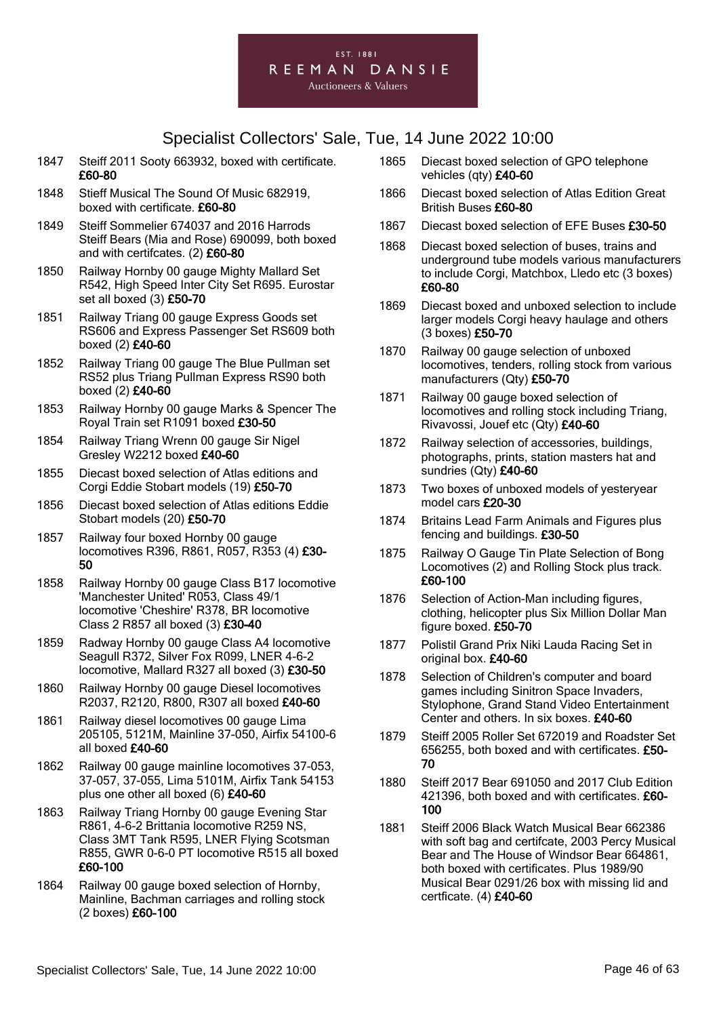#### EST. 1881 REEMAN DANSIE **Auctioneers & Valuers**

- 1847 Steiff 2011 Sooty 663932, boxed with certificate. £60-80
- 1848 Stieff Musical The Sound Of Music 682919, boxed with certificate. £60-80
- 1849 Steiff Sommelier 674037 and 2016 Harrods Steiff Bears (Mia and Rose) 690099, both boxed and with certifcates. (2) £60-80
- 1850 Railway Hornby 00 gauge Mighty Mallard Set R542, High Speed Inter City Set R695. Eurostar set all boxed (3) £50-70
- 1851 Railway Triang 00 gauge Express Goods set RS606 and Express Passenger Set RS609 both boxed (2) £40-60
- 1852 Railway Triang 00 gauge The Blue Pullman set RS52 plus Triang Pullman Express RS90 both boxed (2) £40-60
- 1853 Railway Hornby 00 gauge Marks & Spencer The Royal Train set R1091 boxed £30-50
- 1854 Railway Triang Wrenn 00 gauge Sir Nigel Gresley W2212 boxed £40-60
- 1855 Diecast boxed selection of Atlas editions and Corgi Eddie Stobart models (19) £50-70
- 1856 Diecast boxed selection of Atlas editions Eddie Stobart models (20) £50-70
- 1857 Railway four boxed Hornby 00 gauge locomotives R396, R861, R057, R353 (4) £30- 50
- 1858 Railway Hornby 00 gauge Class B17 locomotive 'Manchester United' R053, Class 49/1 locomotive 'Cheshire' R378, BR locomotive Class 2 R857 all boxed (3) £30-40
- 1859 Radway Hornby 00 gauge Class A4 locomotive Seagull R372, Silver Fox R099, LNER 4-6-2 locomotive, Mallard R327 all boxed (3) £30-50
- 1860 Railway Hornby 00 gauge Diesel locomotives R2037, R2120, R800, R307 all boxed £40-60
- 1861 Railway diesel locomotives 00 gauge Lima 205105, 5121M, Mainline 37-050, Airfix 54100-6 all boxed £40-60
- 1862 Railway 00 gauge mainline locomotives 37-053, 37-057, 37-055, Lima 5101M, Airfix Tank 54153 plus one other all boxed (6) £40-60
- 1863 Railway Triang Hornby 00 gauge Evening Star R861, 4-6-2 Brittania locomotive R259 NS, Class 3MT Tank R595, LNER Flying Scotsman R855, GWR 0-6-0 PT locomotive R515 all boxed £60-100
- 1864 Railway 00 gauge boxed selection of Hornby, Mainline, Bachman carriages and rolling stock (2 boxes) £60-100
- 1865 Diecast boxed selection of GPO telephone vehicles (qty) £40-60
- 1866 Diecast boxed selection of Atlas Edition Great British Buses £60-80
- 1867 Diecast boxed selection of EFE Buses £30-50
- 1868 Diecast boxed selection of buses, trains and underground tube models various manufacturers to include Corgi, Matchbox, Lledo etc (3 boxes) £60-80
- 1869 Diecast boxed and unboxed selection to include larger models Corgi heavy haulage and others (3 boxes) £50-70
- 1870 Railway 00 gauge selection of unboxed locomotives, tenders, rolling stock from various manufacturers (Qty) £50-70
- 1871 Railway 00 gauge boxed selection of locomotives and rolling stock including Triang, Rivavossi, Jouef etc (Qty) £40-60
- 1872 Railway selection of accessories, buildings, photographs, prints, station masters hat and sundries (Qty) £40-60
- 1873 Two boxes of unboxed models of yesteryear model cars £20-30
- 1874 Britains Lead Farm Animals and Figures plus fencing and buildings. £30-50
- 1875 Railway O Gauge Tin Plate Selection of Bong Locomotives (2) and Rolling Stock plus track. £60-100
- 1876 Selection of Action-Man including figures, clothing, helicopter plus Six Million Dollar Man figure boxed. £50-70
- 1877 Polistil Grand Prix Niki Lauda Racing Set in original box. £40-60
- 1878 Selection of Children's computer and board games including Sinitron Space Invaders, Stylophone, Grand Stand Video Entertainment Center and others. In six boxes. £40-60
- 1879 Steiff 2005 Roller Set 672019 and Roadster Set 656255, both boxed and with certificates. £50- 70
- 1880 Steiff 2017 Bear 691050 and 2017 Club Edition 421396, both boxed and with certificates. £60-100
- 1881 Steiff 2006 Black Watch Musical Bear 662386 with soft bag and certifcate, 2003 Percy Musical Bear and The House of Windsor Bear 664861, both boxed with certificates. Plus 1989/90 Musical Bear 0291/26 box with missing lid and certficate. (4) £40-60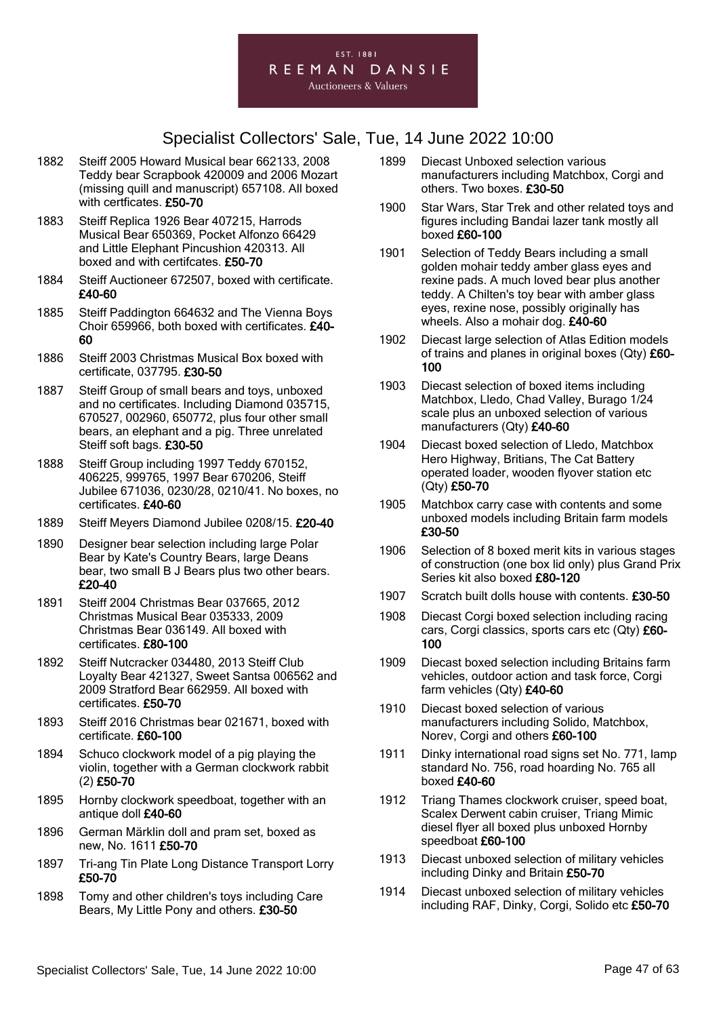

- 1882 Steiff 2005 Howard Musical bear 662133, 2008 Teddy bear Scrapbook 420009 and 2006 Mozart (missing quill and manuscript) 657108. All boxed with certficates. £50-70
- 1883 Steiff Replica 1926 Bear 407215, Harrods Musical Bear 650369, Pocket Alfonzo 66429 and Little Elephant Pincushion 420313. All boxed and with certifcates. £50-70
- 1884 Steiff Auctioneer 672507, boxed with certificate. £40-60
- 1885 Steiff Paddington 664632 and The Vienna Boys Choir 659966, both boxed with certificates. £40- 60
- 1886 Steiff 2003 Christmas Musical Box boxed with certificate, 037795. £30-50
- 1887 Steiff Group of small bears and toys, unboxed and no certificates. Including Diamond 035715, 670527, 002960, 650772, plus four other small bears, an elephant and a pig. Three unrelated Steiff soft bags. £30-50
- 1888 Steiff Group including 1997 Teddy 670152, 406225, 999765, 1997 Bear 670206, Steiff Jubilee 671036, 0230/28, 0210/41. No boxes, no certificates. £40-60
- 1889 Steiff Meyers Diamond Jubilee 0208/15. £20-40
- 1890 Designer bear selection including large Polar Bear by Kate's Country Bears, large Deans bear, two small B J Bears plus two other bears. £20-40
- 1891 Steiff 2004 Christmas Bear 037665, 2012 Christmas Musical Bear 035333, 2009 Christmas Bear 036149. All boxed with certificates. £80-100
- 1892 Steiff Nutcracker 034480, 2013 Steiff Club Loyalty Bear 421327, Sweet Santsa 006562 and 2009 Stratford Bear 662959. All boxed with certificates. £50-70
- 1893 Steiff 2016 Christmas bear 021671, boxed with certificate. £60-100
- 1894 Schuco clockwork model of a pig playing the violin, together with a German clockwork rabbit (2) £50-70
- 1895 Hornby clockwork speedboat, together with an antique doll £40-60
- 1896 German Märklin doll and pram set, boxed as new, No. 1611 £50-70
- 1897 Tri-ang Tin Plate Long Distance Transport Lorry £50-70
- 1898 Tomy and other children's toys including Care Bears, My Little Pony and others. £30-50
- 1899 Diecast Unboxed selection various manufacturers including Matchbox, Corgi and others. Two boxes. £30-50
- 1900 Star Wars, Star Trek and other related toys and figures including Bandai lazer tank mostly all boxed £60-100
- 1901 Selection of Teddy Bears including a small golden mohair teddy amber glass eyes and rexine pads. A much loved bear plus another teddy. A Chilten's toy bear with amber glass eyes, rexine nose, possibly originally has wheels. Also a mohair dog. £40-60
- 1902 Diecast large selection of Atlas Edition models of trains and planes in original boxes (Qty) £60- 100
- 1903 Diecast selection of boxed items including Matchbox, Lledo, Chad Valley, Burago 1/24 scale plus an unboxed selection of various manufacturers (Qty) £40-60
- 1904 Diecast boxed selection of Lledo, Matchbox Hero Highway, Britians, The Cat Battery operated loader, wooden flyover station etc (Qty) £50-70
- 1905 Matchbox carry case with contents and some unboxed models including Britain farm models £30-50
- 1906 Selection of 8 boxed merit kits in various stages of construction (one box lid only) plus Grand Prix Series kit also boxed £80-120
- 1907 Scratch built dolls house with contents. £30-50
- 1908 Diecast Corgi boxed selection including racing cars, Corgi classics, sports cars etc (Qty) £60-100
- 1909 Diecast boxed selection including Britains farm vehicles, outdoor action and task force, Corgi farm vehicles (Qty) £40-60
- 1910 Diecast boxed selection of various manufacturers including Solido, Matchbox, Norev, Corgi and others £60-100
- 1911 Dinky international road signs set No. 771, lamp standard No. 756, road hoarding No. 765 all boxed £40-60
- 1912 Triang Thames clockwork cruiser, speed boat, Scalex Derwent cabin cruiser, Triang Mimic diesel flyer all boxed plus unboxed Hornby speedboat £60-100
- 1913 Diecast unboxed selection of military vehicles including Dinky and Britain £50-70
- 1914 Diecast unboxed selection of military vehicles including RAF, Dinky, Corgi, Solido etc £50-70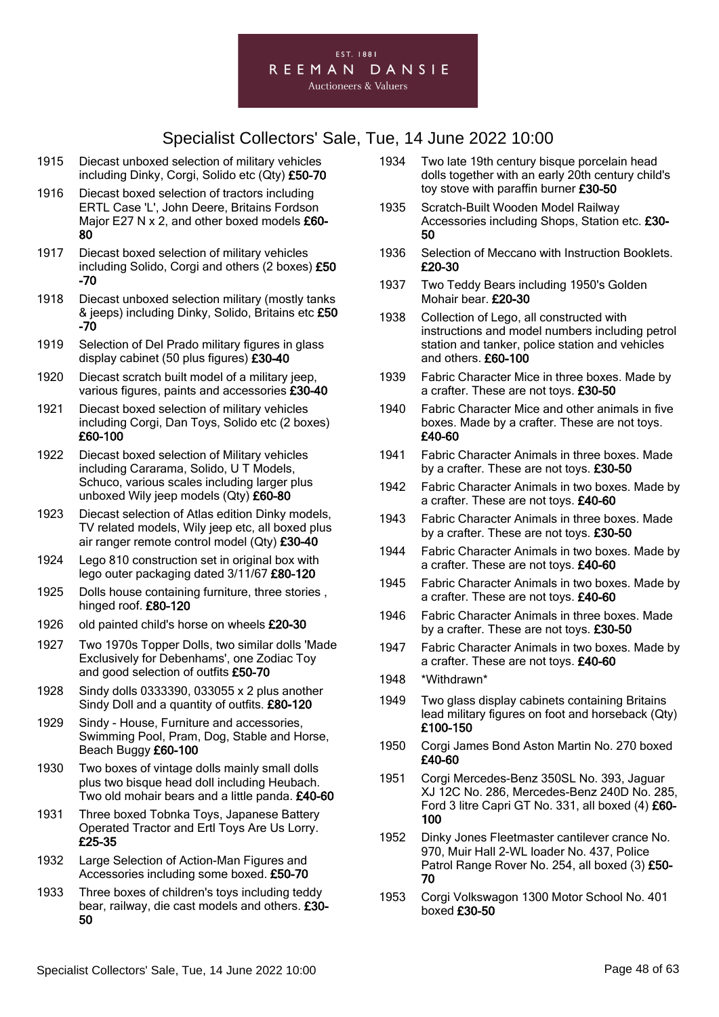

- 1915 Diecast unboxed selection of military vehicles including Dinky, Corgi, Solido etc (Qty) £50-70
- 1916 Diecast boxed selection of tractors including ERTL Case 'L', John Deere, Britains Fordson Major E27 N x 2, and other boxed models £60-80
- 1917 Diecast boxed selection of military vehicles including Solido, Corgi and others (2 boxes) £50 -70
- 1918 Diecast unboxed selection military (mostly tanks & jeeps) including Dinky, Solido, Britains etc £50 -70
- 1919 Selection of Del Prado military figures in glass display cabinet (50 plus figures) £30-40
- 1920 Diecast scratch built model of a military jeep, various figures, paints and accessories £30-40
- 1921 Diecast boxed selection of military vehicles including Corgi, Dan Toys, Solido etc (2 boxes) £60-100
- 1922 Diecast boxed selection of Military vehicles including Cararama, Solido, U T Models, Schuco, various scales including larger plus unboxed Wily jeep models (Qty) £60-80
- 1923 Diecast selection of Atlas edition Dinky models, TV related models, Wily jeep etc, all boxed plus air ranger remote control model (Qty) £30-40
- 1924 Lego 810 construction set in original box with lego outer packaging dated 3/11/67 £80-120
- 1925 Dolls house containing furniture, three stories , hinged roof. £80-120
- 1926 old painted child's horse on wheels £20-30
- 1927 Two 1970s Topper Dolls, two similar dolls 'Made Exclusively for Debenhams', one Zodiac Toy and good selection of outfits £50-70
- 1928 Sindy dolls 0333390, 033055 x 2 plus another Sindy Doll and a quantity of outfits. £80-120
- 1929 Sindy House, Furniture and accessories, Swimming Pool, Pram, Dog, Stable and Horse, Beach Buggy £60-100
- 1930 Two boxes of vintage dolls mainly small dolls plus two bisque head doll including Heubach. Two old mohair bears and a little panda. £40-60
- 1931 Three boxed Tobnka Toys, Japanese Battery Operated Tractor and Ertl Toys Are Us Lorry. £25-35
- 1932 Large Selection of Action-Man Figures and Accessories including some boxed. £50-70
- 1933 Three boxes of children's toys including teddy bear, railway, die cast models and others. £30- 50
- 1934 Two late 19th century bisque porcelain head dolls together with an early 20th century child's toy stove with paraffin burner £30-50
- 1935 Scratch-Built Wooden Model Railway Accessories including Shops, Station etc. £30- 50
- 1936 Selection of Meccano with Instruction Booklets. £20-30
- 1937 Two Teddy Bears including 1950's Golden Mohair bear. £20-30
- 1938 Collection of Lego, all constructed with instructions and model numbers including petrol station and tanker, police station and vehicles and others. £60-100
- 1939 Fabric Character Mice in three boxes. Made by a crafter. These are not toys. £30-50
- 1940 Fabric Character Mice and other animals in five boxes. Made by a crafter. These are not toys. £40-60
- 1941 Fabric Character Animals in three boxes. Made by a crafter. These are not toys. £30-50
- 1942 Fabric Character Animals in two boxes. Made by a crafter. These are not toys. £40-60
- 1943 Fabric Character Animals in three boxes. Made by a crafter. These are not toys. £30-50
- 1944 Fabric Character Animals in two boxes. Made by a crafter. These are not toys. £40-60
- 1945 Fabric Character Animals in two boxes. Made by a crafter. These are not toys. £40-60
- 1946 Fabric Character Animals in three boxes. Made by a crafter. These are not toys. £30-50
- 1947 Fabric Character Animals in two boxes. Made by a crafter. These are not toys. £40-60
- 1948 \*Withdrawn\*
- 1949 Two glass display cabinets containing Britains lead military figures on foot and horseback (Qty) £100-150
- 1950 Corgi James Bond Aston Martin No. 270 boxed £40-60
- 1951 Corgi Mercedes-Benz 350SL No. 393, Jaguar XJ 12C No. 286, Mercedes-Benz 240D No. 285, Ford 3 litre Capri GT No. 331, all boxed (4) £60- 100
- 1952 Dinky Jones Fleetmaster cantilever crance No. 970, Muir Hall 2-WL loader No. 437, Police Patrol Range Rover No. 254, all boxed (3) £50- 70
- 1953 Corgi Volkswagon 1300 Motor School No. 401 boxed £30-50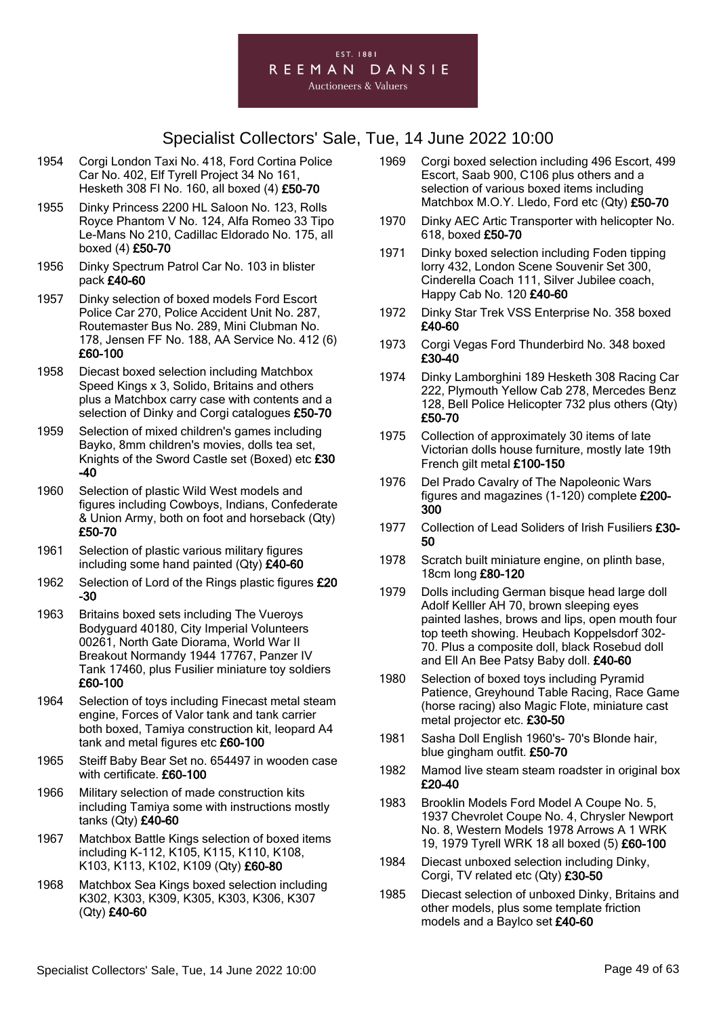

- 1954 Corgi London Taxi No. 418, Ford Cortina Police Car No. 402, Elf Tyrell Project 34 No 161, Hesketh 308 FI No. 160, all boxed (4) £50-70
- 1955 Dinky Princess 2200 HL Saloon No. 123, Rolls Royce Phantom V No. 124, Alfa Romeo 33 Tipo Le-Mans No 210, Cadillac Eldorado No. 175, all boxed (4) £50-70
- 1956 Dinky Spectrum Patrol Car No. 103 in blister pack £40-60
- 1957 Dinky selection of boxed models Ford Escort Police Car 270, Police Accident Unit No. 287, Routemaster Bus No. 289, Mini Clubman No. 178, Jensen FF No. 188, AA Service No. 412 (6) £60-100
- 1958 Diecast boxed selection including Matchbox Speed Kings x 3, Solido, Britains and others plus a Matchbox carry case with contents and a selection of Dinky and Corgi catalogues £50-70
- 1959 Selection of mixed children's games including Bayko, 8mm children's movies, dolls tea set, Knights of the Sword Castle set (Boxed) etc £30 -40
- 1960 Selection of plastic Wild West models and figures including Cowboys, Indians, Confederate & Union Army, both on foot and horseback (Qty) £50-70
- 1961 Selection of plastic various military figures including some hand painted (Qty) £40-60
- 1962 Selection of Lord of the Rings plastic figures £20 -30
- 1963 Britains boxed sets including The Vueroys Bodyguard 40180, City Imperial Volunteers 00261, North Gate Diorama, World War II Breakout Normandy 1944 17767, Panzer IV Tank 17460, plus Fusilier miniature toy soldiers £60-100
- 1964 Selection of toys including Finecast metal steam engine, Forces of Valor tank and tank carrier both boxed, Tamiya construction kit, leopard A4 tank and metal figures etc £60-100
- 1965 Steiff Baby Bear Set no. 654497 in wooden case with certificate. £60-100
- 1966 Military selection of made construction kits including Tamiya some with instructions mostly tanks (Qty) £40-60
- 1967 Matchbox Battle Kings selection of boxed items including K-112, K105, K115, K110, K108, K103, K113, K102, K109 (Qty) £60-80
- 1968 Matchbox Sea Kings boxed selection including K302, K303, K309, K305, K303, K306, K307 (Qty) £40-60
- 1969 Corgi boxed selection including 496 Escort, 499 Escort, Saab 900, C106 plus others and a selection of various boxed items including Matchbox M.O.Y. Lledo, Ford etc (Qty) £50-70
- 1970 Dinky AEC Artic Transporter with helicopter No. 618, boxed £50-70
- 1971 Dinky boxed selection including Foden tipping lorry 432, London Scene Souvenir Set 300, Cinderella Coach 111, Silver Jubilee coach, Happy Cab No. 120 £40-60
- 1972 Dinky Star Trek VSS Enterprise No. 358 boxed £40-60
- 1973 Corgi Vegas Ford Thunderbird No. 348 boxed £30-40
- 1974 Dinky Lamborghini 189 Hesketh 308 Racing Car 222, Plymouth Yellow Cab 278, Mercedes Benz 128, Bell Police Helicopter 732 plus others (Qty) £50-70
- 1975 Collection of approximately 30 items of late Victorian dolls house furniture, mostly late 19th French gilt metal £100-150
- 1976 Del Prado Cavalry of The Napoleonic Wars figures and magazines (1-120) complete £200- 300
- 1977 Collection of Lead Soliders of Irish Fusiliers £30-50
- 1978 Scratch built miniature engine, on plinth base, 18cm long £80-120
- 1979 Dolls including German bisque head large doll Adolf Kelller AH 70, brown sleeping eyes painted lashes, brows and lips, open mouth four top teeth showing. Heubach Koppelsdorf 302- 70. Plus a composite doll, black Rosebud doll and Ell An Bee Patsy Baby doll. £40-60
- 1980 Selection of boxed toys including Pyramid Patience, Greyhound Table Racing, Race Game (horse racing) also Magic Flote, miniature cast metal projector etc. £30-50
- 1981 Sasha Doll English 1960's- 70's Blonde hair, blue gingham outfit. £50-70
- 1982 Mamod live steam steam roadster in original box £20-40
- 1983 Brooklin Models Ford Model A Coupe No. 5, 1937 Chevrolet Coupe No. 4, Chrysler Newport No. 8, Western Models 1978 Arrows A 1 WRK 19, 1979 Tyrell WRK 18 all boxed (5) £60-100
- 1984 Diecast unboxed selection including Dinky, Corgi, TV related etc (Qty) £30-50
- 1985 Diecast selection of unboxed Dinky, Britains and other models, plus some template friction models and a Baylco set £40-60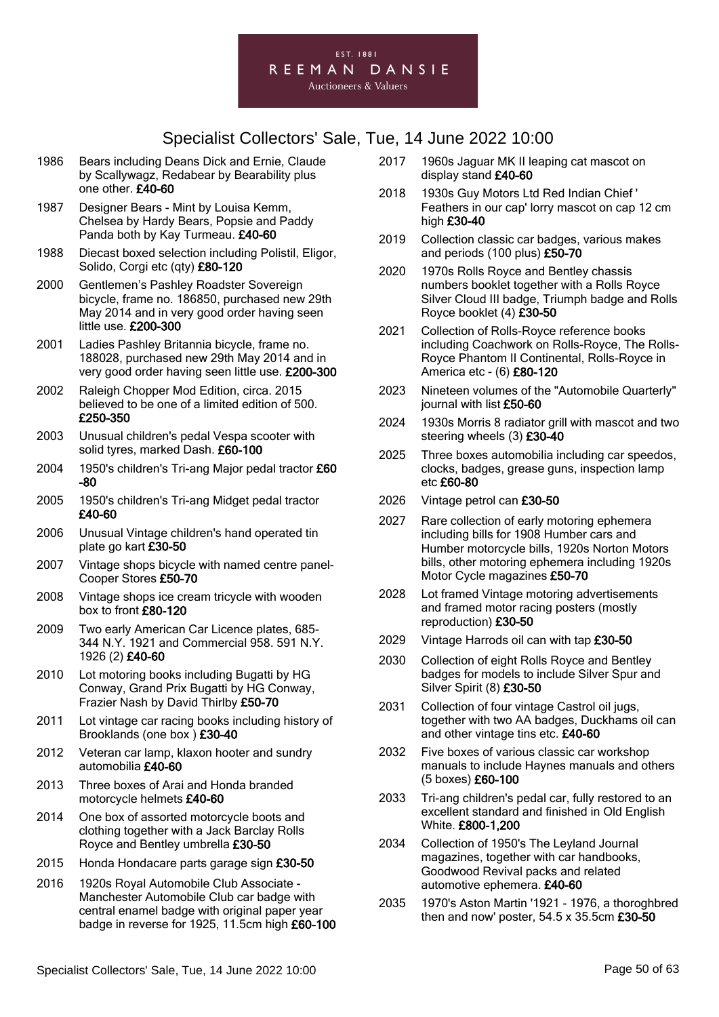

- 1986 Bears including Deans Dick and Ernie, Claude by Scallywagz, Redabear by Bearability plus one other. £40-60
- 1987 Designer Bears Mint by Louisa Kemm, Chelsea by Hardy Bears, Popsie and Paddy Panda both by Kay Turmeau. £40-60
- 1988 Diecast boxed selection including Polistil, Eligor, Solido, Corgi etc (qty) £80-120
- 2000 Gentlemen's Pashley Roadster Sovereign bicycle, frame no. 186850, purchased new 29th May 2014 and in very good order having seen little use. £200-300
- 2001 Ladies Pashley Britannia bicycle, frame no. 188028, purchased new 29th May 2014 and in very good order having seen little use. £200-300
- 2002 Raleigh Chopper Mod Edition, circa. 2015 believed to be one of a limited edition of 500. £250-350
- 2003 Unusual children's pedal Vespa scooter with solid tyres, marked Dash. £60-100
- 2004 1950's children's Tri-ang Major pedal tractor £60 -80
- 2005 1950's children's Tri-ang Midget pedal tractor £40-60
- 2006 Unusual Vintage children's hand operated tin plate go kart £30-50
- 2007 Vintage shops bicycle with named centre panel-Cooper Stores £50-70
- 2008 Vintage shops ice cream tricycle with wooden box to front £80-120
- 2009 Two early American Car Licence plates, 685- 344 N.Y. 1921 and Commercial 958. 591 N.Y. 1926 (2) £40-60
- 2010 Lot motoring books including Bugatti by HG Conway, Grand Prix Bugatti by HG Conway, Frazier Nash by David Thirlby £50-70
- 2011 Lot vintage car racing books including history of Brooklands (one box ) £30-40
- 2012 Veteran car lamp, klaxon hooter and sundry automobilia £40-60
- 2013 Three boxes of Arai and Honda branded motorcycle helmets £40-60
- 2014 One box of assorted motorcycle boots and clothing together with a Jack Barclay Rolls Royce and Bentley umbrella £30-50
- 2015 Honda Hondacare parts garage sign £30-50
- 2016 1920s Royal Automobile Club Associate Manchester Automobile Club car badge with central enamel badge with original paper year badge in reverse for 1925, 11.5cm high £60-100
- 2017 1960s Jaguar MK II leaping cat mascot on display stand £40-60
- 2018 1930s Guy Motors Ltd Red Indian Chief ' Feathers in our cap' lorry mascot on cap 12 cm high £30-40
- 2019 Collection classic car badges, various makes and periods (100 plus) £50-70
- 2020 1970s Rolls Royce and Bentley chassis numbers booklet together with a Rolls Royce Silver Cloud III badge, Triumph badge and Rolls Royce booklet (4) £30-50
- 2021 Collection of Rolls-Royce reference books including Coachwork on Rolls-Royce, The Rolls-Royce Phantom II Continental, Rolls-Royce in America etc - (6) £80-120
- 2023 Nineteen volumes of the "Automobile Quarterly" journal with list £50-60
- 2024 1930s Morris 8 radiator grill with mascot and two steering wheels (3) £30-40
- 2025 Three boxes automobilia including car speedos, clocks, badges, grease guns, inspection lamp etc £60-80
- 2026 Vintage petrol can £30-50
- 2027 Rare collection of early motoring ephemera including bills for 1908 Humber cars and Humber motorcycle bills, 1920s Norton Motors bills, other motoring ephemera including 1920s Motor Cycle magazines £50-70
- 2028 Lot framed Vintage motoring advertisements and framed motor racing posters (mostly reproduction) £30-50
- 2029 Vintage Harrods oil can with tap £30-50
- 2030 Collection of eight Rolls Royce and Bentley badges for models to include Silver Spur and Silver Spirit (8) £30-50
- 2031 Collection of four vintage Castrol oil jugs, together with two AA badges, Duckhams oil can and other vintage tins etc. £40-60
- 2032 Five boxes of various classic car workshop manuals to include Haynes manuals and others (5 boxes) £60-100
- 2033 Tri-ang children's pedal car, fully restored to an excellent standard and finished in Old English White. £800-1,200
- 2034 Collection of 1950's The Leyland Journal magazines, together with car handbooks, Goodwood Revival packs and related automotive ephemera. £40-60
- 2035 1970's Aston Martin '1921 1976, a thoroghbred then and now' poster,  $54.5 \times 35.5$ cm £30-50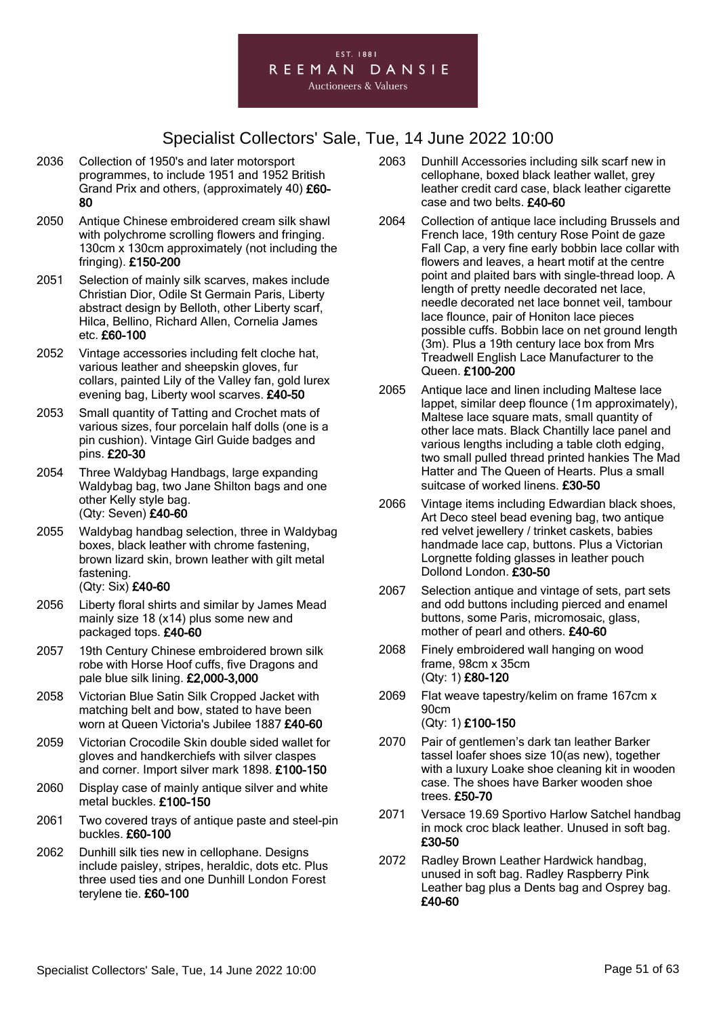

- 2036 Collection of 1950's and later motorsport programmes, to include 1951 and 1952 British Grand Prix and others, (approximately 40) £60- 80
- 2050 Antique Chinese embroidered cream silk shawl with polychrome scrolling flowers and fringing. 130cm x 130cm approximately (not including the fringing). £150-200
- 2051 Selection of mainly silk scarves, makes include Christian Dior, Odile St Germain Paris, Liberty abstract design by Belloth, other Liberty scarf, Hilca, Bellino, Richard Allen, Cornelia James etc. £60-100
- 2052 Vintage accessories including felt cloche hat, various leather and sheepskin gloves, fur collars, painted Lily of the Valley fan, gold lurex evening bag, Liberty wool scarves. £40-50
- 2053 Small quantity of Tatting and Crochet mats of various sizes, four porcelain half dolls (one is a pin cushion). Vintage Girl Guide badges and pins. £20-30
- 2054 Three Waldybag Handbags, large expanding Waldybag bag, two Jane Shilton bags and one other Kelly style bag. (Qty: Seven) £40-60
- 2055 Waldybag handbag selection, three in Waldybag boxes, black leather with chrome fastening, brown lizard skin, brown leather with gilt metal fastening. (Qty: Six) £40-60
- 2056 Liberty floral shirts and similar by James Mead mainly size 18 (x14) plus some new and packaged tops. £40-60
- 2057 19th Century Chinese embroidered brown silk robe with Horse Hoof cuffs, five Dragons and pale blue silk lining. £2,000-3,000
- 2058 Victorian Blue Satin Silk Cropped Jacket with matching belt and bow, stated to have been worn at Queen Victoria's Jubilee 1887 £40-60
- 2059 Victorian Crocodile Skin double sided wallet for gloves and handkerchiefs with silver claspes and corner. Import silver mark 1898. £100-150
- 2060 Display case of mainly antique silver and white metal buckles. £100-150
- 2061 Two covered trays of antique paste and steel-pin buckles. £60-100
- 2062 Dunhill silk ties new in cellophane. Designs include paisley, stripes, heraldic, dots etc. Plus three used ties and one Dunhill London Forest terylene tie. £60-100
- 2063 Dunhill Accessories including silk scarf new in cellophane, boxed black leather wallet, grey leather credit card case, black leather cigarette case and two belts. £40-60
- 2064 Collection of antique lace including Brussels and French lace, 19th century Rose Point de gaze Fall Cap, a very fine early bobbin lace collar with flowers and leaves, a heart motif at the centre point and plaited bars with single-thread loop. A length of pretty needle decorated net lace, needle decorated net lace bonnet veil, tambour lace flounce, pair of Honiton lace pieces possible cuffs. Bobbin lace on net ground length (3m). Plus a 19th century lace box from Mrs Treadwell English Lace Manufacturer to the Queen. £100-200
- 2065 Antique lace and linen including Maltese lace lappet, similar deep flounce (1m approximately), Maltese lace square mats, small quantity of other lace mats. Black Chantilly lace panel and various lengths including a table cloth edging, two small pulled thread printed hankies The Mad Hatter and The Queen of Hearts. Plus a small suitcase of worked linens. £30-50
- 2066 Vintage items including Edwardian black shoes, Art Deco steel bead evening bag, two antique red velvet jewellery / trinket caskets, babies handmade lace cap, buttons. Plus a Victorian Lorgnette folding glasses in leather pouch Dollond London. £30-50
- 2067 Selection antique and vintage of sets, part sets and odd buttons including pierced and enamel buttons, some Paris, micromosaic, glass, mother of pearl and others. £40-60
- 2068 Finely embroidered wall hanging on wood frame, 98cm x 35cm (Qty: 1) £80-120
- 2069 Flat weave tapestry/kelim on frame 167cm x 90cm (Qty: 1) £100-150
- 2070 Pair of gentlemen's dark tan leather Barker tassel loafer shoes size 10(as new), together with a luxury Loake shoe cleaning kit in wooden case. The shoes have Barker wooden shoe trees. £50-70
- 2071 Versace 19.69 Sportivo Harlow Satchel handbag in mock croc black leather. Unused in soft bag. £30-50
- 2072 Radley Brown Leather Hardwick handbag, unused in soft bag. Radley Raspberry Pink Leather bag plus a Dents bag and Osprey bag. £40-60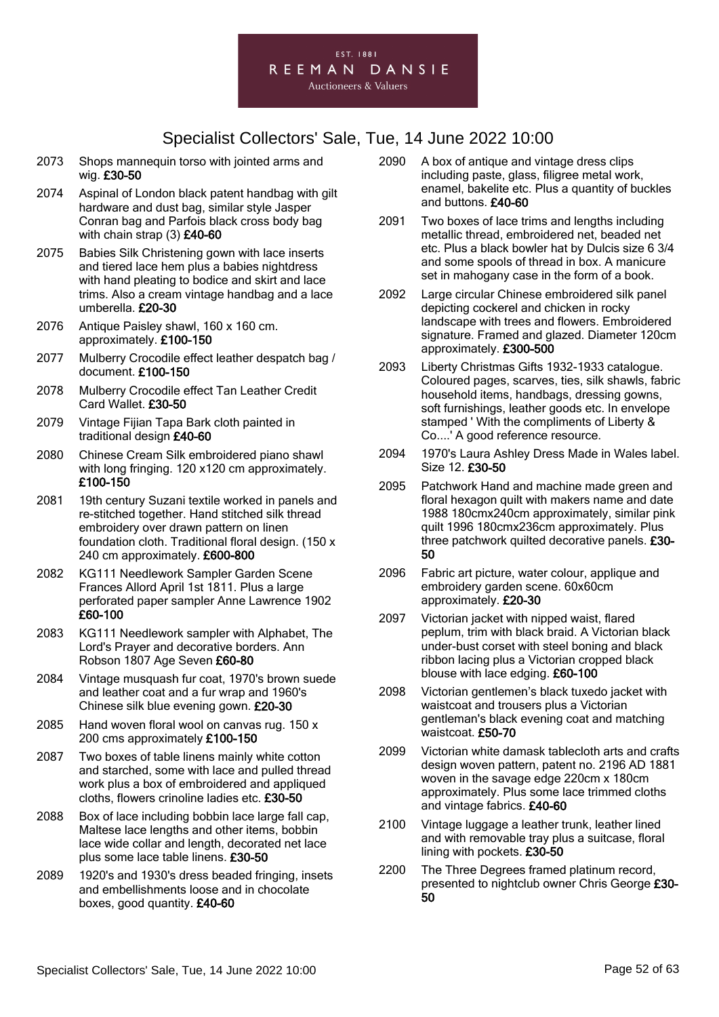

- 2073 Shops mannequin torso with jointed arms and wig. £30-50
- 2074 Aspinal of London black patent handbag with gilt hardware and dust bag, similar style Jasper Conran bag and Parfois black cross body bag with chain strap (3) £40-60
- 2075 Babies Silk Christening gown with lace inserts and tiered lace hem plus a babies nightdress with hand pleating to bodice and skirt and lace trims. Also a cream vintage handbag and a lace umberella. £20-30
- 2076 Antique Paisley shawl, 160 x 160 cm. approximately. £100-150
- 2077 Mulberry Crocodile effect leather despatch bag / document. £100-150
- 2078 Mulberry Crocodile effect Tan Leather Credit Card Wallet. £30-50
- 2079 Vintage Fijian Tapa Bark cloth painted in traditional design £40-60
- 2080 Chinese Cream Silk embroidered piano shawl with long fringing. 120 x120 cm approximately. £100-150
- 2081 19th century Suzani textile worked in panels and re-stitched together. Hand stitched silk thread embroidery over drawn pattern on linen foundation cloth. Traditional floral design. (150 x 240 cm approximately. £600-800
- 2082 KG111 Needlework Sampler Garden Scene Frances Allord April 1st 1811. Plus a large perforated paper sampler Anne Lawrence 1902 £60-100
- 2083 KG111 Needlework sampler with Alphabet, The Lord's Prayer and decorative borders. Ann Robson 1807 Age Seven £60-80
- 2084 Vintage musquash fur coat, 1970's brown suede and leather coat and a fur wrap and 1960's Chinese silk blue evening gown. £20-30
- 2085 Hand woven floral wool on canvas rug. 150 x 200 cms approximately £100-150
- 2087 Two boxes of table linens mainly white cotton and starched, some with lace and pulled thread work plus a box of embroidered and appliqued cloths, flowers crinoline ladies etc. £30-50
- 2088 Box of lace including bobbin lace large fall cap, Maltese lace lengths and other items, bobbin lace wide collar and length, decorated net lace plus some lace table linens. £30-50
- 2089 1920's and 1930's dress beaded fringing, insets and embellishments loose and in chocolate boxes, good quantity. £40-60
- 2090 A box of antique and vintage dress clips including paste, glass, filigree metal work, enamel, bakelite etc. Plus a quantity of buckles and buttons. £40-60
- 2091 Two boxes of lace trims and lengths including metallic thread, embroidered net, beaded net etc. Plus a black bowler hat by Dulcis size 6 3/4 and some spools of thread in box. A manicure set in mahogany case in the form of a book.
- 2092 Large circular Chinese embroidered silk panel depicting cockerel and chicken in rocky landscape with trees and flowers. Embroidered signature. Framed and glazed. Diameter 120cm approximately. £300-500
- 2093 Liberty Christmas Gifts 1932-1933 catalogue. Coloured pages, scarves, ties, silk shawls, fabric household items, handbags, dressing gowns, soft furnishings, leather goods etc. In envelope stamped ' With the compliments of Liberty & Co....' A good reference resource.
- 2094 1970's Laura Ashley Dress Made in Wales label. Size 12. £30-50
- 2095 Patchwork Hand and machine made green and floral hexagon quilt with makers name and date 1988 180cmx240cm approximately, similar pink quilt 1996 180cmx236cm approximately. Plus three patchwork quilted decorative panels. £30- 50
- 2096 Fabric art picture, water colour, applique and embroidery garden scene. 60x60cm approximately. £20-30
- 2097 Victorian jacket with nipped waist, flared peplum, trim with black braid. A Victorian black under-bust corset with steel boning and black ribbon lacing plus a Victorian cropped black blouse with lace edging. £60-100
- 2098 Victorian gentlemen's black tuxedo jacket with waistcoat and trousers plus a Victorian gentleman's black evening coat and matching waistcoat. £50-70
- 2099 Victorian white damask tablecloth arts and crafts design woven pattern, patent no. 2196 AD 1881 woven in the savage edge 220cm x 180cm approximately. Plus some lace trimmed cloths and vintage fabrics. £40-60
- 2100 Vintage luggage a leather trunk, leather lined and with removable tray plus a suitcase, floral lining with pockets. £30-50
- 2200 The Three Degrees framed platinum record, presented to nightclub owner Chris George £30- 50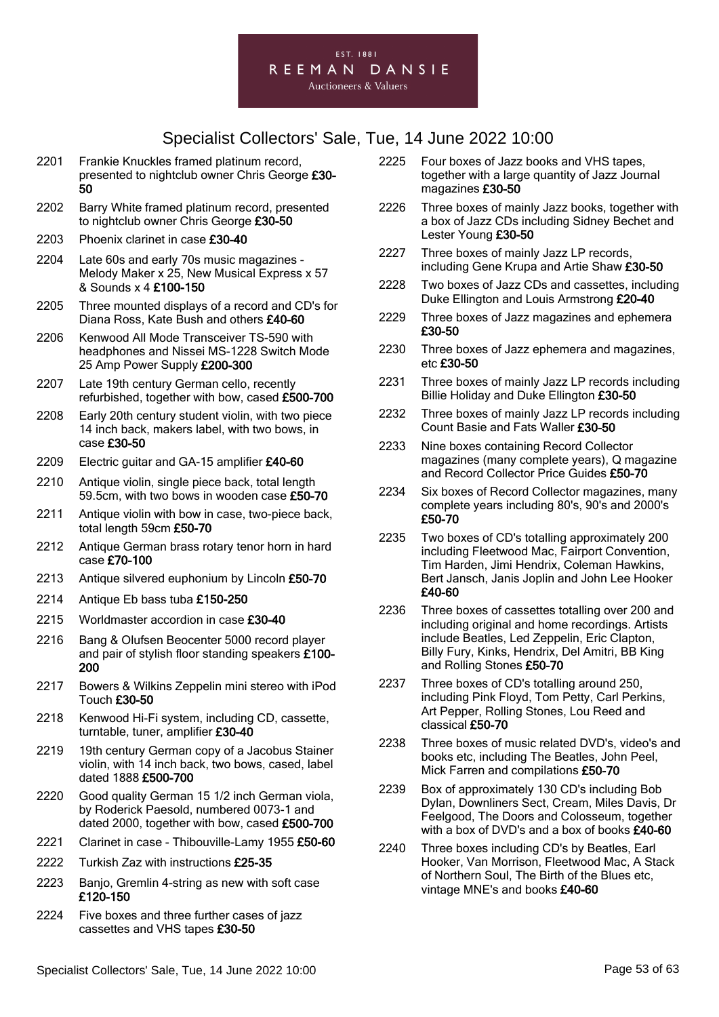#### EST. 1881 REEMAN DANSIE **Auctioneers & Valuers**

- 2201 Frankie Knuckles framed platinum record, presented to nightclub owner Chris George £30- 50
- 2202 Barry White framed platinum record, presented to nightclub owner Chris George £30-50
- 2203 Phoenix clarinet in case £30-40
- 2204 Late 60s and early 70s music magazines Melody Maker x 25, New Musical Express x 57 & Sounds x 4 £100-150
- 2205 Three mounted displays of a record and CD's for Diana Ross, Kate Bush and others £40-60
- 2206 Kenwood All Mode Transceiver TS-590 with headphones and Nissei MS-1228 Switch Mode 25 Amp Power Supply £200-300
- 2207 Late 19th century German cello, recently refurbished, together with bow, cased £500-700
- 2208 Early 20th century student violin, with two piece 14 inch back, makers label, with two bows, in case £30-50
- 2209 Electric guitar and GA-15 amplifier £40-60
- 2210 Antique violin, single piece back, total length 59.5cm, with two bows in wooden case £50-70
- 2211 Antique violin with bow in case, two-piece back, total length 59cm £50-70
- 2212 Antique German brass rotary tenor horn in hard case £70-100
- 2213 Antique silvered euphonium by Lincoln £50-70
- 2214 Antique Eb bass tuba £150-250
- 2215 Worldmaster accordion in case £30-40
- 2216 Bang & Olufsen Beocenter 5000 record player and pair of stylish floor standing speakers £100- 200
- 2217 Bowers & Wilkins Zeppelin mini stereo with iPod Touch £30-50
- 2218 Kenwood Hi-Fi system, including CD, cassette, turntable, tuner, amplifier £30-40
- 2219 19th century German copy of a Jacobus Stainer violin, with 14 inch back, two bows, cased, label dated 1888 £500-700
- 2220 Good quality German 15 1/2 inch German viola, by Roderick Paesold, numbered 0073-1 and dated 2000, together with bow, cased £500-700
- 2221 Clarinet in case Thibouville-Lamy 1955 £50-60
- 2222 Turkish Zaz with instructions £25-35
- 2223 Banjo, Gremlin 4-string as new with soft case £120-150
- 2224 Five boxes and three further cases of jazz cassettes and VHS tapes £30-50
- 2225 Four boxes of Jazz books and VHS tapes, together with a large quantity of Jazz Journal magazines £30-50
- 2226 Three boxes of mainly Jazz books, together with a box of Jazz CDs including Sidney Bechet and Lester Young £30-50
- 2227 Three boxes of mainly Jazz LP records, including Gene Krupa and Artie Shaw £30-50
- 2228 Two boxes of Jazz CDs and cassettes, including Duke Ellington and Louis Armstrong £20-40
- 2229 Three boxes of Jazz magazines and ephemera £30-50
- 2230 Three boxes of Jazz ephemera and magazines, etc £30-50
- 2231 Three boxes of mainly Jazz LP records including Billie Holiday and Duke Ellington £30-50
- 2232 Three boxes of mainly Jazz LP records including Count Basie and Fats Waller £30-50
- 2233 Nine boxes containing Record Collector magazines (many complete years), Q magazine and Record Collector Price Guides £50-70
- 2234 Six boxes of Record Collector magazines, many complete years including 80's, 90's and 2000's £50-70
- 2235 Two boxes of CD's totalling approximately 200 including Fleetwood Mac, Fairport Convention, Tim Harden, Jimi Hendrix, Coleman Hawkins, Bert Jansch, Janis Joplin and John Lee Hooker £40-60
- 2236 Three boxes of cassettes totalling over 200 and including original and home recordings. Artists include Beatles, Led Zeppelin, Eric Clapton, Billy Fury, Kinks, Hendrix, Del Amitri, BB King and Rolling Stones £50-70
- 2237 Three boxes of CD's totalling around 250, including Pink Floyd, Tom Petty, Carl Perkins, Art Pepper, Rolling Stones, Lou Reed and classical £50-70
- 2238 Three boxes of music related DVD's, video's and books etc, including The Beatles, John Peel, Mick Farren and compilations £50-70
- 2239 Box of approximately 130 CD's including Bob Dylan, Downliners Sect, Cream, Miles Davis, Dr Feelgood, The Doors and Colosseum, together with a box of DVD's and a box of books £40-60
- 2240 Three boxes including CD's by Beatles, Earl Hooker, Van Morrison, Fleetwood Mac, A Stack of Northern Soul, The Birth of the Blues etc, vintage MNE's and books £40-60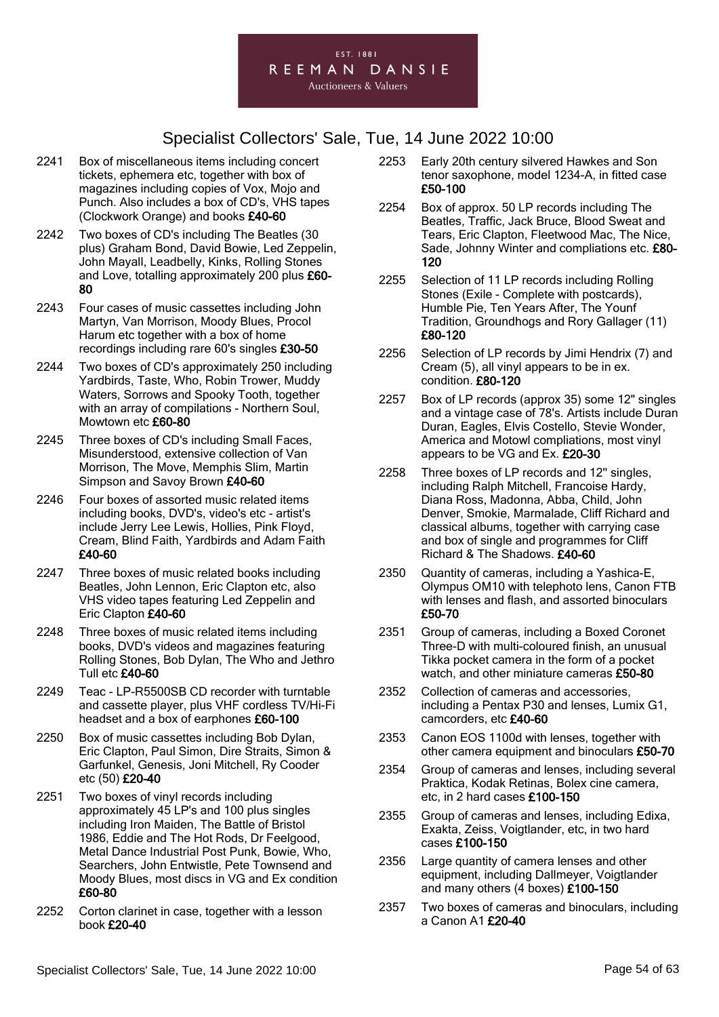

- 2241 Box of miscellaneous items including concert tickets, ephemera etc, together with box of magazines including copies of Vox, Mojo and Punch. Also includes a box of CD's, VHS tapes (Clockwork Orange) and books £40-60
- 2242 Two boxes of CD's including The Beatles (30 plus) Graham Bond, David Bowie, Led Zeppelin, John Mayall, Leadbelly, Kinks, Rolling Stones and Love, totalling approximately 200 plus £60- 80
- 2243 Four cases of music cassettes including John Martyn, Van Morrison, Moody Blues, Procol Harum etc together with a box of home recordings including rare 60's singles £30-50
- 2244 Two boxes of CD's approximately 250 including Yardbirds, Taste, Who, Robin Trower, Muddy Waters, Sorrows and Spooky Tooth, together with an array of compilations - Northern Soul, Mowtown etc £60-80
- 2245 Three boxes of CD's including Small Faces, Misunderstood, extensive collection of Van Morrison, The Move, Memphis Slim, Martin Simpson and Savoy Brown £40-60
- 2246 Four boxes of assorted music related items including books, DVD's, video's etc - artist's include Jerry Lee Lewis, Hollies, Pink Floyd, Cream, Blind Faith, Yardbirds and Adam Faith £40-60
- 2247 Three boxes of music related books including Beatles, John Lennon, Eric Clapton etc, also VHS video tapes featuring Led Zeppelin and Eric Clapton £40-60
- 2248 Three boxes of music related items including books, DVD's videos and magazines featuring Rolling Stones, Bob Dylan, The Who and Jethro Tull etc £40-60
- 2249 Teac LP-R5500SB CD recorder with turntable and cassette player, plus VHF cordless TV/Hi-Fi headset and a box of earphones £60-100
- 2250 Box of music cassettes including Bob Dylan, Eric Clapton, Paul Simon, Dire Straits, Simon & Garfunkel, Genesis, Joni Mitchell, Ry Cooder etc (50) £20-40
- 2251 Two boxes of vinyl records including approximately 45 LP's and 100 plus singles including Iron Maiden, The Battle of Bristol 1986, Eddie and The Hot Rods, Dr Feelgood, Metal Dance Industrial Post Punk, Bowie, Who, Searchers, John Entwistle, Pete Townsend and Moody Blues, most discs in VG and Ex condition £60-80
- 2252 Corton clarinet in case, together with a lesson book £20-40
- 2253 Early 20th century silvered Hawkes and Son tenor saxophone, model 1234-A, in fitted case £50-100
- 2254 Box of approx. 50 LP records including The Beatles, Traffic, Jack Bruce, Blood Sweat and Tears, Eric Clapton, Fleetwood Mac, The Nice, Sade, Johnny Winter and compliations etc. £80-120
- 2255 Selection of 11 LP records including Rolling Stones (Exile - Complete with postcards), Humble Pie, Ten Years After, The Younf Tradition, Groundhogs and Rory Gallager (11) £80-120
- 2256 Selection of LP records by Jimi Hendrix (7) and Cream (5), all vinyl appears to be in ex. condition. £80-120
- 2257 Box of LP records (approx 35) some 12" singles and a vintage case of 78's. Artists include Duran Duran, Eagles, Elvis Costello, Stevie Wonder, America and Motowl compliations, most vinyl appears to be VG and Ex. £20-30
- 2258 Three boxes of LP records and 12'' singles, including Ralph Mitchell, Francoise Hardy, Diana Ross, Madonna, Abba, Child, John Denver, Smokie, Marmalade, Cliff Richard and classical albums, together with carrying case and box of single and programmes for Cliff Richard & The Shadows. £40-60
- 2350 Quantity of cameras, including a Yashica-E, Olympus OM10 with telephoto lens, Canon FTB with lenses and flash, and assorted binoculars £50-70
- 2351 Group of cameras, including a Boxed Coronet Three-D with multi-coloured finish, an unusual Tikka pocket camera in the form of a pocket watch, and other miniature cameras £50-80
- 2352 Collection of cameras and accessories, including a Pentax P30 and lenses, Lumix G1, camcorders, etc £40-60
- 2353 Canon EOS 1100d with lenses, together with other camera equipment and binoculars £50-70
- 2354 Group of cameras and lenses, including several Praktica, Kodak Retinas, Bolex cine camera, etc, in 2 hard cases £100-150
- 2355 Group of cameras and lenses, including Edixa, Exakta, Zeiss, Voigtlander, etc, in two hard cases £100-150
- 2356 Large quantity of camera lenses and other equipment, including Dallmeyer, Voigtlander and many others (4 boxes) £100-150
- 2357 Two boxes of cameras and binoculars, including a Canon A1 £20-40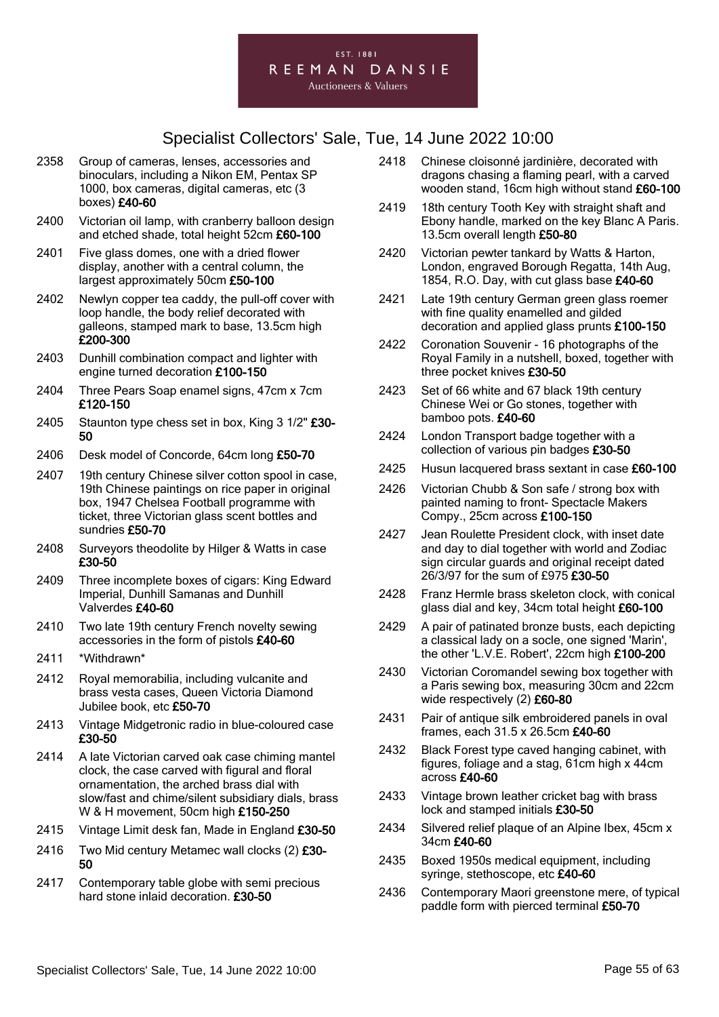

- 2358 Group of cameras, lenses, accessories and binoculars, including a Nikon EM, Pentax SP 1000, box cameras, digital cameras, etc (3 boxes) £40-60
- 2400 Victorian oil lamp, with cranberry balloon design and etched shade, total height 52cm £60-100
- 2401 Five glass domes, one with a dried flower display, another with a central column, the largest approximately 50cm £50-100
- 2402 Newlyn copper tea caddy, the pull-off cover with loop handle, the body relief decorated with galleons, stamped mark to base, 13.5cm high £200-300
- 2403 Dunhill combination compact and lighter with engine turned decoration £100-150
- 2404 Three Pears Soap enamel signs, 47cm x 7cm £120-150
- 2405 Staunton type chess set in box, King 3 1/2" £30-50
- 2406 Desk model of Concorde, 64cm long £50-70
- 2407 19th century Chinese silver cotton spool in case, 19th Chinese paintings on rice paper in original box, 1947 Chelsea Football programme with ticket, three Victorian glass scent bottles and sundries £50-70
- 2408 Surveyors theodolite by Hilger & Watts in case £30-50
- 2409 Three incomplete boxes of cigars: King Edward Imperial, Dunhill Samanas and Dunhill Valverdes £40-60
- 2410 Two late 19th century French novelty sewing accessories in the form of pistols £40-60
- 2411 \*Withdrawn\*
- 2412 Royal memorabilia, including vulcanite and brass vesta cases, Queen Victoria Diamond Jubilee book, etc £50-70
- 2413 Vintage Midgetronic radio in blue-coloured case £30-50
- 2414 A late Victorian carved oak case chiming mantel clock, the case carved with figural and floral ornamentation, the arched brass dial with slow/fast and chime/silent subsidiary dials, brass W & H movement, 50cm high £150-250
- 2415 Vintage Limit desk fan, Made in England £30-50
- 2416 Two Mid century Metamec wall clocks (2) £30-50
- 2417 Contemporary table globe with semi precious hard stone inlaid decoration. £30-50
- 2418 Chinese cloisonné jardinière, decorated with dragons chasing a flaming pearl, with a carved wooden stand, 16cm high without stand £60-100
- 2419 18th century Tooth Key with straight shaft and Ebony handle, marked on the key Blanc A Paris. 13.5cm overall length £50-80
- 2420 Victorian pewter tankard by Watts & Harton, London, engraved Borough Regatta, 14th Aug, 1854, R.O. Day, with cut glass base £40-60
- 2421 Late 19th century German green glass roemer with fine quality enamelled and gilded decoration and applied glass prunts £100-150
- 2422 Coronation Souvenir 16 photographs of the Royal Family in a nutshell, boxed, together with three pocket knives £30-50
- 2423 Set of 66 white and 67 black 19th century Chinese Wei or Go stones, together with bamboo pots. £40-60
- 2424 London Transport badge together with a collection of various pin badges £30-50
- 2425 Husun lacquered brass sextant in case £60-100
- 2426 Victorian Chubb & Son safe / strong box with painted naming to front- Spectacle Makers Compy., 25cm across £100-150
- 2427 Jean Roulette President clock, with inset date and day to dial together with world and Zodiac sign circular guards and original receipt dated 26/3/97 for the sum of £975 £30-50
- 2428 Franz Hermle brass skeleton clock, with conical glass dial and key, 34cm total height £60-100
- 2429 A pair of patinated bronze busts, each depicting a classical lady on a socle, one signed 'Marin', the other 'L.V.E. Robert', 22cm high £100-200
- 2430 Victorian Coromandel sewing box together with a Paris sewing box, measuring 30cm and 22cm wide respectively (2) £60-80
- 2431 Pair of antique silk embroidered panels in oval frames, each 31.5 x 26.5cm £40-60
- 2432 Black Forest type caved hanging cabinet, with figures, foliage and a stag, 61cm high x 44cm across £40-60
- 2433 Vintage brown leather cricket bag with brass lock and stamped initials £30-50
- 2434 Silvered relief plaque of an Alpine Ibex, 45cm x 34cm £40-60
- 2435 Boxed 1950s medical equipment, including syringe, stethoscope, etc £40-60
- 2436 Contemporary Maori greenstone mere, of typical paddle form with pierced terminal £50-70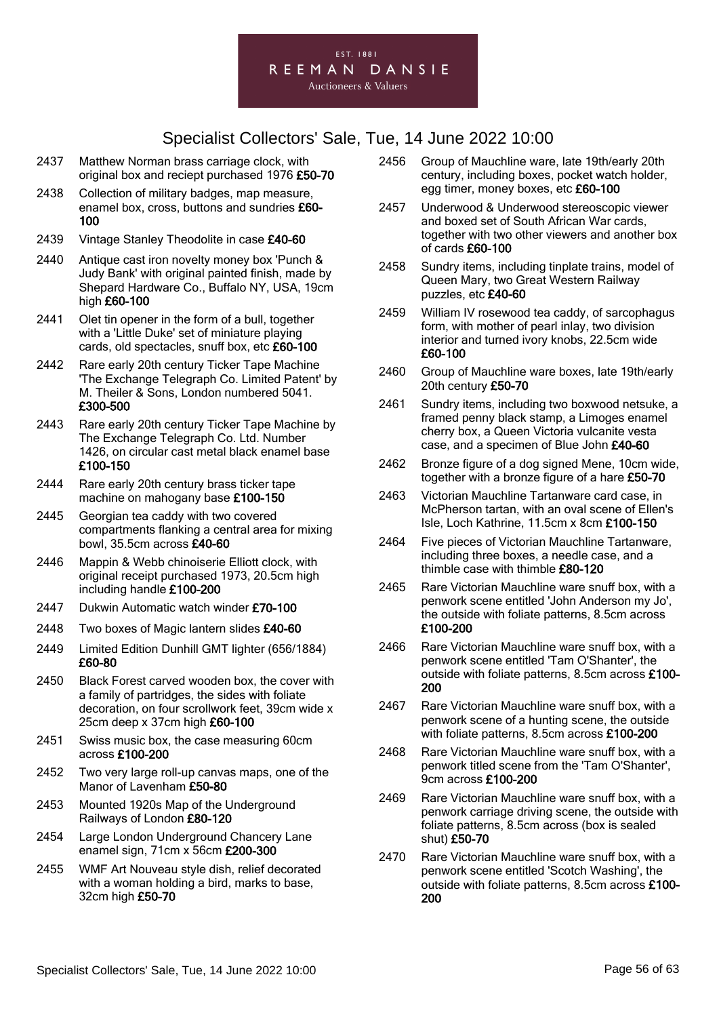

- 2437 Matthew Norman brass carriage clock, with original box and reciept purchased 1976 £50-70
- 2438 Collection of military badges, map measure, enamel box, cross, buttons and sundries £60- 100
- 2439 Vintage Stanley Theodolite in case £40-60
- 2440 Antique cast iron novelty money box 'Punch & Judy Bank' with original painted finish, made by Shepard Hardware Co., Buffalo NY, USA, 19cm high £60-100
- 2441 Olet tin opener in the form of a bull, together with a 'Little Duke' set of miniature playing cards, old spectacles, snuff box, etc £60-100
- 2442 Rare early 20th century Ticker Tape Machine 'The Exchange Telegraph Co. Limited Patent' by M. Theiler & Sons, London numbered 5041. £300-500
- 2443 Rare early 20th century Ticker Tape Machine by The Exchange Telegraph Co. Ltd. Number 1426, on circular cast metal black enamel base £100-150
- 2444 Rare early 20th century brass ticker tape machine on mahogany base £100-150
- 2445 Georgian tea caddy with two covered compartments flanking a central area for mixing bowl, 35.5cm across £40-60
- 2446 Mappin & Webb chinoiserie Elliott clock, with original receipt purchased 1973, 20.5cm high including handle £100-200
- 2447 Dukwin Automatic watch winder £70-100
- 2448 Two boxes of Magic lantern slides £40-60
- 2449 Limited Edition Dunhill GMT lighter (656/1884) £60-80
- 2450 Black Forest carved wooden box, the cover with a family of partridges, the sides with foliate decoration, on four scrollwork feet, 39cm wide x 25cm deep x 37cm high £60-100
- 2451 Swiss music box, the case measuring 60cm across £100-200
- 2452 Two very large roll-up canvas maps, one of the Manor of Lavenham £50-80
- 2453 Mounted 1920s Map of the Underground Railways of London £80-120
- 2454 Large London Underground Chancery Lane enamel sign, 71cm x 56cm £200-300
- 2455 WMF Art Nouveau style dish, relief decorated with a woman holding a bird, marks to base, 32cm high £50-70
- 2456 Group of Mauchline ware, late 19th/early 20th century, including boxes, pocket watch holder, egg timer, money boxes, etc £60-100
- 2457 Underwood & Underwood stereoscopic viewer and boxed set of South African War cards, together with two other viewers and another box of cards £60-100
- 2458 Sundry items, including tinplate trains, model of Queen Mary, two Great Western Railway puzzles, etc £40-60
- 2459 William IV rosewood tea caddy, of sarcophagus form, with mother of pearl inlay, two division interior and turned ivory knobs, 22.5cm wide £60-100
- 2460 Group of Mauchline ware boxes, late 19th/early 20th century £50-70
- 2461 Sundry items, including two boxwood netsuke, a framed penny black stamp, a Limoges enamel cherry box, a Queen Victoria vulcanite vesta case, and a specimen of Blue John £40-60
- 2462 Bronze figure of a dog signed Mene, 10cm wide, together with a bronze figure of a hare £50-70
- 2463 Victorian Mauchline Tartanware card case, in McPherson tartan, with an oval scene of Ellen's Isle, Loch Kathrine, 11.5cm x 8cm £100-150
- 2464 Five pieces of Victorian Mauchline Tartanware, including three boxes, a needle case, and a thimble case with thimble £80-120
- 2465 Rare Victorian Mauchline ware snuff box, with a penwork scene entitled 'John Anderson my Jo', the outside with foliate patterns, 8.5cm across £100-200
- 2466 Rare Victorian Mauchline ware snuff box, with a penwork scene entitled 'Tam O'Shanter', the outside with foliate patterns, 8.5cm across £100- 200
- 2467 Rare Victorian Mauchline ware snuff box, with a penwork scene of a hunting scene, the outside with foliate patterns, 8.5cm across £100-200
- 2468 Rare Victorian Mauchline ware snuff box, with a penwork titled scene from the 'Tam O'Shanter', 9cm across £100-200
- 2469 Rare Victorian Mauchline ware snuff box, with a penwork carriage driving scene, the outside with foliate patterns, 8.5cm across (box is sealed shut) £50-70
- 2470 Rare Victorian Mauchline ware snuff box, with a penwork scene entitled 'Scotch Washing', the outside with foliate patterns, 8.5cm across £100- 200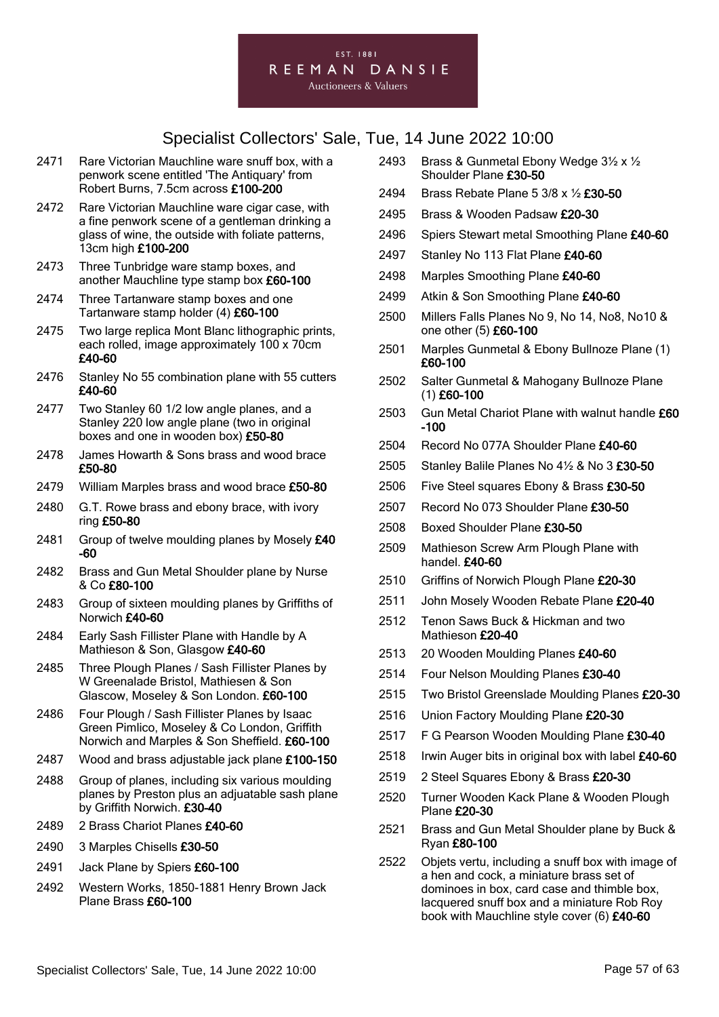#### EST. 1881 REEMAN DANSIE

**Auctioneers & Valuers** 

- 2471 Rare Victorian Mauchline ware snuff box, with a penwork scene entitled 'The Antiquary' from Robert Burns, 7.5cm across £100-200
- 2472 Rare Victorian Mauchline ware cigar case, with a fine penwork scene of a gentleman drinking a glass of wine, the outside with foliate patterns, 13cm high £100-200
- 2473 Three Tunbridge ware stamp boxes, and another Mauchline type stamp box £60-100
- 2474 Three Tartanware stamp boxes and one Tartanware stamp holder (4) £60-100
- 2475 Two large replica Mont Blanc lithographic prints, each rolled, image approximately 100 x 70cm £40-60
- 2476 Stanley No 55 combination plane with 55 cutters £40-60
- 2477 Two Stanley 60 1/2 low angle planes, and a Stanley 220 low angle plane (two in original boxes and one in wooden box) £50-80
- 2478 James Howarth & Sons brass and wood brace £50-80
- 2479 William Marples brass and wood brace £50-80
- 2480 G.T. Rowe brass and ebony brace, with ivory ring £50-80
- 2481 Group of twelve moulding planes by Mosely £40 -60
- 2482 Brass and Gun Metal Shoulder plane by Nurse & Co £80-100
- 2483 Group of sixteen moulding planes by Griffiths of Norwich £40-60
- 2484 Early Sash Fillister Plane with Handle by A Mathieson & Son, Glasgow £40-60
- 2485 Three Plough Planes / Sash Fillister Planes by W Greenalade Bristol, Mathiesen & Son Glascow, Moseley & Son London. £60-100
- 2486 Four Plough / Sash Fillister Planes by Isaac Green Pimlico, Moseley & Co London, Griffith Norwich and Marples & Son Sheffield. £60-100
- 2487 Wood and brass adjustable jack plane £100-150
- 2488 Group of planes, including six various moulding planes by Preston plus an adjuatable sash plane by Griffith Norwich. £30-40
- 2489 2 Brass Chariot Planes £40-60
- 2490 3 Marples Chisells £30-50
- 2491 Jack Plane by Spiers £60-100
- 2492 Western Works, 1850-1881 Henry Brown Jack Plane Brass £60-100
- 2493 Brass & Gunmetal Ebony Wedge 3½ x ½ Shoulder Plane £30-50
- 2494 Brass Rebate Plane 5 3/8 x ½ £30-50
- 2495 Brass & Wooden Padsaw £20-30
- 2496 Spiers Stewart metal Smoothing Plane £40-60
- 2497 Stanley No 113 Flat Plane £40-60
- 2498 Marples Smoothing Plane £40-60
- 2499 Atkin & Son Smoothing Plane £40-60
- 2500 Millers Falls Planes No 9, No 14, No8, No10 & one other (5) £60-100
- 2501 Marples Gunmetal & Ebony Bullnoze Plane (1) £60-100
- 2502 Salter Gunmetal & Mahogany Bullnoze Plane (1) £60-100
- 2503 Gun Metal Chariot Plane with walnut handle £60 -100
- 2504 Record No 077A Shoulder Plane £40-60
- 2505 Stanley Balile Planes No 4½ & No 3 £30-50
- 2506 Five Steel squares Ebony & Brass £30-50
- 2507 Record No 073 Shoulder Plane £30-50
- 2508 Boxed Shoulder Plane £30-50
- 2509 Mathieson Screw Arm Plough Plane with handel. £40-60
- 2510 Griffins of Norwich Plough Plane £20-30
- 2511 John Mosely Wooden Rebate Plane £20-40
- 2512 Tenon Saws Buck & Hickman and two Mathieson £20-40
- 2513 20 Wooden Moulding Planes £40-60
- 2514 Four Nelson Moulding Planes £30-40
- 2515 Two Bristol Greenslade Moulding Planes £20-30
- 2516 Union Factory Moulding Plane £20-30
- 2517 F G Pearson Wooden Moulding Plane £30-40
- 2518 Irwin Auger bits in original box with label £40-60
- 2519 2 Steel Squares Ebony & Brass £20-30
- 2520 Turner Wooden Kack Plane & Wooden Plough Plane £20-30
- 2521 Brass and Gun Metal Shoulder plane by Buck & Ryan £80-100
- 2522 Objets vertu, including a snuff box with image of a hen and cock, a miniature brass set of dominoes in box, card case and thimble box, lacquered snuff box and a miniature Rob Roy book with Mauchline style cover (6) £40-60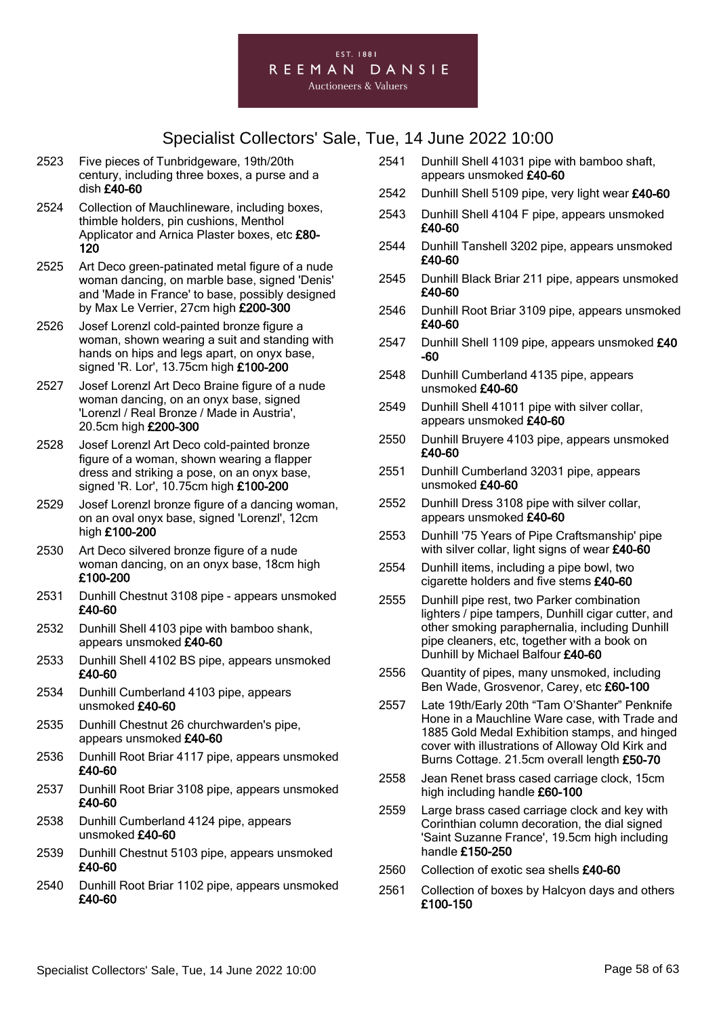#### EST. 1881 REEMAN DANSIE **Auctioneers & Valuers**

- 2523 Five pieces of Tunbridgeware, 19th/20th century, including three boxes, a purse and a dish £40-60
- 2524 Collection of Mauchlineware, including boxes, thimble holders, pin cushions, Menthol Applicator and Arnica Plaster boxes, etc £80-120
- 2525 Art Deco green-patinated metal figure of a nude woman dancing, on marble base, signed 'Denis' and 'Made in France' to base, possibly designed by Max Le Verrier, 27cm high £200-300
- 2526 Josef Lorenzl cold-painted bronze figure a woman, shown wearing a suit and standing with hands on hips and legs apart, on onyx base, signed 'R. Lor', 13.75cm high £100-200
- 2527 Josef Lorenzl Art Deco Braine figure of a nude woman dancing, on an onyx base, signed 'Lorenzl / Real Bronze / Made in Austria', 20.5cm high £200-300
- 2528 Josef Lorenzl Art Deco cold-painted bronze figure of a woman, shown wearing a flapper dress and striking a pose, on an onyx base, signed 'R. Lor', 10.75cm high £100-200
- 2529 Josef Lorenzl bronze figure of a dancing woman, on an oval onyx base, signed 'Lorenzl', 12cm high £100-200
- 2530 Art Deco silvered bronze figure of a nude woman dancing, on an onyx base, 18cm high £100-200
- 2531 Dunhill Chestnut 3108 pipe appears unsmoked £40-60
- 2532 Dunhill Shell 4103 pipe with bamboo shank, appears unsmoked £40-60
- 2533 Dunhill Shell 4102 BS pipe, appears unsmoked £40-60
- 2534 Dunhill Cumberland 4103 pipe, appears unsmoked £40-60
- 2535 Dunhill Chestnut 26 churchwarden's pipe, appears unsmoked £40-60
- 2536 Dunhill Root Briar 4117 pipe, appears unsmoked £40-60
- 2537 Dunhill Root Briar 3108 pipe, appears unsmoked £40-60
- 2538 Dunhill Cumberland 4124 pipe, appears unsmoked £40-60
- 2539 Dunhill Chestnut 5103 pipe, appears unsmoked £40-60
- 2540 Dunhill Root Briar 1102 pipe, appears unsmoked £40-60
- 2541 Dunhill Shell 41031 pipe with bamboo shaft, appears unsmoked £40-60
- 2542 Dunhill Shell 5109 pipe, very light wear £40-60
- 2543 Dunhill Shell 4104 F pipe, appears unsmoked £40-60
- 2544 Dunhill Tanshell 3202 pipe, appears unsmoked £40-60
- 2545 Dunhill Black Briar 211 pipe, appears unsmoked £40-60
- 2546 Dunhill Root Briar 3109 pipe, appears unsmoked £40-60
- 2547 Dunhill Shell 1109 pipe, appears unsmoked £40 -60
- 2548 Dunhill Cumberland 4135 pipe, appears unsmoked £40-60
- 2549 Dunhill Shell 41011 pipe with silver collar, appears unsmoked £40-60
- 2550 Dunhill Bruyere 4103 pipe, appears unsmoked £40-60
- 2551 Dunhill Cumberland 32031 pipe, appears unsmoked £40-60
- 2552 Dunhill Dress 3108 pipe with silver collar, appears unsmoked £40-60
- 2553 Dunhill '75 Years of Pipe Craftsmanship' pipe with silver collar, light signs of wear £40-60
- 2554 Dunhill items, including a pipe bowl, two cigarette holders and five stems £40-60
- 2555 Dunhill pipe rest, two Parker combination lighters / pipe tampers, Dunhill cigar cutter, and other smoking paraphernalia, including Dunhill pipe cleaners, etc, together with a book on Dunhill by Michael Balfour £40-60
- 2556 Quantity of pipes, many unsmoked, including Ben Wade, Grosvenor, Carey, etc £60-100
- 2557 Late 19th/Early 20th "Tam O'Shanter" Penknife Hone in a Mauchline Ware case, with Trade and 1885 Gold Medal Exhibition stamps, and hinged cover with illustrations of Alloway Old Kirk and Burns Cottage. 21.5cm overall length £50-70
- 2558 Jean Renet brass cased carriage clock, 15cm high including handle £60-100
- 2559 Large brass cased carriage clock and key with Corinthian column decoration, the dial signed 'Saint Suzanne France', 19.5cm high including handle £150-250
- 2560 Collection of exotic sea shells £40-60
- 2561 Collection of boxes by Halcyon days and others £100-150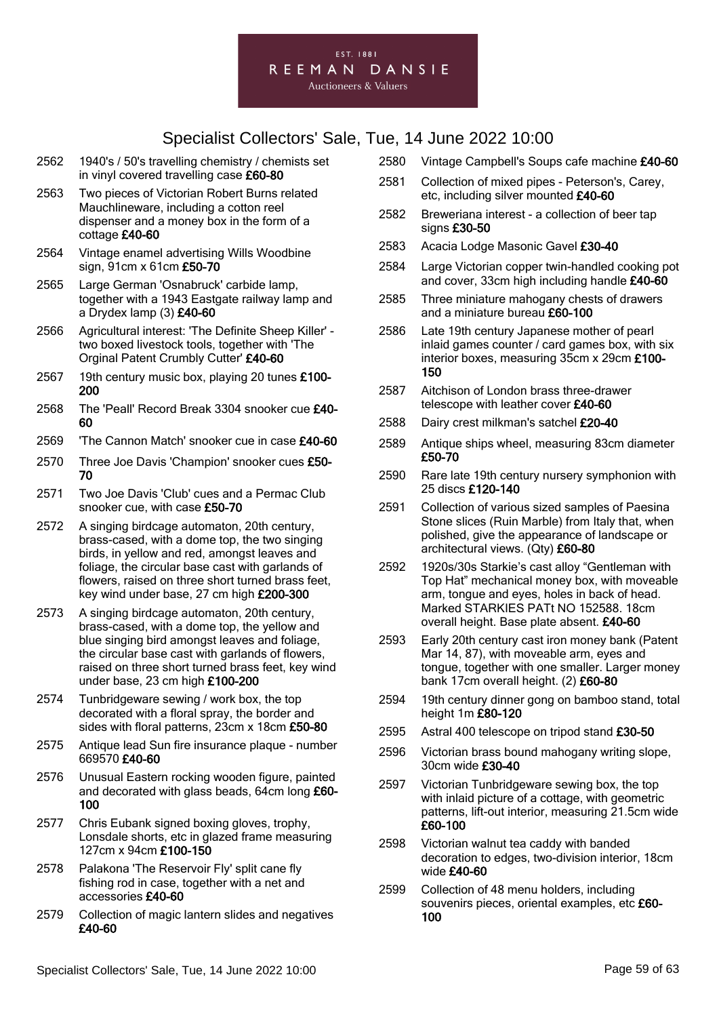#### EST. 1881 REEMAN DANSIE

**Auctioneers & Valuers** 

- 2562 1940's / 50's travelling chemistry / chemists set in vinyl covered travelling case £60-80
- 2563 Two pieces of Victorian Robert Burns related Mauchlineware, including a cotton reel dispenser and a money box in the form of a cottage £40-60
- 2564 Vintage enamel advertising Wills Woodbine sign, 91cm x 61cm £50-70
- 2565 Large German 'Osnabruck' carbide lamp, together with a 1943 Eastgate railway lamp and a Drydex lamp (3) £40-60
- 2566 Agricultural interest: 'The Definite Sheep Killer' two boxed livestock tools, together with 'The Orginal Patent Crumbly Cutter' £40-60
- 2567 19th century music box, playing 20 tunes £100-200
- 2568 The 'Peall' Record Break 3304 snooker cue £40- 60
- 2569 The Cannon Match' snooker cue in case £40-60
- 2570 Three Joe Davis 'Champion' snooker cues £50-70
- 2571 Two Joe Davis 'Club' cues and a Permac Club snooker cue, with case £50-70
- 2572 A singing birdcage automaton, 20th century, brass-cased, with a dome top, the two singing birds, in yellow and red, amongst leaves and foliage, the circular base cast with garlands of flowers, raised on three short turned brass feet, key wind under base, 27 cm high £200-300
- 2573 A singing birdcage automaton, 20th century, brass-cased, with a dome top, the yellow and blue singing bird amongst leaves and foliage, the circular base cast with garlands of flowers, raised on three short turned brass feet, key wind under base, 23 cm high £100-200
- 2574 Tunbridgeware sewing / work box, the top decorated with a floral spray, the border and sides with floral patterns, 23cm x 18cm £50-80
- 2575 Antique lead Sun fire insurance plaque number 669570 £40-60
- 2576 Unusual Eastern rocking wooden figure, painted and decorated with glass beads, 64cm long £60- 100
- 2577 Chris Eubank signed boxing gloves, trophy, Lonsdale shorts, etc in glazed frame measuring 127cm x 94cm £100-150
- 2578 Palakona 'The Reservoir Fly' split cane fly fishing rod in case, together with a net and accessories £40-60
- 2579 Collection of magic lantern slides and negatives £40-60
- 2580 Vintage Campbell's Soups cafe machine £40-60
- 2581 Collection of mixed pipes Peterson's, Carey, etc, including silver mounted £40-60
- 2582 Breweriana interest a collection of beer tap signs £30-50
- 2583 Acacia Lodge Masonic Gavel £30-40
- 2584 Large Victorian copper twin-handled cooking pot and cover, 33cm high including handle £40-60
- 2585 Three miniature mahogany chests of drawers and a miniature bureau £60-100
- 2586 Late 19th century Japanese mother of pearl inlaid games counter / card games box, with six interior boxes, measuring 35cm x 29cm £100- 150
- 2587 Aitchison of London brass three-drawer telescope with leather cover £40-60
- 2588 Dairy crest milkman's satchel £20-40
- 2589 Antique ships wheel, measuring 83cm diameter £50-70
- 2590 Rare late 19th century nursery symphonion with 25 discs £120-140
- 2591 Collection of various sized samples of Paesina Stone slices (Ruin Marble) from Italy that, when polished, give the appearance of landscape or architectural views. (Qty) £60-80
- 2592 1920s/30s Starkie's cast alloy "Gentleman with Top Hat" mechanical money box, with moveable arm, tongue and eyes, holes in back of head. Marked STARKIES PATt NO 152588. 18cm overall height. Base plate absent. £40-60
- 2593 Early 20th century cast iron money bank (Patent Mar 14, 87), with moveable arm, eyes and tongue, together with one smaller. Larger money bank 17cm overall height. (2) £60-80
- 2594 19th century dinner gong on bamboo stand, total height 1m £80-120
- 2595 Astral 400 telescope on tripod stand £30-50
- 2596 Victorian brass bound mahogany writing slope, 30cm wide £30-40
- 2597 Victorian Tunbridgeware sewing box, the top with inlaid picture of a cottage, with geometric patterns, lift-out interior, measuring 21.5cm wide £60-100
- 2598 Victorian walnut tea caddy with banded decoration to edges, two-division interior, 18cm wide £40-60
- 2599 Collection of 48 menu holders, including souvenirs pieces, oriental examples, etc £60-100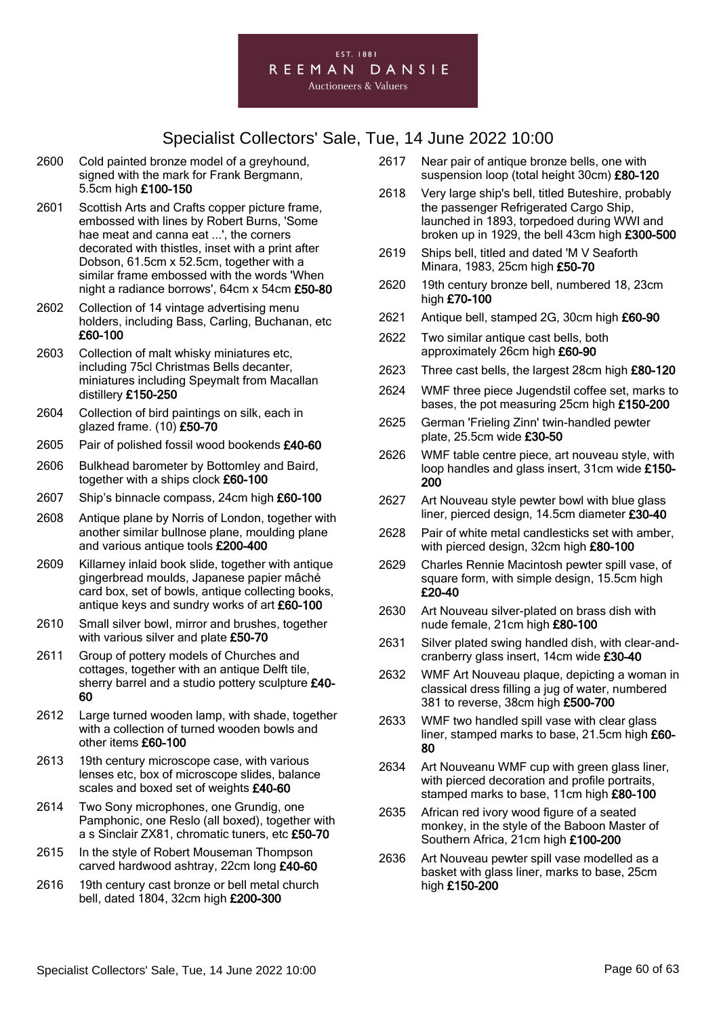

- 2600 Cold painted bronze model of a greyhound, signed with the mark for Frank Bergmann, 5.5cm high £100-150
- 2601 Scottish Arts and Crafts copper picture frame, embossed with lines by Robert Burns, 'Some hae meat and canna eat ...', the corners decorated with thistles, inset with a print after Dobson, 61.5cm x 52.5cm, together with a similar frame embossed with the words 'When night a radiance borrows', 64cm x 54cm £50-80
- 2602 Collection of 14 vintage advertising menu holders, including Bass, Carling, Buchanan, etc £60-100
- 2603 Collection of malt whisky miniatures etc, including 75cl Christmas Bells decanter, miniatures including Speymalt from Macallan distillery £150-250
- 2604 Collection of bird paintings on silk, each in glazed frame. (10) £50-70
- 2605 Pair of polished fossil wood bookends £40-60
- 2606 Bulkhead barometer by Bottomley and Baird, together with a ships clock £60-100
- 2607 Ship's binnacle compass, 24cm high £60-100
- 2608 Antique plane by Norris of London, together with another similar bullnose plane, moulding plane and various antique tools £200-400
- 2609 Killarney inlaid book slide, together with antique gingerbread moulds, Japanese papier mâché card box, set of bowls, antique collecting books, antique keys and sundry works of art £60-100
- 2610 Small silver bowl, mirror and brushes, together with various silver and plate £50-70
- 2611 Group of pottery models of Churches and cottages, together with an antique Delft tile, sherry barrel and a studio pottery sculpture £40-60
- 2612 Large turned wooden lamp, with shade, together with a collection of turned wooden bowls and other items £60-100
- 2613 19th century microscope case, with various lenses etc, box of microscope slides, balance scales and boxed set of weights £40-60
- 2614 Two Sony microphones, one Grundig, one Pamphonic, one Reslo (all boxed), together with a s Sinclair ZX81, chromatic tuners, etc £50-70
- 2615 In the style of Robert Mouseman Thompson carved hardwood ashtray, 22cm long £40-60
- 2616 19th century cast bronze or bell metal church bell, dated 1804, 32cm high £200-300
- 2617 Near pair of antique bronze bells, one with suspension loop (total height 30cm) £80-120
- 2618 Very large ship's bell, titled Buteshire, probably the passenger Refrigerated Cargo Ship, launched in 1893, torpedoed during WWI and broken up in 1929, the bell 43cm high £300-500
- 2619 Ships bell, titled and dated 'M V Seaforth Minara, 1983, 25cm high £50-70
- 2620 19th century bronze bell, numbered 18, 23cm high £70-100
- 2621 Antique bell, stamped 2G, 30cm high £60-90
- 2622 Two similar antique cast bells, both approximately 26cm high £60-90
- 2623 Three cast bells, the largest 28cm high £80-120
- 2624 WMF three piece Jugendstil coffee set, marks to bases, the pot measuring 25cm high £150-200
- 2625 German 'Frieling Zinn' twin-handled pewter plate, 25.5cm wide £30-50
- 2626 WMF table centre piece, art nouveau style, with loop handles and glass insert, 31cm wide £150- 200
- 2627 Art Nouveau style pewter bowl with blue glass liner, pierced design, 14.5cm diameter £30-40
- 2628 Pair of white metal candlesticks set with amber, with pierced design, 32cm high £80-100
- 2629 Charles Rennie Macintosh pewter spill vase, of square form, with simple design, 15.5cm high £20-40
- 2630 Art Nouveau silver-plated on brass dish with nude female, 21cm high £80-100
- 2631 Silver plated swing handled dish, with clear-andcranberry glass insert, 14cm wide £30-40
- 2632 WMF Art Nouveau plaque, depicting a woman in classical dress filling a jug of water, numbered 381 to reverse, 38cm high £500-700
- 2633 WMF two handled spill vase with clear glass liner, stamped marks to base, 21.5cm high £60- 80
- 2634 Art Nouveanu WMF cup with green glass liner, with pierced decoration and profile portraits. stamped marks to base, 11cm high £80-100
- 2635 African red ivory wood figure of a seated monkey, in the style of the Baboon Master of Southern Africa, 21cm high £100-200
- 2636 Art Nouveau pewter spill vase modelled as a basket with glass liner, marks to base, 25cm high £150-200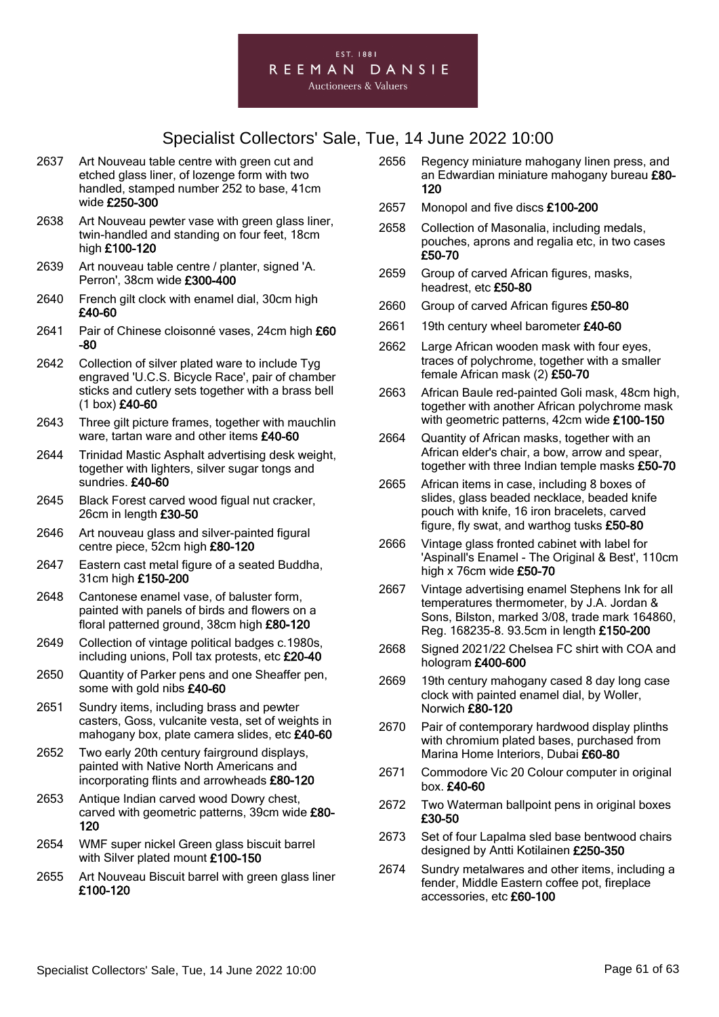

- 2637 Art Nouveau table centre with green cut and etched glass liner, of lozenge form with two handled, stamped number 252 to base, 41cm wide £250-300
- 2638 Art Nouveau pewter vase with green glass liner, twin-handled and standing on four feet, 18cm high £100-120
- 2639 Art nouveau table centre / planter, signed 'A. Perron', 38cm wide £300-400
- 2640 French gilt clock with enamel dial, 30cm high £40-60
- 2641 Pair of Chinese cloisonné vases, 24cm high £60 -80
- 2642 Collection of silver plated ware to include Tyg engraved 'U.C.S. Bicycle Race', pair of chamber sticks and cutlery sets together with a brass bell (1 box) £40-60
- 2643 Three gilt picture frames, together with mauchlin ware, tartan ware and other items £40-60
- 2644 Trinidad Mastic Asphalt advertising desk weight, together with lighters, silver sugar tongs and sundries. £40-60
- 2645 Black Forest carved wood figual nut cracker, 26cm in length £30-50
- 2646 Art nouveau glass and silver-painted figural centre piece, 52cm high £80-120
- 2647 Eastern cast metal figure of a seated Buddha, 31cm high £150-200
- 2648 Cantonese enamel vase, of baluster form, painted with panels of birds and flowers on a floral patterned ground, 38cm high £80-120
- 2649 Collection of vintage political badges c.1980s, including unions, Poll tax protests, etc £20-40
- 2650 Quantity of Parker pens and one Sheaffer pen, some with gold nibs £40-60
- 2651 Sundry items, including brass and pewter casters, Goss, vulcanite vesta, set of weights in mahogany box, plate camera slides, etc £40-60
- 2652 Two early 20th century fairground displays, painted with Native North Americans and incorporating flints and arrowheads £80-120
- 2653 Antique Indian carved wood Dowry chest, carved with geometric patterns, 39cm wide £80- 120
- 2654 WMF super nickel Green glass biscuit barrel with Silver plated mount £100-150
- 2655 Art Nouveau Biscuit barrel with green glass liner £100-120
- 2656 Regency miniature mahogany linen press, and an Edwardian miniature mahogany bureau £80-120
- 2657 Monopol and five discs £100-200
- 2658 Collection of Masonalia, including medals, pouches, aprons and regalia etc, in two cases £50-70
- 2659 Group of carved African figures, masks, headrest, etc £50-80
- 2660 Group of carved African figures £50-80
- 2661 19th century wheel barometer £40-60
- 2662 Large African wooden mask with four eyes, traces of polychrome, together with a smaller female African mask (2) £50-70
- 2663 African Baule red-painted Goli mask, 48cm high, together with another African polychrome mask with geometric patterns, 42cm wide £100-150
- 2664 Quantity of African masks, together with an African elder's chair, a bow, arrow and spear, together with three Indian temple masks £50-70
- 2665 African items in case, including 8 boxes of slides, glass beaded necklace, beaded knife pouch with knife, 16 iron bracelets, carved figure, fly swat, and warthog tusks £50-80
- 2666 Vintage glass fronted cabinet with label for 'Aspinall's Enamel - The Original & Best', 110cm high x 76cm wide £50-70
- 2667 Vintage advertising enamel Stephens Ink for all temperatures thermometer, by J.A. Jordan & Sons, Bilston, marked 3/08, trade mark 164860, Reg. 168235-8. 93.5cm in length £150-200
- 2668 Signed 2021/22 Chelsea FC shirt with COA and hologram £400-600
- 2669 19th century mahogany cased 8 day long case clock with painted enamel dial, by Woller, Norwich £80-120
- 2670 Pair of contemporary hardwood display plinths with chromium plated bases, purchased from Marina Home Interiors, Dubai £60-80
- 2671 Commodore Vic 20 Colour computer in original box. £40-60
- 2672 Two Waterman ballpoint pens in original boxes £30-50
- 2673 Set of four Lapalma sled base bentwood chairs designed by Antti Kotilainen £250-350
- 2674 Sundry metalwares and other items, including a fender, Middle Eastern coffee pot, fireplace accessories, etc £60-100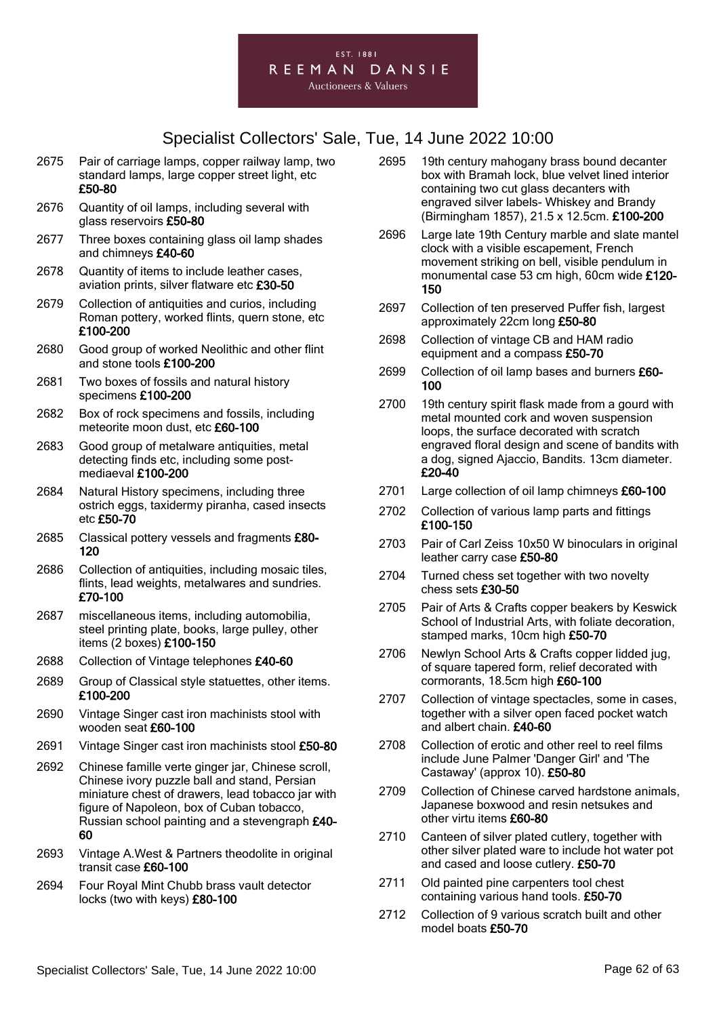#### EST. 1881 REEMAN DANSIE **Auctioneers & Valuers**

- 2675 Pair of carriage lamps, copper railway lamp, two standard lamps, large copper street light, etc £50-80
- 2676 Quantity of oil lamps, including several with glass reservoirs £50-80
- 2677 Three boxes containing glass oil lamp shades and chimneys £40-60
- 2678 Quantity of items to include leather cases, aviation prints, silver flatware etc £30-50
- 2679 Collection of antiquities and curios, including Roman pottery, worked flints, quern stone, etc £100-200
- 2680 Good group of worked Neolithic and other flint and stone tools £100-200
- 2681 Two boxes of fossils and natural history specimens £100-200
- 2682 Box of rock specimens and fossils, including meteorite moon dust, etc £60-100
- 2683 Good group of metalware antiquities, metal detecting finds etc, including some postmediaeval £100-200
- 2684 Natural History specimens, including three ostrich eggs, taxidermy piranha, cased insects etc £50-70
- 2685 Classical pottery vessels and fragments £80-120
- 2686 Collection of antiquities, including mosaic tiles, flints, lead weights, metalwares and sundries. £70-100
- 2687 miscellaneous items, including automobilia, steel printing plate, books, large pulley, other items (2 boxes) £100-150
- 2688 Collection of Vintage telephones £40-60
- 2689 Group of Classical style statuettes, other items. £100-200
- 2690 Vintage Singer cast iron machinists stool with wooden seat £60-100
- 2691 Vintage Singer cast iron machinists stool £50-80
- 2692 Chinese famille verte ginger jar, Chinese scroll, Chinese ivory puzzle ball and stand, Persian miniature chest of drawers, lead tobacco jar with figure of Napoleon, box of Cuban tobacco, Russian school painting and a stevengraph £40- 60
- 2693 Vintage A.West & Partners theodolite in original transit case £60-100
- 2694 Four Royal Mint Chubb brass vault detector locks (two with keys) £80-100
- 2695 19th century mahogany brass bound decanter box with Bramah lock, blue velvet lined interior containing two cut glass decanters with engraved silver labels- Whiskey and Brandy (Birmingham 1857), 21.5 x 12.5cm. £100-200
- 2696 Large late 19th Century marble and slate mantel clock with a visible escapement, French movement striking on bell, visible pendulum in monumental case 53 cm high, 60cm wide £120- 150
- 2697 Collection of ten preserved Puffer fish, largest approximately 22cm long £50-80
- 2698 Collection of vintage CB and HAM radio equipment and a compass £50-70
- 2699 Collection of oil lamp bases and burners £60-100
- 2700 19th century spirit flask made from a gourd with metal mounted cork and woven suspension loops, the surface decorated with scratch engraved floral design and scene of bandits with a dog, signed Ajaccio, Bandits. 13cm diameter. £20-40
- 2701 Large collection of oil lamp chimneys £60-100
- 2702 Collection of various lamp parts and fittings £100-150
- 2703 Pair of Carl Zeiss 10x50 W binoculars in original leather carry case £50-80
- 2704 Turned chess set together with two novelty chess sets £30-50
- 2705 Pair of Arts & Crafts copper beakers by Keswick School of Industrial Arts, with foliate decoration, stamped marks, 10cm high £50-70
- 2706 Newlyn School Arts & Crafts copper lidded jug, of square tapered form, relief decorated with cormorants, 18.5cm high £60-100
- 2707 Collection of vintage spectacles, some in cases, together with a silver open faced pocket watch and albert chain. £40-60
- 2708 Collection of erotic and other reel to reel films include June Palmer 'Danger Girl' and 'The Castaway' (approx 10). £50-80
- 2709 Collection of Chinese carved hardstone animals, Japanese boxwood and resin netsukes and other virtu items £60-80
- 2710 Canteen of silver plated cutlery, together with other silver plated ware to include hot water pot and cased and loose cutlery. £50-70
- 2711 Old painted pine carpenters tool chest containing various hand tools. £50-70
- 2712 Collection of 9 various scratch built and other model boats £50-70